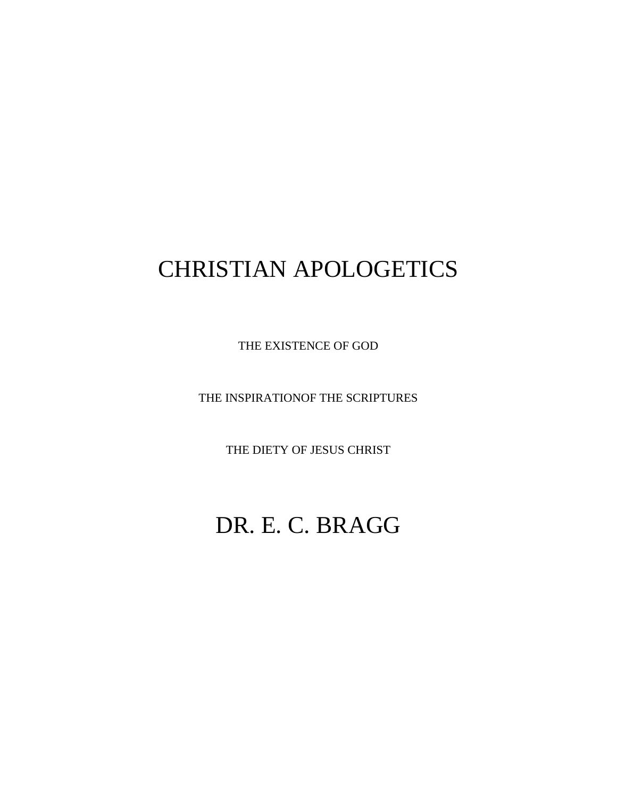# CHRISTIAN APOLOGETICS

THE EXISTENCE OF GOD

THE INSPIRATIONOF THE SCRIPTURES

THE DIETY OF JESUS CHRIST

# DR. E. C. BRAGG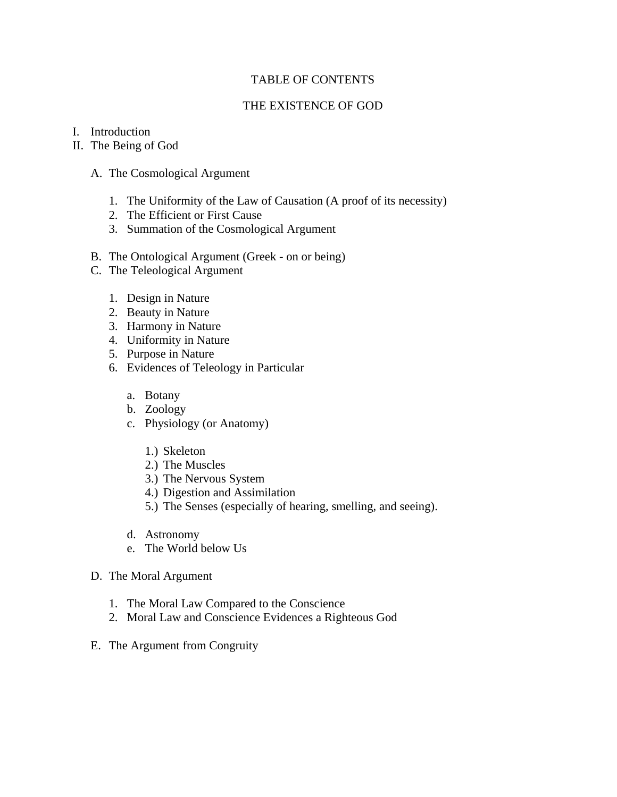# TABLE OF CONTENTS

# THE EXISTENCE OF GOD

# I. Introduction

# II. The Being of God

- A. The Cosmological Argument
	- 1. The Uniformity of the Law of Causation (A proof of its necessity)
	- 2. The Efficient or First Cause
	- 3. Summation of the Cosmological Argument
- B. The Ontological Argument (Greek on or being)
- C. The Teleological Argument
	- 1. Design in Nature
	- 2. Beauty in Nature
	- 3. Harmony in Nature
	- 4. Uniformity in Nature
	- 5. Purpose in Nature
	- 6. Evidences of Teleology in Particular
		- a. Botany
		- b. Zoology
		- c. Physiology (or Anatomy)
			- 1.) Skeleton
			- 2.) The Muscles
			- 3.) The Nervous System
			- 4.) Digestion and Assimilation
			- 5.) The Senses (especially of hearing, smelling, and seeing).
		- d. Astronomy
		- e. The World below Us
- D. The Moral Argument
	- 1. The Moral Law Compared to the Conscience
	- 2. Moral Law and Conscience Evidences a Righteous God
- E. The Argument from Congruity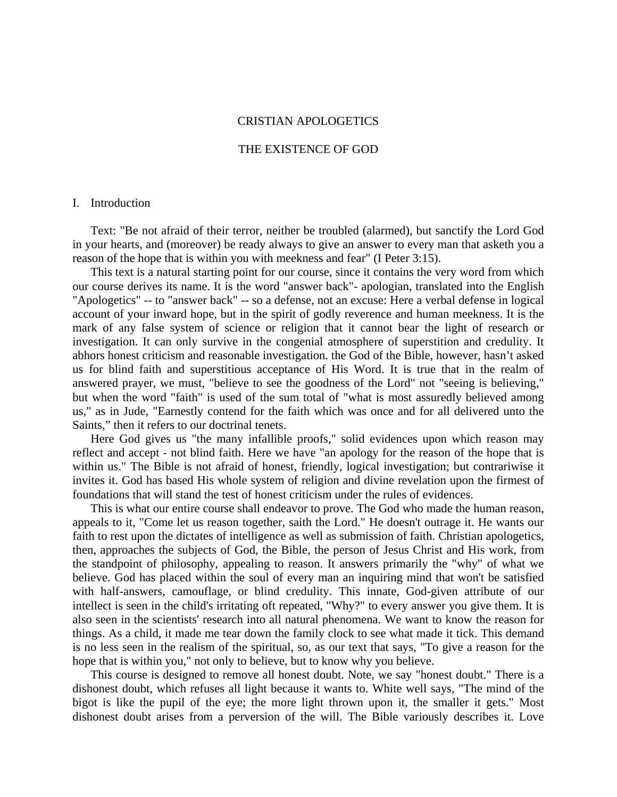# CRISTIAN APOLOGETICS

## THE EXISTENCE OF GOD

#### I. Introduction

 Text: "Be not afraid of their terror, neither be troubled (alarmed), but sanctify the Lord God in your hearts, and (moreover) be ready always to give an answer to every man that asketh you a reason of the hope that is within you with meekness and fear" (I Peter 3:15).

 This text is a natural starting point for our course, since it contains the very word from which our course derives its name. It is the word "answer back"- apologian, translated into the English "Apologetics" -- to "answer back" -- so a defense, not an excuse: Here a verbal defense in logical account of your inward hope, but in the spirit of godly reverence and human meekness. It is the mark of any false system of science or religion that it cannot bear the light of research or investigation. It can only survive in the congenial atmosphere of superstition and credulity. It abhors honest criticism and reasonable investigation. the God of the Bible, however, hasn't asked us for blind faith and superstitious acceptance of His Word. It is true that in the realm of answered prayer, we must, "believe to see the goodness of the Lord" not "seeing is believing," but when the word "faith" is used of the sum total of "what is most assuredly believed among us," as in Jude, "Earnestly contend for the faith which was once and for all delivered unto the Saints," then it refers to our doctrinal tenets.

 Here God gives us "the many infallible proofs," solid evidences upon which reason may reflect and accept - not blind faith. Here we have "an apology for the reason of the hope that is within us." The Bible is not afraid of honest, friendly, logical investigation; but contrariwise it invites it. God has based His whole system of religion and divine revelation upon the firmest of foundations that will stand the test of honest criticism under the rules of evidences.

 This is what our entire course shall endeavor to prove. The God who made the human reason, appeals to it, "Come let us reason together, saith the Lord." He doesn't outrage it. He wants our faith to rest upon the dictates of intelligence as well as submission of faith. Christian apologetics, then, approaches the subjects of God, the Bible, the person of Jesus Christ and His work, from the standpoint of philosophy, appealing to reason. It answers primarily the "why" of what we believe. God has placed within the soul of every man an inquiring mind that won't be satisfied with half-answers, camouflage, or blind credulity. This innate, God-given attribute of our intellect is seen in the child's irritating oft repeated, "Why?" to every answer you give them. It is also seen in the scientists' research into all natural phenomena. We want to know the reason for things. As a child, it made me tear down the family clock to see what made it tick. This demand is no less seen in the realism of the spiritual, so, as our text that says, "To give a reason for the hope that is within you," not only to believe, but to know why you believe.

 This course is designed to remove all honest doubt. Note, we say "honest doubt." There is a dishonest doubt, which refuses all light because it wants to. White well says, "The mind of the bigot is like the pupil of the eye; the more light thrown upon it, the smaller it gets." Most dishonest doubt arises from a perversion of the will. The Bible variously describes it. Love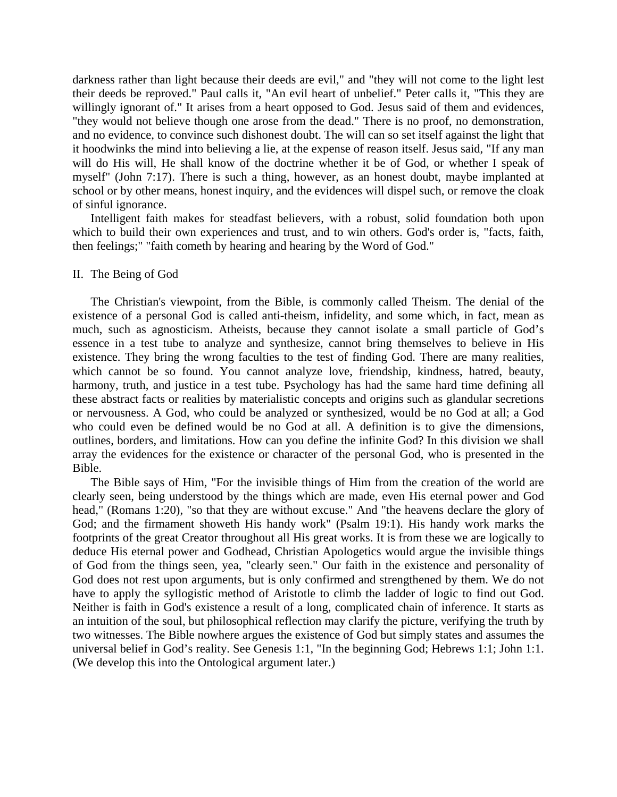darkness rather than light because their deeds are evil," and "they will not come to the light lest their deeds be reproved." Paul calls it, "An evil heart of unbelief." Peter calls it, "This they are willingly ignorant of." It arises from a heart opposed to God. Jesus said of them and evidences, "they would not believe though one arose from the dead." There is no proof, no demonstration, and no evidence, to convince such dishonest doubt. The will can so set itself against the light that it hoodwinks the mind into believing a lie, at the expense of reason itself. Jesus said, "If any man will do His will, He shall know of the doctrine whether it be of God, or whether I speak of myself" (John 7:17). There is such a thing, however, as an honest doubt, maybe implanted at school or by other means, honest inquiry, and the evidences will dispel such, or remove the cloak of sinful ignorance.

 Intelligent faith makes for steadfast believers, with a robust, solid foundation both upon which to build their own experiences and trust, and to win others. God's order is, "facts, faith, then feelings;" "faith cometh by hearing and hearing by the Word of God."

#### II. The Being of God

 The Christian's viewpoint, from the Bible, is commonly called Theism. The denial of the existence of a personal God is called anti-theism, infidelity, and some which, in fact, mean as much, such as agnosticism. Atheists, because they cannot isolate a small particle of God's essence in a test tube to analyze and synthesize, cannot bring themselves to believe in His existence. They bring the wrong faculties to the test of finding God. There are many realities, which cannot be so found. You cannot analyze love, friendship, kindness, hatred, beauty, harmony, truth, and justice in a test tube. Psychology has had the same hard time defining all these abstract facts or realities by materialistic concepts and origins such as glandular secretions or nervousness. A God, who could be analyzed or synthesized, would be no God at all; a God who could even be defined would be no God at all. A definition is to give the dimensions, outlines, borders, and limitations. How can you define the infinite God? In this division we shall array the evidences for the existence or character of the personal God, who is presented in the Bible.

 The Bible says of Him, "For the invisible things of Him from the creation of the world are clearly seen, being understood by the things which are made, even His eternal power and God head," (Romans 1:20), "so that they are without excuse." And "the heavens declare the glory of God; and the firmament showeth His handy work" (Psalm 19:1). His handy work marks the footprints of the great Creator throughout all His great works. It is from these we are logically to deduce His eternal power and Godhead, Christian Apologetics would argue the invisible things of God from the things seen, yea, "clearly seen." Our faith in the existence and personality of God does not rest upon arguments, but is only confirmed and strengthened by them. We do not have to apply the syllogistic method of Aristotle to climb the ladder of logic to find out God. Neither is faith in God's existence a result of a long, complicated chain of inference. It starts as an intuition of the soul, but philosophical reflection may clarify the picture, verifying the truth by two witnesses. The Bible nowhere argues the existence of God but simply states and assumes the universal belief in God's reality. See Genesis 1:1, "In the beginning God; Hebrews 1:1; John 1:1. (We develop this into the Ontological argument later.)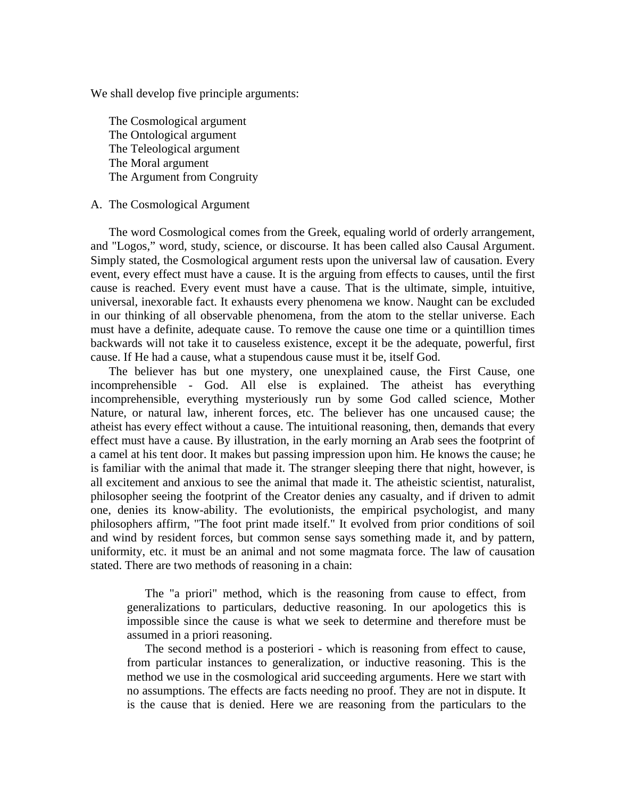We shall develop five principle arguments:

 The Cosmological argument The Ontological argument The Teleological argument The Moral argument The Argument from Congruity

# A. The Cosmological Argument

 The word Cosmological comes from the Greek, equaling world of orderly arrangement, and "Logos," word, study, science, or discourse. It has been called also Causal Argument. Simply stated, the Cosmological argument rests upon the universal law of causation. Every event, every effect must have a cause. It is the arguing from effects to causes, until the first cause is reached. Every event must have a cause. That is the ultimate, simple, intuitive, universal, inexorable fact. It exhausts every phenomena we know. Naught can be excluded in our thinking of all observable phenomena, from the atom to the stellar universe. Each must have a definite, adequate cause. To remove the cause one time or a quintillion times backwards will not take it to causeless existence, except it be the adequate, powerful, first cause. If He had a cause, what a stupendous cause must it be, itself God.

 The believer has but one mystery, one unexplained cause, the First Cause, one incomprehensible - God. All else is explained. The atheist has everything incomprehensible, everything mysteriously run by some God called science, Mother Nature, or natural law, inherent forces, etc. The believer has one uncaused cause; the atheist has every effect without a cause. The intuitional reasoning, then, demands that every effect must have a cause. By illustration, in the early morning an Arab sees the footprint of a camel at his tent door. It makes but passing impression upon him. He knows the cause; he is familiar with the animal that made it. The stranger sleeping there that night, however, is all excitement and anxious to see the animal that made it. The atheistic scientist, naturalist, philosopher seeing the footprint of the Creator denies any casualty, and if driven to admit one, denies its know-ability. The evolutionists, the empirical psychologist, and many philosophers affirm, "The foot print made itself." It evolved from prior conditions of soil and wind by resident forces, but common sense says something made it, and by pattern, uniformity, etc. it must be an animal and not some magmata force. The law of causation stated. There are two methods of reasoning in a chain:

 The "a priori" method, which is the reasoning from cause to effect, from generalizations to particulars, deductive reasoning. In our apologetics this is impossible since the cause is what we seek to determine and therefore must be assumed in a priori reasoning.

 The second method is a posteriori - which is reasoning from effect to cause, from particular instances to generalization, or inductive reasoning. This is the method we use in the cosmological arid succeeding arguments. Here we start with no assumptions. The effects are facts needing no proof. They are not in dispute. It is the cause that is denied. Here we are reasoning from the particulars to the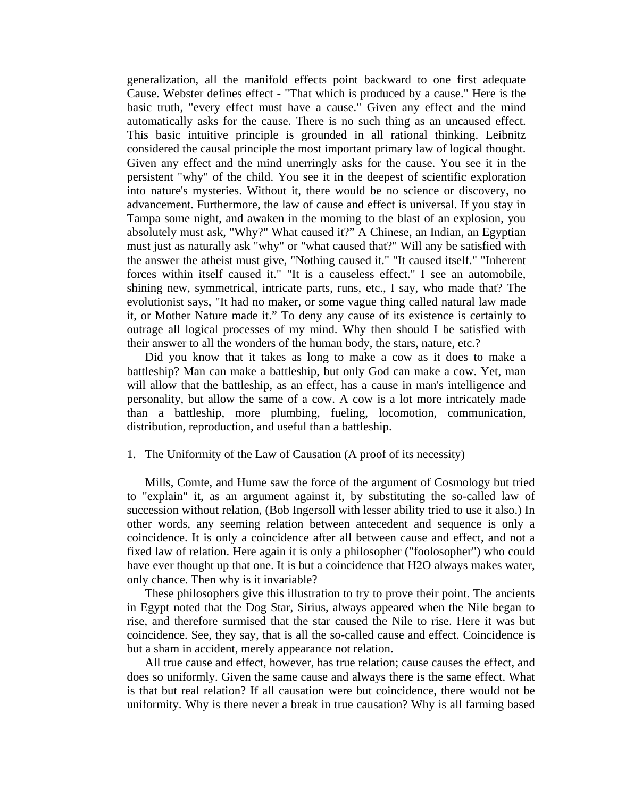generalization, all the manifold effects point backward to one first adequate Cause. Webster defines effect - "That which is produced by a cause." Here is the basic truth, "every effect must have a cause." Given any effect and the mind automatically asks for the cause. There is no such thing as an uncaused effect. This basic intuitive principle is grounded in all rational thinking. Leibnitz considered the causal principle the most important primary law of logical thought. Given any effect and the mind unerringly asks for the cause. You see it in the persistent "why" of the child. You see it in the deepest of scientific exploration into nature's mysteries. Without it, there would be no science or discovery, no advancement. Furthermore, the law of cause and effect is universal. If you stay in Tampa some night, and awaken in the morning to the blast of an explosion, you absolutely must ask, "Why?" What caused it?" A Chinese, an Indian, an Egyptian must just as naturally ask "why" or "what caused that?" Will any be satisfied with the answer the atheist must give, "Nothing caused it." "It caused itself." "Inherent forces within itself caused it." "It is a causeless effect." I see an automobile, shining new, symmetrical, intricate parts, runs, etc., I say, who made that? The evolutionist says, "It had no maker, or some vague thing called natural law made it, or Mother Nature made it." To deny any cause of its existence is certainly to outrage all logical processes of my mind. Why then should I be satisfied with their answer to all the wonders of the human body, the stars, nature, etc.?

 Did you know that it takes as long to make a cow as it does to make a battleship? Man can make a battleship, but only God can make a cow. Yet, man will allow that the battleship, as an effect, has a cause in man's intelligence and personality, but allow the same of a cow. A cow is a lot more intricately made than a battleship, more plumbing, fueling, locomotion, communication, distribution, reproduction, and useful than a battleship.

## 1. The Uniformity of the Law of Causation (A proof of its necessity)

 Mills, Comte, and Hume saw the force of the argument of Cosmology but tried to "explain" it, as an argument against it, by substituting the so-called law of succession without relation, (Bob Ingersoll with lesser ability tried to use it also.) In other words, any seeming relation between antecedent and sequence is only a coincidence. It is only a coincidence after all between cause and effect, and not a fixed law of relation. Here again it is only a philosopher ("foolosopher") who could have ever thought up that one. It is but a coincidence that H2O always makes water, only chance. Then why is it invariable?

 These philosophers give this illustration to try to prove their point. The ancients in Egypt noted that the Dog Star, Sirius, always appeared when the Nile began to rise, and therefore surmised that the star caused the Nile to rise. Here it was but coincidence. See, they say, that is all the so-called cause and effect. Coincidence is but a sham in accident, merely appearance not relation.

 All true cause and effect, however, has true relation; cause causes the effect, and does so uniformly. Given the same cause and always there is the same effect. What is that but real relation? If all causation were but coincidence, there would not be uniformity. Why is there never a break in true causation? Why is all farming based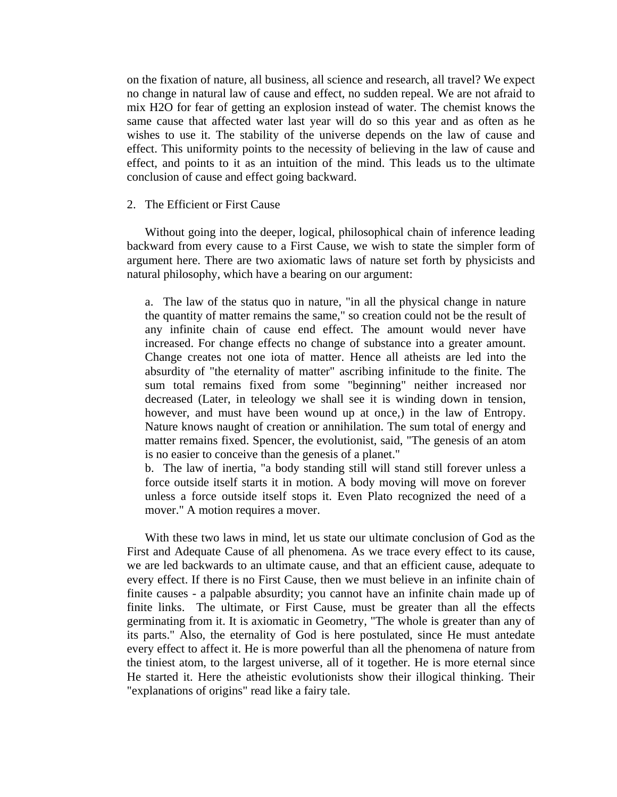on the fixation of nature, all business, all science and research, all travel? We expect no change in natural law of cause and effect, no sudden repeal. We are not afraid to mix H2O for fear of getting an explosion instead of water. The chemist knows the same cause that affected water last year will do so this year and as often as he wishes to use it. The stability of the universe depends on the law of cause and effect. This uniformity points to the necessity of believing in the law of cause and effect, and points to it as an intuition of the mind. This leads us to the ultimate conclusion of cause and effect going backward.

## 2. The Efficient or First Cause

 Without going into the deeper, logical, philosophical chain of inference leading backward from every cause to a First Cause, we wish to state the simpler form of argument here. There are two axiomatic laws of nature set forth by physicists and natural philosophy, which have a bearing on our argument:

a. The law of the status quo in nature, "in all the physical change in nature the quantity of matter remains the same," so creation could not be the result of any infinite chain of cause end effect. The amount would never have increased. For change effects no change of substance into a greater amount. Change creates not one iota of matter. Hence all atheists are led into the absurdity of "the eternality of matter" ascribing infinitude to the finite. The sum total remains fixed from some "beginning" neither increased nor decreased (Later, in teleology we shall see it is winding down in tension, however, and must have been wound up at once,) in the law of Entropy. Nature knows naught of creation or annihilation. The sum total of energy and matter remains fixed. Spencer, the evolutionist, said, "The genesis of an atom is no easier to conceive than the genesis of a planet."

b. The law of inertia, "a body standing still will stand still forever unless a force outside itself starts it in motion. A body moving will move on forever unless a force outside itself stops it. Even Plato recognized the need of a mover." A motion requires a mover.

 With these two laws in mind, let us state our ultimate conclusion of God as the First and Adequate Cause of all phenomena. As we trace every effect to its cause, we are led backwards to an ultimate cause, and that an efficient cause, adequate to every effect. If there is no First Cause, then we must believe in an infinite chain of finite causes - a palpable absurdity; you cannot have an infinite chain made up of finite links. The ultimate, or First Cause, must be greater than all the effects germinating from it. It is axiomatic in Geometry, "The whole is greater than any of its parts." Also, the eternality of God is here postulated, since He must antedate every effect to affect it. He is more powerful than all the phenomena of nature from the tiniest atom, to the largest universe, all of it together. He is more eternal since He started it. Here the atheistic evolutionists show their illogical thinking. Their "explanations of origins" read like a fairy tale.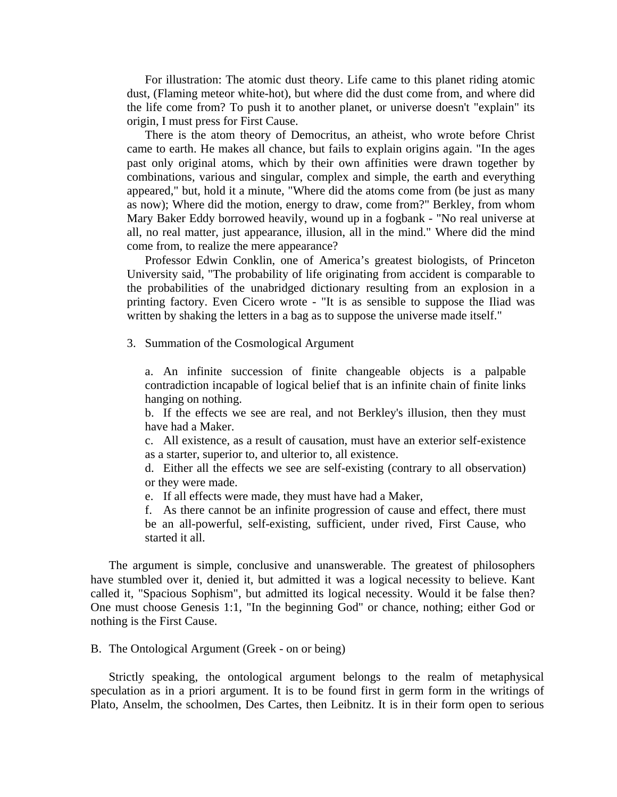For illustration: The atomic dust theory. Life came to this planet riding atomic dust, (Flaming meteor white-hot), but where did the dust come from, and where did the life come from? To push it to another planet, or universe doesn't "explain" its origin, I must press for First Cause.

 There is the atom theory of Democritus, an atheist, who wrote before Christ came to earth. He makes all chance, but fails to explain origins again. "In the ages past only original atoms, which by their own affinities were drawn together by combinations, various and singular, complex and simple, the earth and everything appeared," but, hold it a minute, "Where did the atoms come from (be just as many as now); Where did the motion, energy to draw, come from?" Berkley, from whom Mary Baker Eddy borrowed heavily, wound up in a fogbank - "No real universe at all, no real matter, just appearance, illusion, all in the mind." Where did the mind come from, to realize the mere appearance?

 Professor Edwin Conklin, one of America's greatest biologists, of Princeton University said, "The probability of life originating from accident is comparable to the probabilities of the unabridged dictionary resulting from an explosion in a printing factory. Even Cicero wrote - "It is as sensible to suppose the Iliad was written by shaking the letters in a bag as to suppose the universe made itself."

3. Summation of the Cosmological Argument

a. An infinite succession of finite changeable objects is a palpable contradiction incapable of logical belief that is an infinite chain of finite links hanging on nothing.

b. If the effects we see are real, and not Berkley's illusion, then they must have had a Maker.

c. All existence, as a result of causation, must have an exterior self-existence as a starter, superior to, and ulterior to, all existence.

d. Either all the effects we see are self-existing (contrary to all observation) or they were made.

e. If all effects were made, they must have had a Maker,

f. As there cannot be an infinite progression of cause and effect, there must be an all-powerful, self-existing, sufficient, under rived, First Cause, who started it all.

 The argument is simple, conclusive and unanswerable. The greatest of philosophers have stumbled over it, denied it, but admitted it was a logical necessity to believe. Kant called it, "Spacious Sophism", but admitted its logical necessity. Would it be false then? One must choose Genesis 1:1, "In the beginning God" or chance, nothing; either God or nothing is the First Cause.

B. The Ontological Argument (Greek - on or being)

 Strictly speaking, the ontological argument belongs to the realm of metaphysical speculation as in a priori argument. It is to be found first in germ form in the writings of Plato, Anselm, the schoolmen, Des Cartes, then Leibnitz. It is in their form open to serious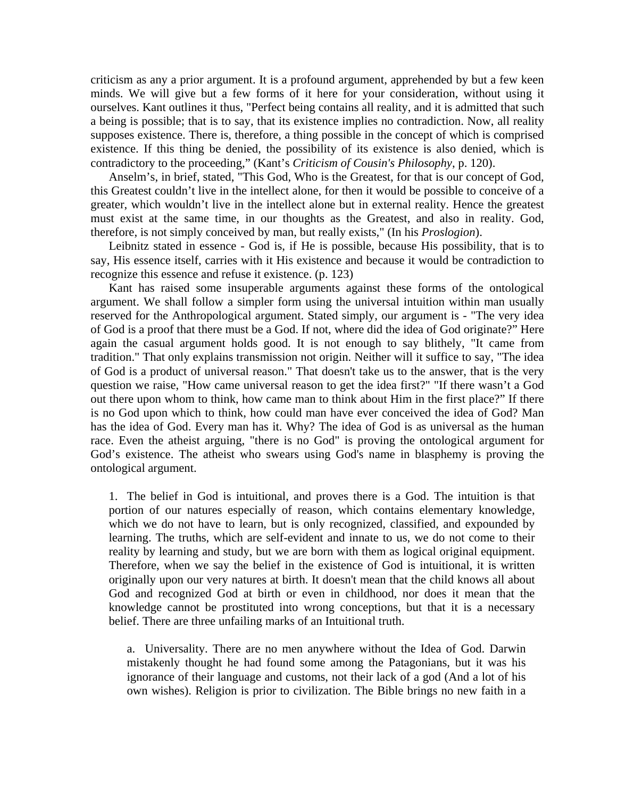criticism as any a prior argument. It is a profound argument, apprehended by but a few keen minds. We will give but a few forms of it here for your consideration, without using it ourselves. Kant outlines it thus, "Perfect being contains all reality, and it is admitted that such a being is possible; that is to say, that its existence implies no contradiction. Now, all reality supposes existence. There is, therefore, a thing possible in the concept of which is comprised existence. If this thing be denied, the possibility of its existence is also denied, which is contradictory to the proceeding," (Kant's *Criticism of Cousin's Philosophy*, p. 120).

 Anselm's, in brief, stated, "This God, Who is the Greatest, for that is our concept of God, this Greatest couldn't live in the intellect alone, for then it would be possible to conceive of a greater, which wouldn't live in the intellect alone but in external reality. Hence the greatest must exist at the same time, in our thoughts as the Greatest, and also in reality. God, therefore, is not simply conceived by man, but really exists," (In his *Proslogion*).

 Leibnitz stated in essence - God is, if He is possible, because His possibility, that is to say, His essence itself, carries with it His existence and because it would be contradiction to recognize this essence and refuse it existence. (p. 123)

 Kant has raised some insuperable arguments against these forms of the ontological argument. We shall follow a simpler form using the universal intuition within man usually reserved for the Anthropological argument. Stated simply, our argument is - "The very idea of God is a proof that there must be a God. If not, where did the idea of God originate?" Here again the casual argument holds good. It is not enough to say blithely, "It came from tradition." That only explains transmission not origin. Neither will it suffice to say, "The idea of God is a product of universal reason." That doesn't take us to the answer, that is the very question we raise, "How came universal reason to get the idea first?" "If there wasn't a God out there upon whom to think, how came man to think about Him in the first place?" If there is no God upon which to think, how could man have ever conceived the idea of God? Man has the idea of God. Every man has it. Why? The idea of God is as universal as the human race. Even the atheist arguing, "there is no God" is proving the ontological argument for God's existence. The atheist who swears using God's name in blasphemy is proving the ontological argument.

1. The belief in God is intuitional, and proves there is a God. The intuition is that portion of our natures especially of reason, which contains elementary knowledge, which we do not have to learn, but is only recognized, classified, and expounded by learning. The truths, which are self-evident and innate to us, we do not come to their reality by learning and study, but we are born with them as logical original equipment. Therefore, when we say the belief in the existence of God is intuitional, it is written originally upon our very natures at birth. It doesn't mean that the child knows all about God and recognized God at birth or even in childhood, nor does it mean that the knowledge cannot be prostituted into wrong conceptions, but that it is a necessary belief. There are three unfailing marks of an Intuitional truth.

a. Universality. There are no men anywhere without the Idea of God. Darwin mistakenly thought he had found some among the Patagonians, but it was his ignorance of their language and customs, not their lack of a god (And a lot of his own wishes). Religion is prior to civilization. The Bible brings no new faith in a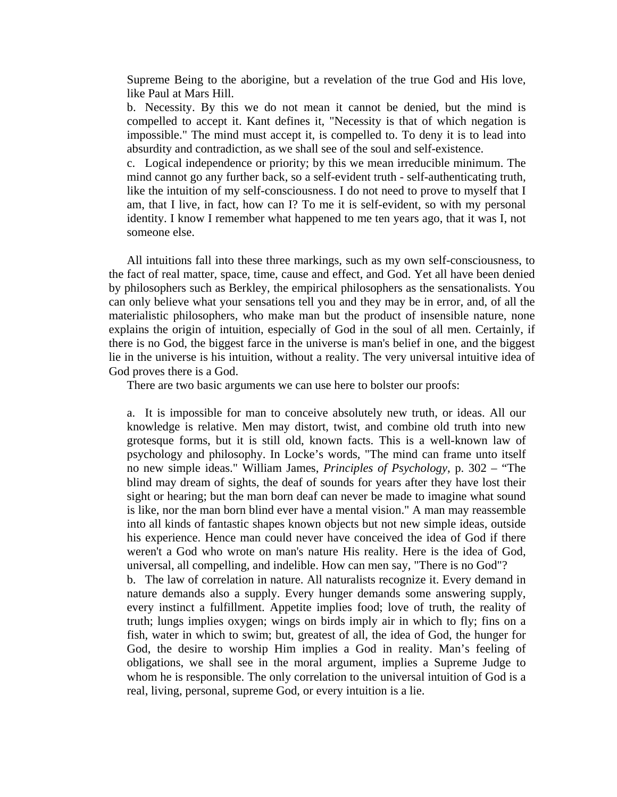Supreme Being to the aborigine, but a revelation of the true God and His love, like Paul at Mars Hill.

b. Necessity. By this we do not mean it cannot be denied, but the mind is compelled to accept it. Kant defines it, "Necessity is that of which negation is impossible." The mind must accept it, is compelled to. To deny it is to lead into absurdity and contradiction, as we shall see of the soul and self-existence.

c. Logical independence or priority; by this we mean irreducible minimum. The mind cannot go any further back, so a self-evident truth - self-authenticating truth, like the intuition of my self-consciousness. I do not need to prove to myself that I am, that I live, in fact, how can I? To me it is self-evident, so with my personal identity. I know I remember what happened to me ten years ago, that it was I, not someone else.

 All intuitions fall into these three markings, such as my own self-consciousness, to the fact of real matter, space, time, cause and effect, and God. Yet all have been denied by philosophers such as Berkley, the empirical philosophers as the sensationalists. You can only believe what your sensations tell you and they may be in error, and, of all the materialistic philosophers, who make man but the product of insensible nature, none explains the origin of intuition, especially of God in the soul of all men. Certainly, if there is no God, the biggest farce in the universe is man's belief in one, and the biggest lie in the universe is his intuition, without a reality. The very universal intuitive idea of God proves there is a God.

There are two basic arguments we can use here to bolster our proofs:

a. It is impossible for man to conceive absolutely new truth, or ideas. All our knowledge is relative. Men may distort, twist, and combine old truth into new grotesque forms, but it is still old, known facts. This is a well-known law of psychology and philosophy. In Locke's words, "The mind can frame unto itself no new simple ideas." William James, *Principles of Psychology*, p. 302 – "The blind may dream of sights, the deaf of sounds for years after they have lost their sight or hearing; but the man born deaf can never be made to imagine what sound is like, nor the man born blind ever have a mental vision." A man may reassemble into all kinds of fantastic shapes known objects but not new simple ideas, outside his experience. Hence man could never have conceived the idea of God if there weren't a God who wrote on man's nature His reality. Here is the idea of God, universal, all compelling, and indelible. How can men say, "There is no God"? b. The law of correlation in nature. All naturalists recognize it. Every demand in nature demands also a supply. Every hunger demands some answering supply, every instinct a fulfillment. Appetite implies food; love of truth, the reality of truth; lungs implies oxygen; wings on birds imply air in which to fly; fins on a fish, water in which to swim; but, greatest of all, the idea of God, the hunger for

God, the desire to worship Him implies a God in reality. Man's feeling of obligations, we shall see in the moral argument, implies a Supreme Judge to whom he is responsible. The only correlation to the universal intuition of God is a real, living, personal, supreme God, or every intuition is a lie.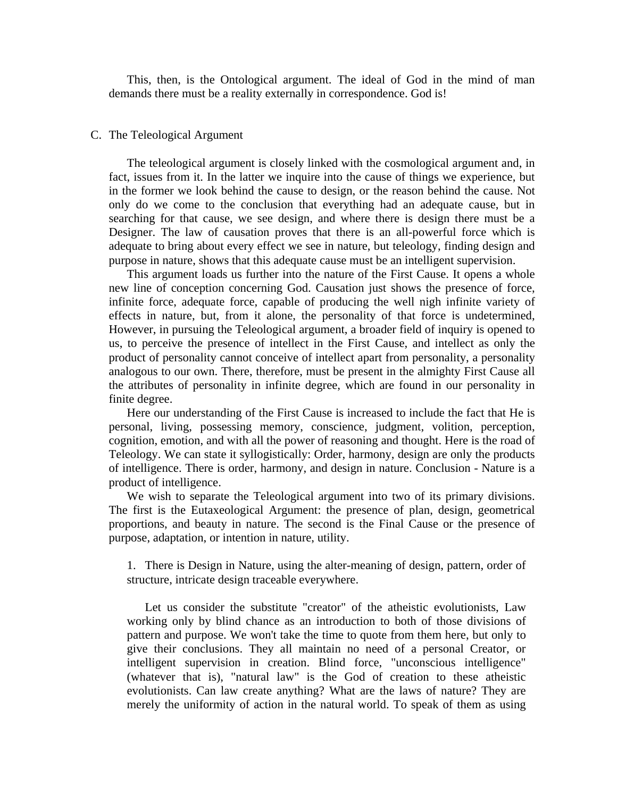This, then, is the Ontological argument. The ideal of God in the mind of man demands there must be a reality externally in correspondence. God is!

#### C. The Teleological Argument

 The teleological argument is closely linked with the cosmological argument and, in fact, issues from it. In the latter we inquire into the cause of things we experience, but in the former we look behind the cause to design, or the reason behind the cause. Not only do we come to the conclusion that everything had an adequate cause, but in searching for that cause, we see design, and where there is design there must be a Designer. The law of causation proves that there is an all-powerful force which is adequate to bring about every effect we see in nature, but teleology, finding design and purpose in nature, shows that this adequate cause must be an intelligent supervision.

 This argument loads us further into the nature of the First Cause. It opens a whole new line of conception concerning God. Causation just shows the presence of force, infinite force, adequate force, capable of producing the well nigh infinite variety of effects in nature, but, from it alone, the personality of that force is undetermined, However, in pursuing the Teleological argument, a broader field of inquiry is opened to us, to perceive the presence of intellect in the First Cause, and intellect as only the product of personality cannot conceive of intellect apart from personality, a personality analogous to our own. There, therefore, must be present in the almighty First Cause all the attributes of personality in infinite degree, which are found in our personality in finite degree.

 Here our understanding of the First Cause is increased to include the fact that He is personal, living, possessing memory, conscience, judgment, volition, perception, cognition, emotion, and with all the power of reasoning and thought. Here is the road of Teleology. We can state it syllogistically: Order, harmony, design are only the products of intelligence. There is order, harmony, and design in nature. Conclusion - Nature is a product of intelligence.

 We wish to separate the Teleological argument into two of its primary divisions. The first is the Eutaxeological Argument: the presence of plan, design, geometrical proportions, and beauty in nature. The second is the Final Cause or the presence of purpose, adaptation, or intention in nature, utility.

1. There is Design in Nature, using the alter-meaning of design, pattern, order of structure, intricate design traceable everywhere.

 Let us consider the substitute "creator" of the atheistic evolutionists, Law working only by blind chance as an introduction to both of those divisions of pattern and purpose. We won't take the time to quote from them here, but only to give their conclusions. They all maintain no need of a personal Creator, or intelligent supervision in creation. Blind force, "unconscious intelligence" (whatever that is), "natural law" is the God of creation to these atheistic evolutionists. Can law create anything? What are the laws of nature? They are merely the uniformity of action in the natural world. To speak of them as using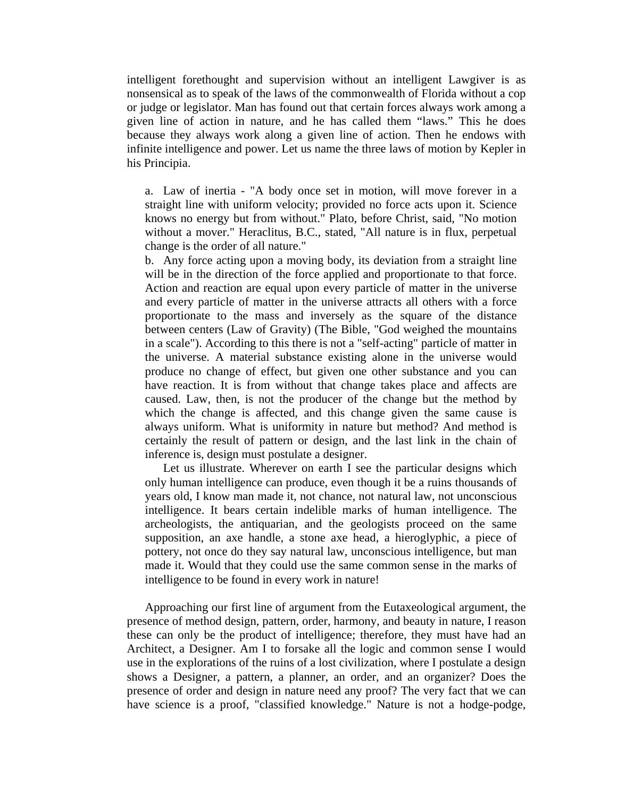intelligent forethought and supervision without an intelligent Lawgiver is as nonsensical as to speak of the laws of the commonwealth of Florida without a cop or judge or legislator. Man has found out that certain forces always work among a given line of action in nature, and he has called them "laws." This he does because they always work along a given line of action. Then he endows with infinite intelligence and power. Let us name the three laws of motion by Kepler in his Principia.

a. Law of inertia - "A body once set in motion, will move forever in a straight line with uniform velocity; provided no force acts upon it. Science knows no energy but from without." Plato, before Christ, said, "No motion without a mover." Heraclitus, B.C., stated, "All nature is in flux, perpetual change is the order of all nature."

b. Any force acting upon a moving body, its deviation from a straight line will be in the direction of the force applied and proportionate to that force. Action and reaction are equal upon every particle of matter in the universe and every particle of matter in the universe attracts all others with a force proportionate to the mass and inversely as the square of the distance between centers (Law of Gravity) (The Bible, "God weighed the mountains in a scale"). According to this there is not a "self-acting" particle of matter in the universe. A material substance existing alone in the universe would produce no change of effect, but given one other substance and you can have reaction. It is from without that change takes place and affects are caused. Law, then, is not the producer of the change but the method by which the change is affected, and this change given the same cause is always uniform. What is uniformity in nature but method? And method is certainly the result of pattern or design, and the last link in the chain of inference is, design must postulate a designer.

 Let us illustrate. Wherever on earth I see the particular designs which only human intelligence can produce, even though it be a ruins thousands of years old, I know man made it, not chance, not natural law, not unconscious intelligence. It bears certain indelible marks of human intelligence. The archeologists, the antiquarian, and the geologists proceed on the same supposition, an axe handle, a stone axe head, a hieroglyphic, a piece of pottery, not once do they say natural law, unconscious intelligence, but man made it. Would that they could use the same common sense in the marks of intelligence to be found in every work in nature!

 Approaching our first line of argument from the Eutaxeological argument, the presence of method design, pattern, order, harmony, and beauty in nature, I reason these can only be the product of intelligence; therefore, they must have had an Architect, a Designer. Am I to forsake all the logic and common sense I would use in the explorations of the ruins of a lost civilization, where I postulate a design shows a Designer, a pattern, a planner, an order, and an organizer? Does the presence of order and design in nature need any proof? The very fact that we can have science is a proof, "classified knowledge." Nature is not a hodge-podge,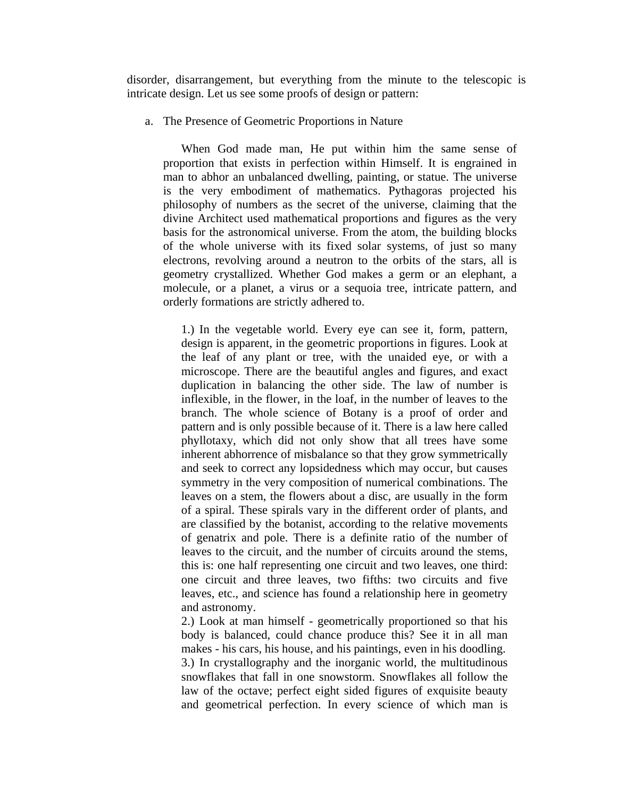disorder, disarrangement, but everything from the minute to the telescopic is intricate design. Let us see some proofs of design or pattern:

a. The Presence of Geometric Proportions in Nature

 When God made man, He put within him the same sense of proportion that exists in perfection within Himself. It is engrained in man to abhor an unbalanced dwelling, painting, or statue. The universe is the very embodiment of mathematics. Pythagoras projected his philosophy of numbers as the secret of the universe, claiming that the divine Architect used mathematical proportions and figures as the very basis for the astronomical universe. From the atom, the building blocks of the whole universe with its fixed solar systems, of just so many electrons, revolving around a neutron to the orbits of the stars, all is geometry crystallized. Whether God makes a germ or an elephant, a molecule, or a planet, a virus or a sequoia tree, intricate pattern, and orderly formations are strictly adhered to.

1.) In the vegetable world. Every eye can see it, form, pattern, design is apparent, in the geometric proportions in figures. Look at the leaf of any plant or tree, with the unaided eye, or with a microscope. There are the beautiful angles and figures, and exact duplication in balancing the other side. The law of number is inflexible, in the flower, in the loaf, in the number of leaves to the branch. The whole science of Botany is a proof of order and pattern and is only possible because of it. There is a law here called phyllotaxy, which did not only show that all trees have some inherent abhorrence of misbalance so that they grow symmetrically and seek to correct any lopsidedness which may occur, but causes symmetry in the very composition of numerical combinations. The leaves on a stem, the flowers about a disc, are usually in the form of a spiral. These spirals vary in the different order of plants, and are classified by the botanist, according to the relative movements of genatrix and pole. There is a definite ratio of the number of leaves to the circuit, and the number of circuits around the stems, this is: one half representing one circuit and two leaves, one third: one circuit and three leaves, two fifths: two circuits and five leaves, etc., and science has found a relationship here in geometry and astronomy.

2.) Look at man himself - geometrically proportioned so that his body is balanced, could chance produce this? See it in all man makes - his cars, his house, and his paintings, even in his doodling. 3.) In crystallography and the inorganic world, the multitudinous snowflakes that fall in one snowstorm. Snowflakes all follow the law of the octave; perfect eight sided figures of exquisite beauty and geometrical perfection. In every science of which man is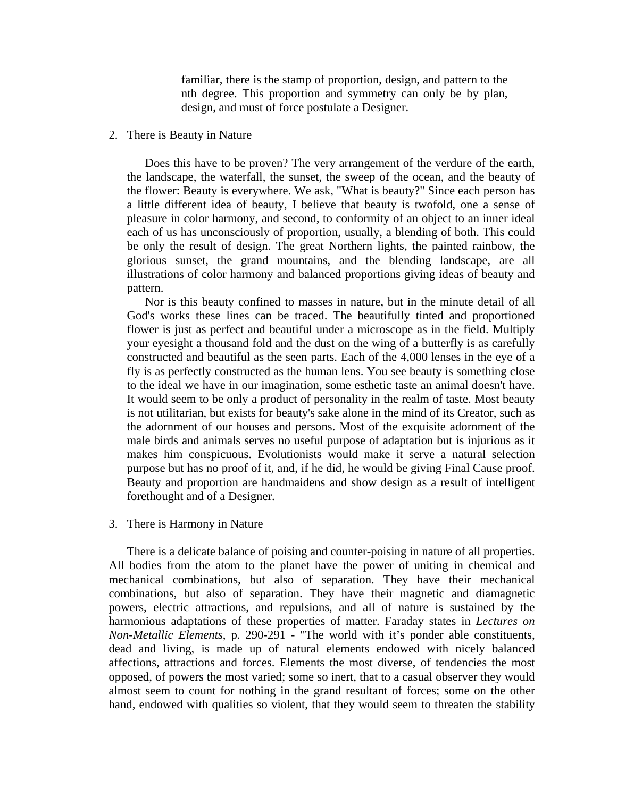familiar, there is the stamp of proportion, design, and pattern to the nth degree. This proportion and symmetry can only be by plan, design, and must of force postulate a Designer.

#### 2. There is Beauty in Nature

 Does this have to be proven? The very arrangement of the verdure of the earth, the landscape, the waterfall, the sunset, the sweep of the ocean, and the beauty of the flower: Beauty is everywhere. We ask, "What is beauty?" Since each person has a little different idea of beauty, I believe that beauty is twofold, one a sense of pleasure in color harmony, and second, to conformity of an object to an inner ideal each of us has unconsciously of proportion, usually, a blending of both. This could be only the result of design. The great Northern lights, the painted rainbow, the glorious sunset, the grand mountains, and the blending landscape, are all illustrations of color harmony and balanced proportions giving ideas of beauty and pattern.

 Nor is this beauty confined to masses in nature, but in the minute detail of all God's works these lines can be traced. The beautifully tinted and proportioned flower is just as perfect and beautiful under a microscope as in the field. Multiply your eyesight a thousand fold and the dust on the wing of a butterfly is as carefully constructed and beautiful as the seen parts. Each of the 4,000 lenses in the eye of a fly is as perfectly constructed as the human lens. You see beauty is something close to the ideal we have in our imagination, some esthetic taste an animal doesn't have. It would seem to be only a product of personality in the realm of taste. Most beauty is not utilitarian, but exists for beauty's sake alone in the mind of its Creator, such as the adornment of our houses and persons. Most of the exquisite adornment of the male birds and animals serves no useful purpose of adaptation but is injurious as it makes him conspicuous. Evolutionists would make it serve a natural selection purpose but has no proof of it, and, if he did, he would be giving Final Cause proof. Beauty and proportion are handmaidens and show design as a result of intelligent forethought and of a Designer.

#### 3. There is Harmony in Nature

 There is a delicate balance of poising and counter-poising in nature of all properties. All bodies from the atom to the planet have the power of uniting in chemical and mechanical combinations, but also of separation. They have their mechanical combinations, but also of separation. They have their magnetic and diamagnetic powers, electric attractions, and repulsions, and all of nature is sustained by the harmonious adaptations of these properties of matter. Faraday states in *Lectures on Non-Metallic Elements*, p. 290-291 - "The world with it's ponder able constituents, dead and living, is made up of natural elements endowed with nicely balanced affections, attractions and forces. Elements the most diverse, of tendencies the most opposed, of powers the most varied; some so inert, that to a casual observer they would almost seem to count for nothing in the grand resultant of forces; some on the other hand, endowed with qualities so violent, that they would seem to threaten the stability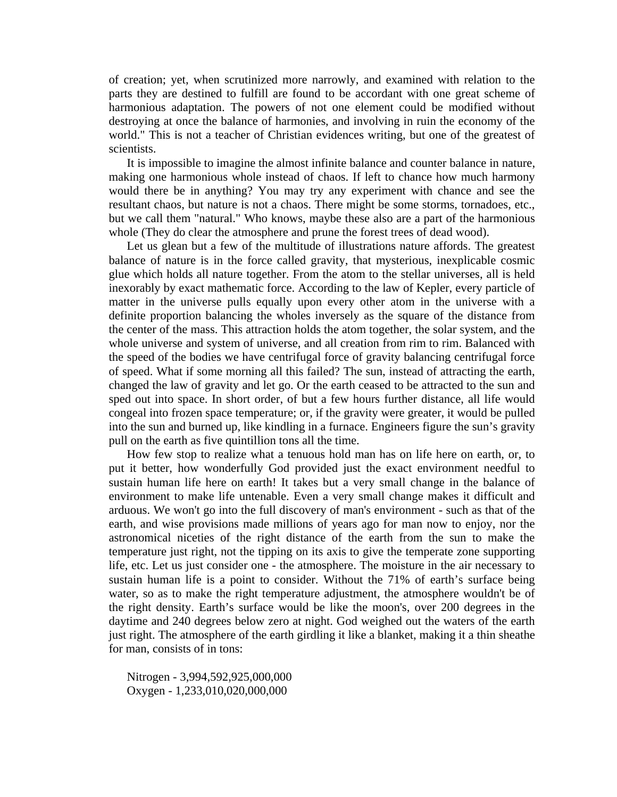of creation; yet, when scrutinized more narrowly, and examined with relation to the parts they are destined to fulfill are found to be accordant with one great scheme of harmonious adaptation. The powers of not one element could be modified without destroying at once the balance of harmonies, and involving in ruin the economy of the world." This is not a teacher of Christian evidences writing, but one of the greatest of scientists.

 It is impossible to imagine the almost infinite balance and counter balance in nature, making one harmonious whole instead of chaos. If left to chance how much harmony would there be in anything? You may try any experiment with chance and see the resultant chaos, but nature is not a chaos. There might be some storms, tornadoes, etc., but we call them "natural." Who knows, maybe these also are a part of the harmonious whole (They do clear the atmosphere and prune the forest trees of dead wood).

 Let us glean but a few of the multitude of illustrations nature affords. The greatest balance of nature is in the force called gravity, that mysterious, inexplicable cosmic glue which holds all nature together. From the atom to the stellar universes, all is held inexorably by exact mathematic force. According to the law of Kepler, every particle of matter in the universe pulls equally upon every other atom in the universe with a definite proportion balancing the wholes inversely as the square of the distance from the center of the mass. This attraction holds the atom together, the solar system, and the whole universe and system of universe, and all creation from rim to rim. Balanced with the speed of the bodies we have centrifugal force of gravity balancing centrifugal force of speed. What if some morning all this failed? The sun, instead of attracting the earth, changed the law of gravity and let go. Or the earth ceased to be attracted to the sun and sped out into space. In short order, of but a few hours further distance, all life would congeal into frozen space temperature; or, if the gravity were greater, it would be pulled into the sun and burned up, like kindling in a furnace. Engineers figure the sun's gravity pull on the earth as five quintillion tons all the time.

 How few stop to realize what a tenuous hold man has on life here on earth, or, to put it better, how wonderfully God provided just the exact environment needful to sustain human life here on earth! It takes but a very small change in the balance of environment to make life untenable. Even a very small change makes it difficult and arduous. We won't go into the full discovery of man's environment - such as that of the earth, and wise provisions made millions of years ago for man now to enjoy, nor the astronomical niceties of the right distance of the earth from the sun to make the temperature just right, not the tipping on its axis to give the temperate zone supporting life, etc. Let us just consider one - the atmosphere. The moisture in the air necessary to sustain human life is a point to consider. Without the 71% of earth's surface being water, so as to make the right temperature adjustment, the atmosphere wouldn't be of the right density. Earth's surface would be like the moon's, over 200 degrees in the daytime and 240 degrees below zero at night. God weighed out the waters of the earth just right. The atmosphere of the earth girdling it like a blanket, making it a thin sheathe for man, consists of in tons:

Nitrogen - 3,994,592,925,000,000 Oxygen - 1,233,010,020,000,000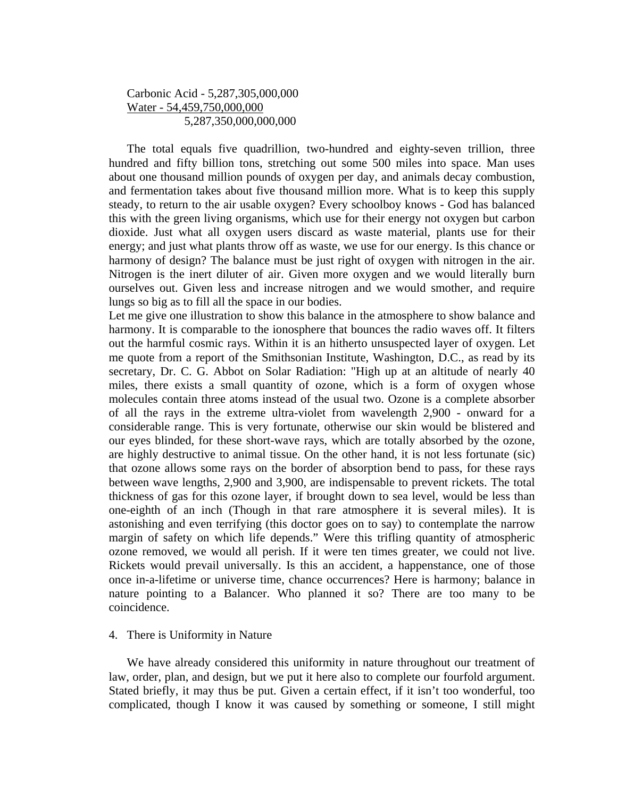# Carbonic Acid - 5,287,305,000,000 Water - 54,459,750,000,000 5,287,350,000,000,000

 The total equals five quadrillion, two-hundred and eighty-seven trillion, three hundred and fifty billion tons, stretching out some 500 miles into space. Man uses about one thousand million pounds of oxygen per day, and animals decay combustion, and fermentation takes about five thousand million more. What is to keep this supply steady, to return to the air usable oxygen? Every schoolboy knows - God has balanced this with the green living organisms, which use for their energy not oxygen but carbon dioxide. Just what all oxygen users discard as waste material, plants use for their energy; and just what plants throw off as waste, we use for our energy. Is this chance or harmony of design? The balance must be just right of oxygen with nitrogen in the air. Nitrogen is the inert diluter of air. Given more oxygen and we would literally burn ourselves out. Given less and increase nitrogen and we would smother, and require lungs so big as to fill all the space in our bodies.

Let me give one illustration to show this balance in the atmosphere to show balance and harmony. It is comparable to the ionosphere that bounces the radio waves off. It filters out the harmful cosmic rays. Within it is an hitherto unsuspected layer of oxygen. Let me quote from a report of the Smithsonian Institute, Washington, D.C., as read by its secretary, Dr. C. G. Abbot on Solar Radiation: "High up at an altitude of nearly 40 miles, there exists a small quantity of ozone, which is a form of oxygen whose molecules contain three atoms instead of the usual two. Ozone is a complete absorber of all the rays in the extreme ultra-violet from wavelength 2,900 - onward for a considerable range. This is very fortunate, otherwise our skin would be blistered and our eyes blinded, for these short-wave rays, which are totally absorbed by the ozone, are highly destructive to animal tissue. On the other hand, it is not less fortunate (sic) that ozone allows some rays on the border of absorption bend to pass, for these rays between wave lengths, 2,900 and 3,900, are indispensable to prevent rickets. The total thickness of gas for this ozone layer, if brought down to sea level, would be less than one-eighth of an inch (Though in that rare atmosphere it is several miles). It is astonishing and even terrifying (this doctor goes on to say) to contemplate the narrow margin of safety on which life depends." Were this trifling quantity of atmospheric ozone removed, we would all perish. If it were ten times greater, we could not live. Rickets would prevail universally. Is this an accident, a happenstance, one of those once in-a-lifetime or universe time, chance occurrences? Here is harmony; balance in nature pointing to a Balancer. Who planned it so? There are too many to be coincidence.

# 4. There is Uniformity in Nature

 We have already considered this uniformity in nature throughout our treatment of law, order, plan, and design, but we put it here also to complete our fourfold argument. Stated briefly, it may thus be put. Given a certain effect, if it isn't too wonderful, too complicated, though I know it was caused by something or someone, I still might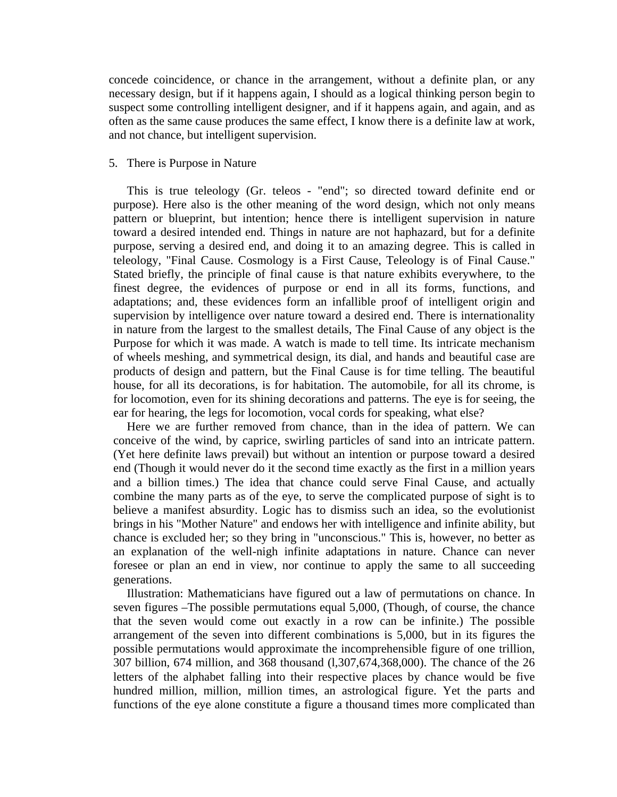concede coincidence, or chance in the arrangement, without a definite plan, or any necessary design, but if it happens again, I should as a logical thinking person begin to suspect some controlling intelligent designer, and if it happens again, and again, and as often as the same cause produces the same effect, I know there is a definite law at work, and not chance, but intelligent supervision.

## 5. There is Purpose in Nature

 This is true teleology (Gr. teleos - "end"; so directed toward definite end or purpose). Here also is the other meaning of the word design, which not only means pattern or blueprint, but intention; hence there is intelligent supervision in nature toward a desired intended end. Things in nature are not haphazard, but for a definite purpose, serving a desired end, and doing it to an amazing degree. This is called in teleology, "Final Cause. Cosmology is a First Cause, Teleology is of Final Cause." Stated briefly, the principle of final cause is that nature exhibits everywhere, to the finest degree, the evidences of purpose or end in all its forms, functions, and adaptations; and, these evidences form an infallible proof of intelligent origin and supervision by intelligence over nature toward a desired end. There is internationality in nature from the largest to the smallest details, The Final Cause of any object is the Purpose for which it was made. A watch is made to tell time. Its intricate mechanism of wheels meshing, and symmetrical design, its dial, and hands and beautiful case are products of design and pattern, but the Final Cause is for time telling. The beautiful house, for all its decorations, is for habitation. The automobile, for all its chrome, is for locomotion, even for its shining decorations and patterns. The eye is for seeing, the ear for hearing, the legs for locomotion, vocal cords for speaking, what else?

 Here we are further removed from chance, than in the idea of pattern. We can conceive of the wind, by caprice, swirling particles of sand into an intricate pattern. (Yet here definite laws prevail) but without an intention or purpose toward a desired end (Though it would never do it the second time exactly as the first in a million years and a billion times.) The idea that chance could serve Final Cause, and actually combine the many parts as of the eye, to serve the complicated purpose of sight is to believe a manifest absurdity. Logic has to dismiss such an idea, so the evolutionist brings in his "Mother Nature" and endows her with intelligence and infinite ability, but chance is excluded her; so they bring in "unconscious." This is, however, no better as an explanation of the well-nigh infinite adaptations in nature. Chance can never foresee or plan an end in view, nor continue to apply the same to all succeeding generations.

 Illustration: Mathematicians have figured out a law of permutations on chance. In seven figures –The possible permutations equal 5,000, (Though, of course, the chance that the seven would come out exactly in a row can be infinite.) The possible arrangement of the seven into different combinations is 5,000, but in its figures the possible permutations would approximate the incomprehensible figure of one trillion, 307 billion, 674 million, and 368 thousand (l,307,674,368,000). The chance of the 26 letters of the alphabet falling into their respective places by chance would be five hundred million, million, million times, an astrological figure. Yet the parts and functions of the eye alone constitute a figure a thousand times more complicated than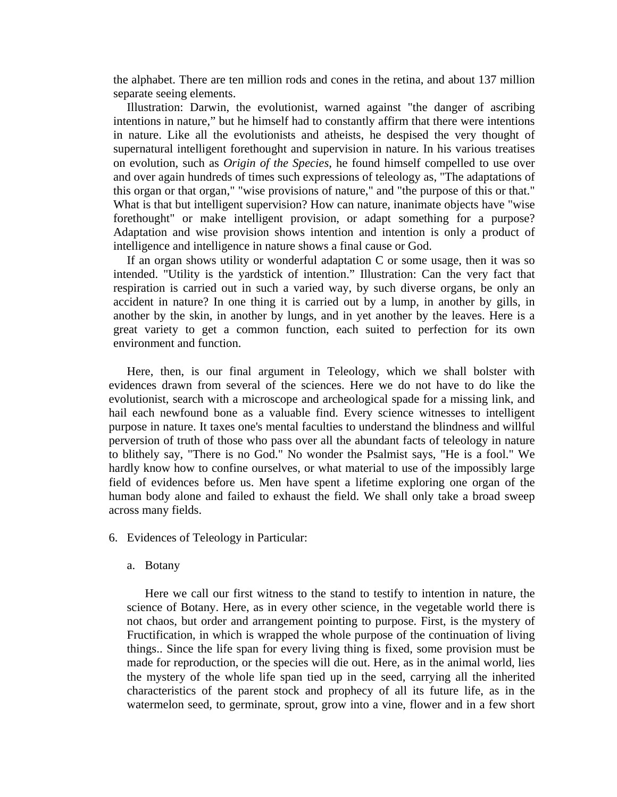the alphabet. There are ten million rods and cones in the retina, and about 137 million separate seeing elements.

 Illustration: Darwin, the evolutionist, warned against "the danger of ascribing intentions in nature," but he himself had to constantly affirm that there were intentions in nature. Like all the evolutionists and atheists, he despised the very thought of supernatural intelligent forethought and supervision in nature. In his various treatises on evolution, such as *Origin of the Species*, he found himself compelled to use over and over again hundreds of times such expressions of teleology as, "The adaptations of this organ or that organ," "wise provisions of nature," and "the purpose of this or that." What is that but intelligent supervision? How can nature, inanimate objects have "wise forethought" or make intelligent provision, or adapt something for a purpose? Adaptation and wise provision shows intention and intention is only a product of intelligence and intelligence in nature shows a final cause or God.

 If an organ shows utility or wonderful adaptation C or some usage, then it was so intended. "Utility is the yardstick of intention." Illustration: Can the very fact that respiration is carried out in such a varied way, by such diverse organs, be only an accident in nature? In one thing it is carried out by a lump, in another by gills, in another by the skin, in another by lungs, and in yet another by the leaves. Here is a great variety to get a common function, each suited to perfection for its own environment and function.

 Here, then, is our final argument in Teleology, which we shall bolster with evidences drawn from several of the sciences. Here we do not have to do like the evolutionist, search with a microscope and archeological spade for a missing link, and hail each newfound bone as a valuable find. Every science witnesses to intelligent purpose in nature. It taxes one's mental faculties to understand the blindness and willful perversion of truth of those who pass over all the abundant facts of teleology in nature to blithely say, "There is no God." No wonder the Psalmist says, "He is a fool." We hardly know how to confine ourselves, or what material to use of the impossibly large field of evidences before us. Men have spent a lifetime exploring one organ of the human body alone and failed to exhaust the field. We shall only take a broad sweep across many fields.

6. Evidences of Teleology in Particular:

#### a. Botany

 Here we call our first witness to the stand to testify to intention in nature, the science of Botany. Here, as in every other science, in the vegetable world there is not chaos, but order and arrangement pointing to purpose. First, is the mystery of Fructification, in which is wrapped the whole purpose of the continuation of living things.. Since the life span for every living thing is fixed, some provision must be made for reproduction, or the species will die out. Here, as in the animal world, lies the mystery of the whole life span tied up in the seed, carrying all the inherited characteristics of the parent stock and prophecy of all its future life, as in the watermelon seed, to germinate, sprout, grow into a vine, flower and in a few short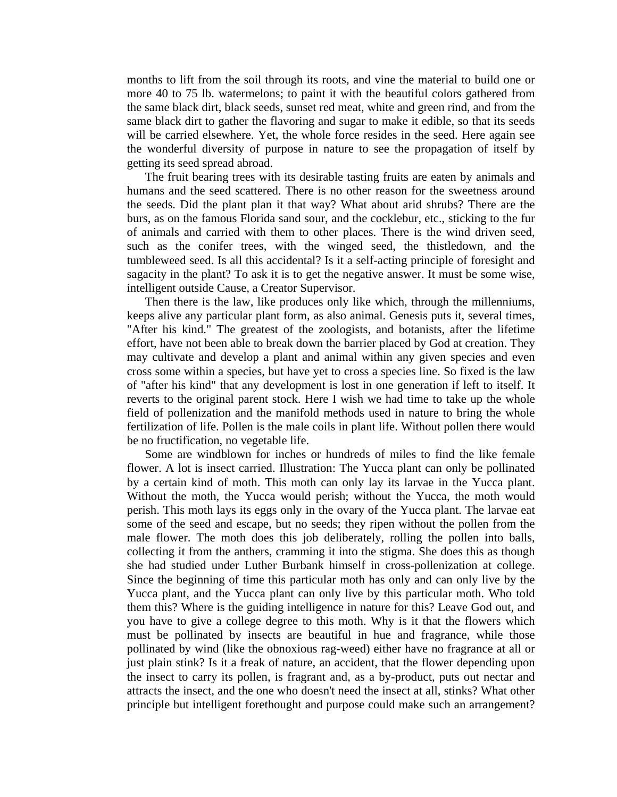months to lift from the soil through its roots, and vine the material to build one or more 40 to 75 lb. watermelons; to paint it with the beautiful colors gathered from the same black dirt, black seeds, sunset red meat, white and green rind, and from the same black dirt to gather the flavoring and sugar to make it edible, so that its seeds will be carried elsewhere. Yet, the whole force resides in the seed. Here again see the wonderful diversity of purpose in nature to see the propagation of itself by getting its seed spread abroad.

 The fruit bearing trees with its desirable tasting fruits are eaten by animals and humans and the seed scattered. There is no other reason for the sweetness around the seeds. Did the plant plan it that way? What about arid shrubs? There are the burs, as on the famous Florida sand sour, and the cocklebur, etc., sticking to the fur of animals and carried with them to other places. There is the wind driven seed, such as the conifer trees, with the winged seed, the thistledown, and the tumbleweed seed. Is all this accidental? Is it a self-acting principle of foresight and sagacity in the plant? To ask it is to get the negative answer. It must be some wise, intelligent outside Cause, a Creator Supervisor.

 Then there is the law, like produces only like which, through the millenniums, keeps alive any particular plant form, as also animal. Genesis puts it, several times, "After his kind." The greatest of the zoologists, and botanists, after the lifetime effort, have not been able to break down the barrier placed by God at creation. They may cultivate and develop a plant and animal within any given species and even cross some within a species, but have yet to cross a species line. So fixed is the law of "after his kind" that any development is lost in one generation if left to itself. It reverts to the original parent stock. Here I wish we had time to take up the whole field of pollenization and the manifold methods used in nature to bring the whole fertilization of life. Pollen is the male coils in plant life. Without pollen there would be no fructification, no vegetable life.

 Some are windblown for inches or hundreds of miles to find the like female flower. A lot is insect carried. Illustration: The Yucca plant can only be pollinated by a certain kind of moth. This moth can only lay its larvae in the Yucca plant. Without the moth, the Yucca would perish; without the Yucca, the moth would perish. This moth lays its eggs only in the ovary of the Yucca plant. The larvae eat some of the seed and escape, but no seeds; they ripen without the pollen from the male flower. The moth does this job deliberately, rolling the pollen into balls, collecting it from the anthers, cramming it into the stigma. She does this as though she had studied under Luther Burbank himself in cross-pollenization at college. Since the beginning of time this particular moth has only and can only live by the Yucca plant, and the Yucca plant can only live by this particular moth. Who told them this? Where is the guiding intelligence in nature for this? Leave God out, and you have to give a college degree to this moth. Why is it that the flowers which must be pollinated by insects are beautiful in hue and fragrance, while those pollinated by wind (like the obnoxious rag-weed) either have no fragrance at all or just plain stink? Is it a freak of nature, an accident, that the flower depending upon the insect to carry its pollen, is fragrant and, as a by-product, puts out nectar and attracts the insect, and the one who doesn't need the insect at all, stinks? What other principle but intelligent forethought and purpose could make such an arrangement?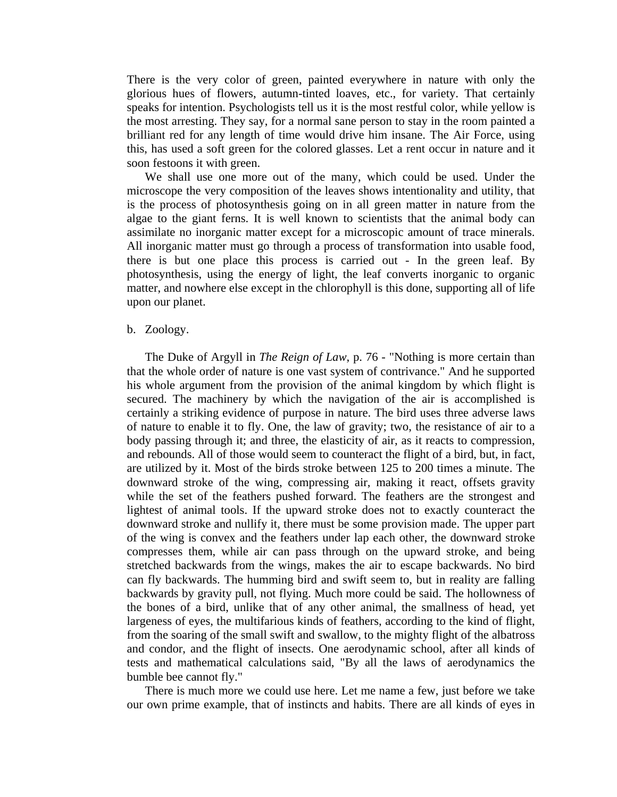There is the very color of green, painted everywhere in nature with only the glorious hues of flowers, autumn-tinted loaves, etc., for variety. That certainly speaks for intention. Psychologists tell us it is the most restful color, while yellow is the most arresting. They say, for a normal sane person to stay in the room painted a brilliant red for any length of time would drive him insane. The Air Force, using this, has used a soft green for the colored glasses. Let a rent occur in nature and it soon festoons it with green.

 We shall use one more out of the many, which could be used. Under the microscope the very composition of the leaves shows intentionality and utility, that is the process of photosynthesis going on in all green matter in nature from the algae to the giant ferns. It is well known to scientists that the animal body can assimilate no inorganic matter except for a microscopic amount of trace minerals. All inorganic matter must go through a process of transformation into usable food, there is but one place this process is carried out - In the green leaf. By photosynthesis, using the energy of light, the leaf converts inorganic to organic matter, and nowhere else except in the chlorophyll is this done, supporting all of life upon our planet.

#### b. Zoology.

 The Duke of Argyll in *The Reign of Law*, p. 76 - "Nothing is more certain than that the whole order of nature is one vast system of contrivance." And he supported his whole argument from the provision of the animal kingdom by which flight is secured. The machinery by which the navigation of the air is accomplished is certainly a striking evidence of purpose in nature. The bird uses three adverse laws of nature to enable it to fly. One, the law of gravity; two, the resistance of air to a body passing through it; and three, the elasticity of air, as it reacts to compression, and rebounds. All of those would seem to counteract the flight of a bird, but, in fact, are utilized by it. Most of the birds stroke between 125 to 200 times a minute. The downward stroke of the wing, compressing air, making it react, offsets gravity while the set of the feathers pushed forward. The feathers are the strongest and lightest of animal tools. If the upward stroke does not to exactly counteract the downward stroke and nullify it, there must be some provision made. The upper part of the wing is convex and the feathers under lap each other, the downward stroke compresses them, while air can pass through on the upward stroke, and being stretched backwards from the wings, makes the air to escape backwards. No bird can fly backwards. The humming bird and swift seem to, but in reality are falling backwards by gravity pull, not flying. Much more could be said. The hollowness of the bones of a bird, unlike that of any other animal, the smallness of head, yet largeness of eyes, the multifarious kinds of feathers, according to the kind of flight, from the soaring of the small swift and swallow, to the mighty flight of the albatross and condor, and the flight of insects. One aerodynamic school, after all kinds of tests and mathematical calculations said, "By all the laws of aerodynamics the bumble bee cannot fly."

 There is much more we could use here. Let me name a few, just before we take our own prime example, that of instincts and habits. There are all kinds of eyes in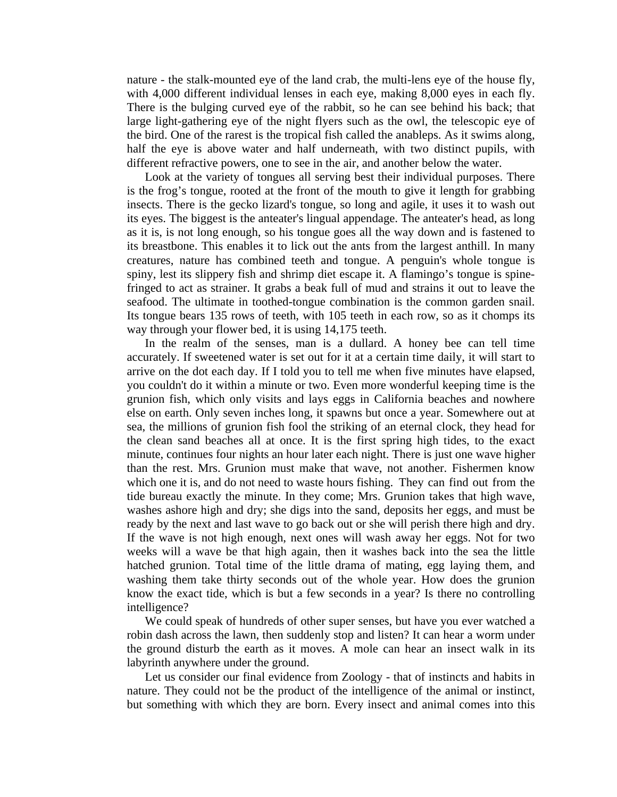nature - the stalk-mounted eye of the land crab, the multi-lens eye of the house fly, with 4,000 different individual lenses in each eye, making 8,000 eyes in each fly. There is the bulging curved eye of the rabbit, so he can see behind his back; that large light-gathering eye of the night flyers such as the owl, the telescopic eye of the bird. One of the rarest is the tropical fish called the anableps. As it swims along, half the eye is above water and half underneath, with two distinct pupils, with different refractive powers, one to see in the air, and another below the water.

 Look at the variety of tongues all serving best their individual purposes. There is the frog's tongue, rooted at the front of the mouth to give it length for grabbing insects. There is the gecko lizard's tongue, so long and agile, it uses it to wash out its eyes. The biggest is the anteater's lingual appendage. The anteater's head, as long as it is, is not long enough, so his tongue goes all the way down and is fastened to its breastbone. This enables it to lick out the ants from the largest anthill. In many creatures, nature has combined teeth and tongue. A penguin's whole tongue is spiny, lest its slippery fish and shrimp diet escape it. A flamingo's tongue is spinefringed to act as strainer. It grabs a beak full of mud and strains it out to leave the seafood. The ultimate in toothed-tongue combination is the common garden snail. Its tongue bears 135 rows of teeth, with 105 teeth in each row, so as it chomps its way through your flower bed, it is using 14,175 teeth.

 In the realm of the senses, man is a dullard. A honey bee can tell time accurately. If sweetened water is set out for it at a certain time daily, it will start to arrive on the dot each day. If I told you to tell me when five minutes have elapsed, you couldn't do it within a minute or two. Even more wonderful keeping time is the grunion fish, which only visits and lays eggs in California beaches and nowhere else on earth. Only seven inches long, it spawns but once a year. Somewhere out at sea, the millions of grunion fish fool the striking of an eternal clock, they head for the clean sand beaches all at once. It is the first spring high tides, to the exact minute, continues four nights an hour later each night. There is just one wave higher than the rest. Mrs. Grunion must make that wave, not another. Fishermen know which one it is, and do not need to waste hours fishing. They can find out from the tide bureau exactly the minute. In they come; Mrs. Grunion takes that high wave, washes ashore high and dry; she digs into the sand, deposits her eggs, and must be ready by the next and last wave to go back out or she will perish there high and dry. If the wave is not high enough, next ones will wash away her eggs. Not for two weeks will a wave be that high again, then it washes back into the sea the little hatched grunion. Total time of the little drama of mating, egg laying them, and washing them take thirty seconds out of the whole year. How does the grunion know the exact tide, which is but a few seconds in a year? Is there no controlling intelligence?

 We could speak of hundreds of other super senses, but have you ever watched a robin dash across the lawn, then suddenly stop and listen? It can hear a worm under the ground disturb the earth as it moves. A mole can hear an insect walk in its labyrinth anywhere under the ground.

 Let us consider our final evidence from Zoology - that of instincts and habits in nature. They could not be the product of the intelligence of the animal or instinct, but something with which they are born. Every insect and animal comes into this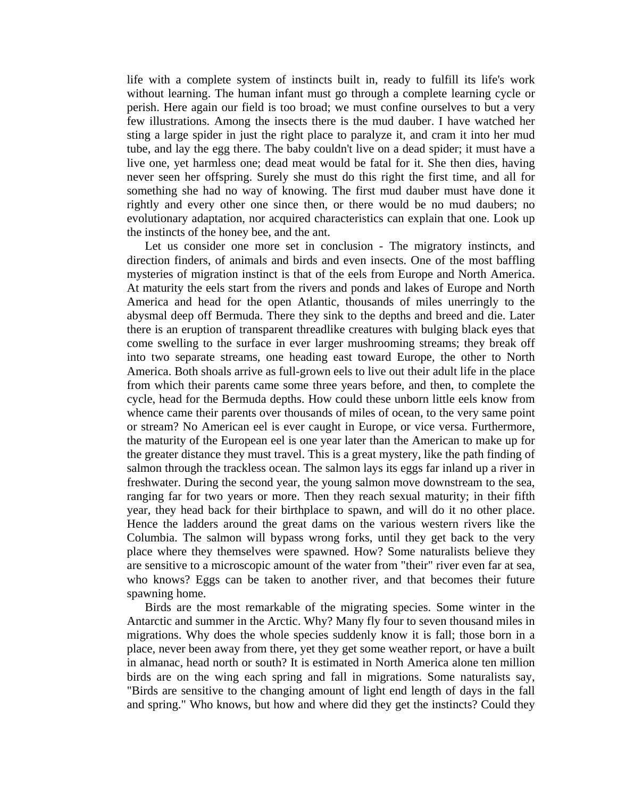life with a complete system of instincts built in, ready to fulfill its life's work without learning. The human infant must go through a complete learning cycle or perish. Here again our field is too broad; we must confine ourselves to but a very few illustrations. Among the insects there is the mud dauber. I have watched her sting a large spider in just the right place to paralyze it, and cram it into her mud tube, and lay the egg there. The baby couldn't live on a dead spider; it must have a live one, yet harmless one; dead meat would be fatal for it. She then dies, having never seen her offspring. Surely she must do this right the first time, and all for something she had no way of knowing. The first mud dauber must have done it rightly and every other one since then, or there would be no mud daubers; no evolutionary adaptation, nor acquired characteristics can explain that one. Look up the instincts of the honey bee, and the ant.

 Let us consider one more set in conclusion - The migratory instincts, and direction finders, of animals and birds and even insects. One of the most baffling mysteries of migration instinct is that of the eels from Europe and North America. At maturity the eels start from the rivers and ponds and lakes of Europe and North America and head for the open Atlantic, thousands of miles unerringly to the abysmal deep off Bermuda. There they sink to the depths and breed and die. Later there is an eruption of transparent threadlike creatures with bulging black eyes that come swelling to the surface in ever larger mushrooming streams; they break off into two separate streams, one heading east toward Europe, the other to North America. Both shoals arrive as full-grown eels to live out their adult life in the place from which their parents came some three years before, and then, to complete the cycle, head for the Bermuda depths. How could these unborn little eels know from whence came their parents over thousands of miles of ocean, to the very same point or stream? No American eel is ever caught in Europe, or vice versa. Furthermore, the maturity of the European eel is one year later than the American to make up for the greater distance they must travel. This is a great mystery, like the path finding of salmon through the trackless ocean. The salmon lays its eggs far inland up a river in freshwater. During the second year, the young salmon move downstream to the sea, ranging far for two years or more. Then they reach sexual maturity; in their fifth year, they head back for their birthplace to spawn, and will do it no other place. Hence the ladders around the great dams on the various western rivers like the Columbia. The salmon will bypass wrong forks, until they get back to the very place where they themselves were spawned. How? Some naturalists believe they are sensitive to a microscopic amount of the water from "their" river even far at sea, who knows? Eggs can be taken to another river, and that becomes their future spawning home.

 Birds are the most remarkable of the migrating species. Some winter in the Antarctic and summer in the Arctic. Why? Many fly four to seven thousand miles in migrations. Why does the whole species suddenly know it is fall; those born in a place, never been away from there, yet they get some weather report, or have a built in almanac, head north or south? It is estimated in North America alone ten million birds are on the wing each spring and fall in migrations. Some naturalists say, "Birds are sensitive to the changing amount of light end length of days in the fall and spring." Who knows, but how and where did they get the instincts? Could they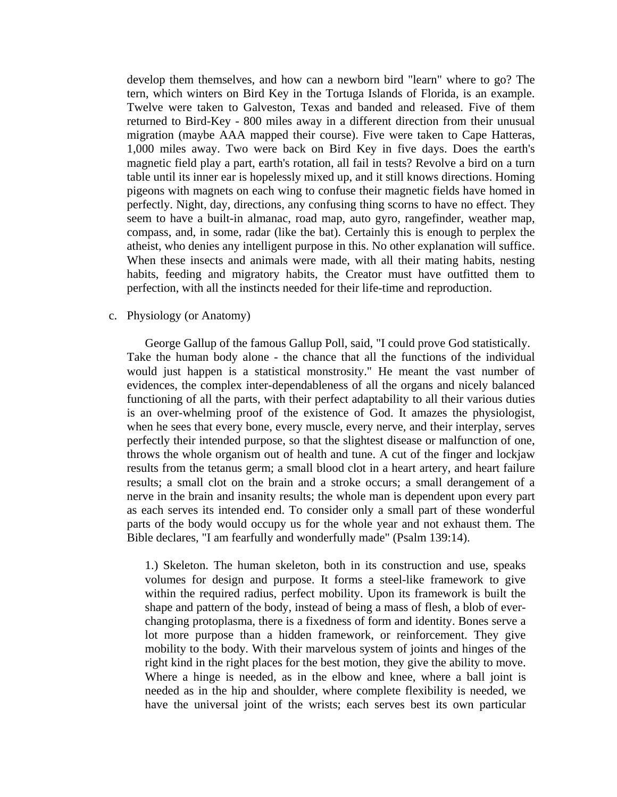develop them themselves, and how can a newborn bird "learn" where to go? The tern, which winters on Bird Key in the Tortuga Islands of Florida, is an example. Twelve were taken to Galveston, Texas and banded and released. Five of them returned to Bird-Key - 800 miles away in a different direction from their unusual migration (maybe AAA mapped their course). Five were taken to Cape Hatteras, 1,000 miles away. Two were back on Bird Key in five days. Does the earth's magnetic field play a part, earth's rotation, all fail in tests? Revolve a bird on a turn table until its inner ear is hopelessly mixed up, and it still knows directions. Homing pigeons with magnets on each wing to confuse their magnetic fields have homed in perfectly. Night, day, directions, any confusing thing scorns to have no effect. They seem to have a built-in almanac, road map, auto gyro, rangefinder, weather map, compass, and, in some, radar (like the bat). Certainly this is enough to perplex the atheist, who denies any intelligent purpose in this. No other explanation will suffice. When these insects and animals were made, with all their mating habits, nesting habits, feeding and migratory habits, the Creator must have outfitted them to perfection, with all the instincts needed for their life-time and reproduction.

# c. Physiology (or Anatomy)

 George Gallup of the famous Gallup Poll, said, "I could prove God statistically. Take the human body alone - the chance that all the functions of the individual would just happen is a statistical monstrosity." He meant the vast number of evidences, the complex inter-dependableness of all the organs and nicely balanced functioning of all the parts, with their perfect adaptability to all their various duties is an over-whelming proof of the existence of God. It amazes the physiologist, when he sees that every bone, every muscle, every nerve, and their interplay, serves perfectly their intended purpose, so that the slightest disease or malfunction of one, throws the whole organism out of health and tune. A cut of the finger and lockjaw results from the tetanus germ; a small blood clot in a heart artery, and heart failure results; a small clot on the brain and a stroke occurs; a small derangement of a nerve in the brain and insanity results; the whole man is dependent upon every part as each serves its intended end. To consider only a small part of these wonderful parts of the body would occupy us for the whole year and not exhaust them. The Bible declares, "I am fearfully and wonderfully made" (Psalm 139:14).

1.) Skeleton. The human skeleton, both in its construction and use, speaks volumes for design and purpose. It forms a steel-like framework to give within the required radius, perfect mobility. Upon its framework is built the shape and pattern of the body, instead of being a mass of flesh, a blob of everchanging protoplasma, there is a fixedness of form and identity. Bones serve a lot more purpose than a hidden framework, or reinforcement. They give mobility to the body. With their marvelous system of joints and hinges of the right kind in the right places for the best motion, they give the ability to move. Where a hinge is needed, as in the elbow and knee, where a ball joint is needed as in the hip and shoulder, where complete flexibility is needed, we have the universal joint of the wrists; each serves best its own particular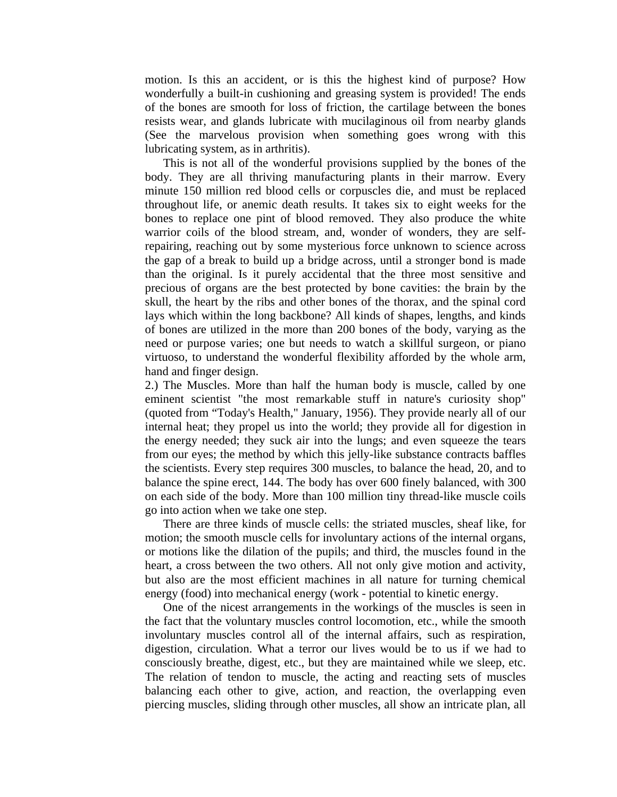motion. Is this an accident, or is this the highest kind of purpose? How wonderfully a built-in cushioning and greasing system is provided! The ends of the bones are smooth for loss of friction, the cartilage between the bones resists wear, and glands lubricate with mucilaginous oil from nearby glands (See the marvelous provision when something goes wrong with this lubricating system, as in arthritis).

 This is not all of the wonderful provisions supplied by the bones of the body. They are all thriving manufacturing plants in their marrow. Every minute 150 million red blood cells or corpuscles die, and must be replaced throughout life, or anemic death results. It takes six to eight weeks for the bones to replace one pint of blood removed. They also produce the white warrior coils of the blood stream, and, wonder of wonders, they are selfrepairing, reaching out by some mysterious force unknown to science across the gap of a break to build up a bridge across, until a stronger bond is made than the original. Is it purely accidental that the three most sensitive and precious of organs are the best protected by bone cavities: the brain by the skull, the heart by the ribs and other bones of the thorax, and the spinal cord lays which within the long backbone? All kinds of shapes, lengths, and kinds of bones are utilized in the more than 200 bones of the body, varying as the need or purpose varies; one but needs to watch a skillful surgeon, or piano virtuoso, to understand the wonderful flexibility afforded by the whole arm, hand and finger design.

2.) The Muscles. More than half the human body is muscle, called by one eminent scientist "the most remarkable stuff in nature's curiosity shop" (quoted from "Today's Health," January, 1956). They provide nearly all of our internal heat; they propel us into the world; they provide all for digestion in the energy needed; they suck air into the lungs; and even squeeze the tears from our eyes; the method by which this jelly-like substance contracts baffles the scientists. Every step requires 300 muscles, to balance the head, 20, and to balance the spine erect, 144. The body has over 600 finely balanced, with 300 on each side of the body. More than 100 million tiny thread-like muscle coils go into action when we take one step.

 There are three kinds of muscle cells: the striated muscles, sheaf like, for motion; the smooth muscle cells for involuntary actions of the internal organs, or motions like the dilation of the pupils; and third, the muscles found in the heart, a cross between the two others. All not only give motion and activity, but also are the most efficient machines in all nature for turning chemical energy (food) into mechanical energy (work - potential to kinetic energy.

 One of the nicest arrangements in the workings of the muscles is seen in the fact that the voluntary muscles control locomotion, etc., while the smooth involuntary muscles control all of the internal affairs, such as respiration, digestion, circulation. What a terror our lives would be to us if we had to consciously breathe, digest, etc., but they are maintained while we sleep, etc. The relation of tendon to muscle, the acting and reacting sets of muscles balancing each other to give, action, and reaction, the overlapping even piercing muscles, sliding through other muscles, all show an intricate plan, all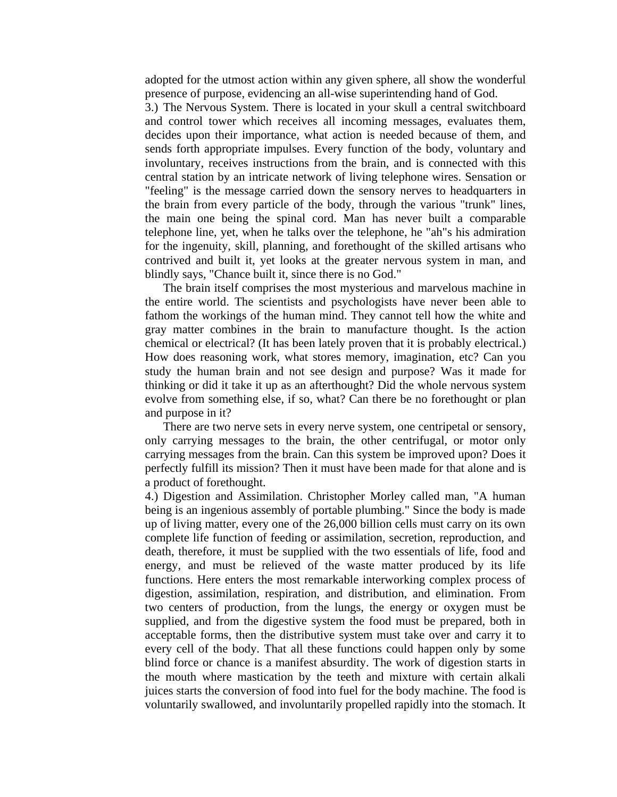adopted for the utmost action within any given sphere, all show the wonderful presence of purpose, evidencing an all-wise superintending hand of God.

3.) The Nervous System. There is located in your skull a central switchboard and control tower which receives all incoming messages, evaluates them, decides upon their importance, what action is needed because of them, and sends forth appropriate impulses. Every function of the body, voluntary and involuntary, receives instructions from the brain, and is connected with this central station by an intricate network of living telephone wires. Sensation or "feeling" is the message carried down the sensory nerves to headquarters in the brain from every particle of the body, through the various "trunk" lines, the main one being the spinal cord. Man has never built a comparable telephone line, yet, when he talks over the telephone, he "ah"s his admiration for the ingenuity, skill, planning, and forethought of the skilled artisans who contrived and built it, yet looks at the greater nervous system in man, and blindly says, "Chance built it, since there is no God."

 The brain itself comprises the most mysterious and marvelous machine in the entire world. The scientists and psychologists have never been able to fathom the workings of the human mind. They cannot tell how the white and gray matter combines in the brain to manufacture thought. Is the action chemical or electrical? (It has been lately proven that it is probably electrical.) How does reasoning work, what stores memory, imagination, etc? Can you study the human brain and not see design and purpose? Was it made for thinking or did it take it up as an afterthought? Did the whole nervous system evolve from something else, if so, what? Can there be no forethought or plan and purpose in it?

 There are two nerve sets in every nerve system, one centripetal or sensory, only carrying messages to the brain, the other centrifugal, or motor only carrying messages from the brain. Can this system be improved upon? Does it perfectly fulfill its mission? Then it must have been made for that alone and is a product of forethought.

4.) Digestion and Assimilation. Christopher Morley called man, "A human being is an ingenious assembly of portable plumbing." Since the body is made up of living matter, every one of the 26,000 billion cells must carry on its own complete life function of feeding or assimilation, secretion, reproduction, and death, therefore, it must be supplied with the two essentials of life, food and energy, and must be relieved of the waste matter produced by its life functions. Here enters the most remarkable interworking complex process of digestion, assimilation, respiration, and distribution, and elimination. From two centers of production, from the lungs, the energy or oxygen must be supplied, and from the digestive system the food must be prepared, both in acceptable forms, then the distributive system must take over and carry it to every cell of the body. That all these functions could happen only by some blind force or chance is a manifest absurdity. The work of digestion starts in the mouth where mastication by the teeth and mixture with certain alkali juices starts the conversion of food into fuel for the body machine. The food is voluntarily swallowed, and involuntarily propelled rapidly into the stomach. It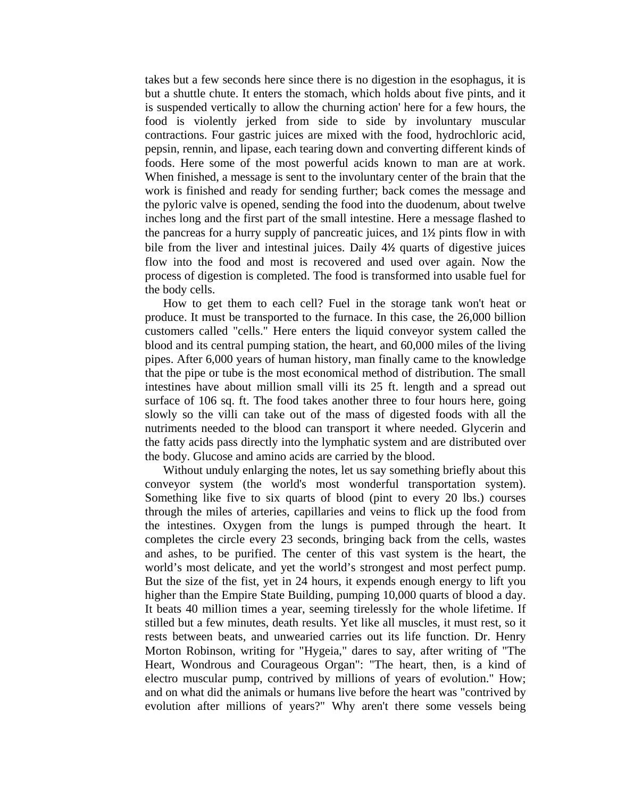takes but a few seconds here since there is no digestion in the esophagus, it is but a shuttle chute. It enters the stomach, which holds about five pints, and it is suspended vertically to allow the churning action' here for a few hours, the food is violently jerked from side to side by involuntary muscular contractions. Four gastric juices are mixed with the food, hydrochloric acid, pepsin, rennin, and lipase, each tearing down and converting different kinds of foods. Here some of the most powerful acids known to man are at work. When finished, a message is sent to the involuntary center of the brain that the work is finished and ready for sending further; back comes the message and the pyloric valve is opened, sending the food into the duodenum, about twelve inches long and the first part of the small intestine. Here a message flashed to the pancreas for a hurry supply of pancreatic juices, and 1½ pints flow in with bile from the liver and intestinal juices. Daily 4½ quarts of digestive juices flow into the food and most is recovered and used over again. Now the process of digestion is completed. The food is transformed into usable fuel for the body cells.

 How to get them to each cell? Fuel in the storage tank won't heat or produce. It must be transported to the furnace. In this case, the 26,000 billion customers called "cells." Here enters the liquid conveyor system called the blood and its central pumping station, the heart, and 60,000 miles of the living pipes. After 6,000 years of human history, man finally came to the knowledge that the pipe or tube is the most economical method of distribution. The small intestines have about million small villi its 25 ft. length and a spread out surface of 106 sq. ft. The food takes another three to four hours here, going slowly so the villi can take out of the mass of digested foods with all the nutriments needed to the blood can transport it where needed. Glycerin and the fatty acids pass directly into the lymphatic system and are distributed over the body. Glucose and amino acids are carried by the blood.

 Without unduly enlarging the notes, let us say something briefly about this conveyor system (the world's most wonderful transportation system). Something like five to six quarts of blood (pint to every 20 lbs.) courses through the miles of arteries, capillaries and veins to flick up the food from the intestines. Oxygen from the lungs is pumped through the heart. It completes the circle every 23 seconds, bringing back from the cells, wastes and ashes, to be purified. The center of this vast system is the heart, the world's most delicate, and yet the world's strongest and most perfect pump. But the size of the fist, yet in 24 hours, it expends enough energy to lift you higher than the Empire State Building, pumping 10,000 quarts of blood a day. It beats 40 million times a year, seeming tirelessly for the whole lifetime. If stilled but a few minutes, death results. Yet like all muscles, it must rest, so it rests between beats, and unwearied carries out its life function. Dr. Henry Morton Robinson, writing for "Hygeia," dares to say, after writing of "The Heart, Wondrous and Courageous Organ": "The heart, then, is a kind of electro muscular pump, contrived by millions of years of evolution." How; and on what did the animals or humans live before the heart was "contrived by evolution after millions of years?" Why aren't there some vessels being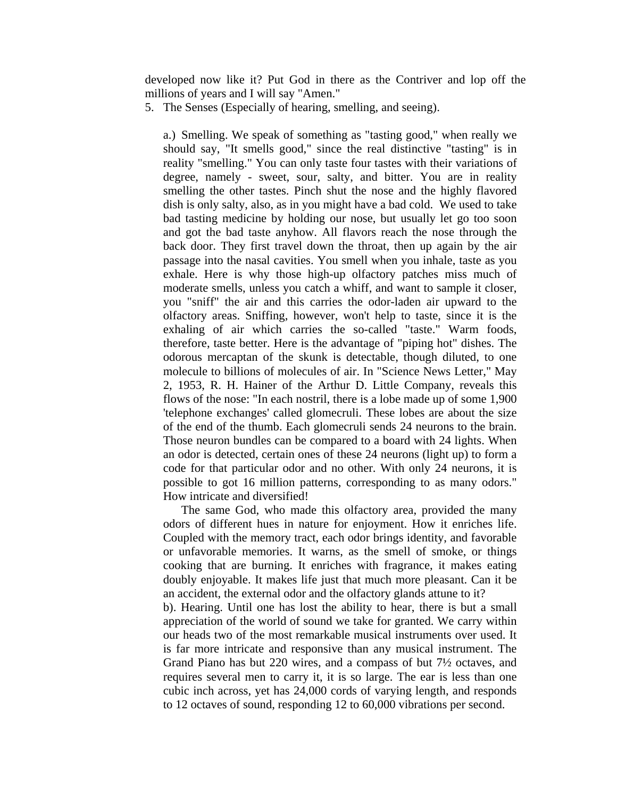developed now like it? Put God in there as the Contriver and lop off the millions of years and I will say "Amen."

5. The Senses (Especially of hearing, smelling, and seeing).

a.) Smelling. We speak of something as "tasting good," when really we should say, "It smells good," since the real distinctive "tasting" is in reality "smelling." You can only taste four tastes with their variations of degree, namely - sweet, sour, salty, and bitter. You are in reality smelling the other tastes. Pinch shut the nose and the highly flavored dish is only salty, also, as in you might have a bad cold. We used to take bad tasting medicine by holding our nose, but usually let go too soon and got the bad taste anyhow. All flavors reach the nose through the back door. They first travel down the throat, then up again by the air passage into the nasal cavities. You smell when you inhale, taste as you exhale. Here is why those high-up olfactory patches miss much of moderate smells, unless you catch a whiff, and want to sample it closer, you "sniff" the air and this carries the odor-laden air upward to the olfactory areas. Sniffing, however, won't help to taste, since it is the exhaling of air which carries the so-called "taste." Warm foods, therefore, taste better. Here is the advantage of "piping hot" dishes. The odorous mercaptan of the skunk is detectable, though diluted, to one molecule to billions of molecules of air. In "Science News Letter," May 2, 1953, R. H. Hainer of the Arthur D. Little Company, reveals this flows of the nose: "In each nostril, there is a lobe made up of some 1,900 'telephone exchanges' called glomecruli. These lobes are about the size of the end of the thumb. Each glomecruli sends 24 neurons to the brain. Those neuron bundles can be compared to a board with 24 lights. When an odor is detected, certain ones of these 24 neurons (light up) to form a code for that particular odor and no other. With only 24 neurons, it is possible to got 16 million patterns, corresponding to as many odors." How intricate and diversified!

 The same God, who made this olfactory area, provided the many odors of different hues in nature for enjoyment. How it enriches life. Coupled with the memory tract, each odor brings identity, and favorable or unfavorable memories. It warns, as the smell of smoke, or things cooking that are burning. It enriches with fragrance, it makes eating doubly enjoyable. It makes life just that much more pleasant. Can it be an accident, the external odor and the olfactory glands attune to it?

b). Hearing. Until one has lost the ability to hear, there is but a small appreciation of the world of sound we take for granted. We carry within our heads two of the most remarkable musical instruments over used. It is far more intricate and responsive than any musical instrument. The Grand Piano has but 220 wires, and a compass of but 7½ octaves, and requires several men to carry it, it is so large. The ear is less than one cubic inch across, yet has 24,000 cords of varying length, and responds to 12 octaves of sound, responding 12 to 60,000 vibrations per second.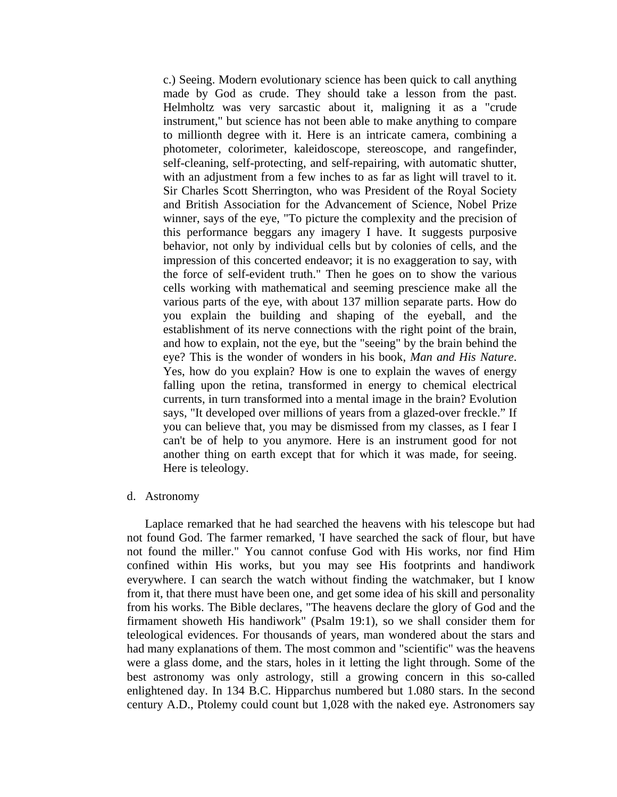c.) Seeing. Modern evolutionary science has been quick to call anything made by God as crude. They should take a lesson from the past. Helmholtz was very sarcastic about it, maligning it as a "crude instrument," but science has not been able to make anything to compare to millionth degree with it. Here is an intricate camera, combining a photometer, colorimeter, kaleidoscope, stereoscope, and rangefinder, self-cleaning, self-protecting, and self-repairing, with automatic shutter, with an adjustment from a few inches to as far as light will travel to it. Sir Charles Scott Sherrington, who was President of the Royal Society and British Association for the Advancement of Science, Nobel Prize winner, says of the eye, "To picture the complexity and the precision of this performance beggars any imagery I have. It suggests purposive behavior, not only by individual cells but by colonies of cells, and the impression of this concerted endeavor; it is no exaggeration to say, with the force of self-evident truth." Then he goes on to show the various cells working with mathematical and seeming prescience make all the various parts of the eye, with about 137 million separate parts. How do you explain the building and shaping of the eyeball, and the establishment of its nerve connections with the right point of the brain, and how to explain, not the eye, but the "seeing" by the brain behind the eye? This is the wonder of wonders in his book, *Man and His Nature*. Yes, how do you explain? How is one to explain the waves of energy falling upon the retina, transformed in energy to chemical electrical currents, in turn transformed into a mental image in the brain? Evolution says, "It developed over millions of years from a glazed-over freckle." If you can believe that, you may be dismissed from my classes, as I fear I can't be of help to you anymore. Here is an instrument good for not another thing on earth except that for which it was made, for seeing. Here is teleology.

#### d. Astronomy

 Laplace remarked that he had searched the heavens with his telescope but had not found God. The farmer remarked, 'I have searched the sack of flour, but have not found the miller." You cannot confuse God with His works, nor find Him confined within His works, but you may see His footprints and handiwork everywhere. I can search the watch without finding the watchmaker, but I know from it, that there must have been one, and get some idea of his skill and personality from his works. The Bible declares, "The heavens declare the glory of God and the firmament showeth His handiwork" (Psalm 19:1), so we shall consider them for teleological evidences. For thousands of years, man wondered about the stars and had many explanations of them. The most common and "scientific" was the heavens were a glass dome, and the stars, holes in it letting the light through. Some of the best astronomy was only astrology, still a growing concern in this so-called enlightened day. In 134 B.C. Hipparchus numbered but 1.080 stars. In the second century A.D., Ptolemy could count but 1,028 with the naked eye. Astronomers say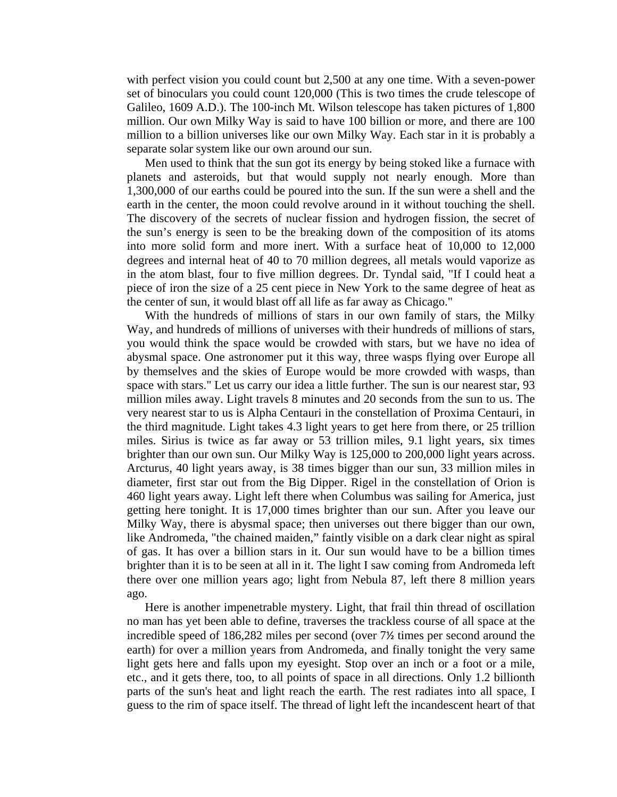with perfect vision you could count but 2,500 at any one time. With a seven-power set of binoculars you could count 120,000 (This is two times the crude telescope of Galileo, 1609 A.D.). The 100-inch Mt. Wilson telescope has taken pictures of 1,800 million. Our own Milky Way is said to have 100 billion or more, and there are 100 million to a billion universes like our own Milky Way. Each star in it is probably a separate solar system like our own around our sun.

 Men used to think that the sun got its energy by being stoked like a furnace with planets and asteroids, but that would supply not nearly enough. More than 1,300,000 of our earths could be poured into the sun. If the sun were a shell and the earth in the center, the moon could revolve around in it without touching the shell. The discovery of the secrets of nuclear fission and hydrogen fission, the secret of the sun's energy is seen to be the breaking down of the composition of its atoms into more solid form and more inert. With a surface heat of 10,000 to 12,000 degrees and internal heat of 40 to 70 million degrees, all metals would vaporize as in the atom blast, four to five million degrees. Dr. Tyndal said, "If I could heat a piece of iron the size of a 25 cent piece in New York to the same degree of heat as the center of sun, it would blast off all life as far away as Chicago."

 With the hundreds of millions of stars in our own family of stars, the Milky Way, and hundreds of millions of universes with their hundreds of millions of stars, you would think the space would be crowded with stars, but we have no idea of abysmal space. One astronomer put it this way, three wasps flying over Europe all by themselves and the skies of Europe would be more crowded with wasps, than space with stars." Let us carry our idea a little further. The sun is our nearest star, 93 million miles away. Light travels 8 minutes and 20 seconds from the sun to us. The very nearest star to us is Alpha Centauri in the constellation of Proxima Centauri, in the third magnitude. Light takes 4.3 light years to get here from there, or 25 trillion miles. Sirius is twice as far away or 53 trillion miles, 9.1 light years, six times brighter than our own sun. Our Milky Way is 125,000 to 200,000 light years across. Arcturus, 40 light years away, is 38 times bigger than our sun, 33 million miles in diameter, first star out from the Big Dipper. Rigel in the constellation of Orion is 460 light years away. Light left there when Columbus was sailing for America, just getting here tonight. It is 17,000 times brighter than our sun. After you leave our Milky Way, there is abysmal space; then universes out there bigger than our own, like Andromeda, "the chained maiden," faintly visible on a dark clear night as spiral of gas. It has over a billion stars in it. Our sun would have to be a billion times brighter than it is to be seen at all in it. The light I saw coming from Andromeda left there over one million years ago; light from Nebula 87, left there 8 million years ago.

 Here is another impenetrable mystery. Light, that frail thin thread of oscillation no man has yet been able to define, traverses the trackless course of all space at the incredible speed of 186,282 miles per second (over 7½ times per second around the earth) for over a million years from Andromeda, and finally tonight the very same light gets here and falls upon my eyesight. Stop over an inch or a foot or a mile, etc., and it gets there, too, to all points of space in all directions. Only 1.2 billionth parts of the sun's heat and light reach the earth. The rest radiates into all space, I guess to the rim of space itself. The thread of light left the incandescent heart of that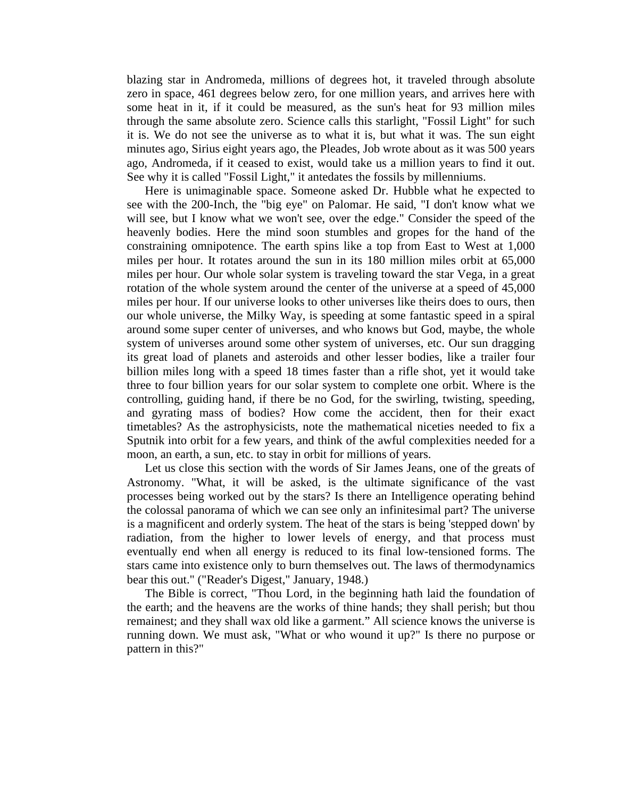blazing star in Andromeda, millions of degrees hot, it traveled through absolute zero in space, 461 degrees below zero, for one million years, and arrives here with some heat in it, if it could be measured, as the sun's heat for 93 million miles through the same absolute zero. Science calls this starlight, "Fossil Light" for such it is. We do not see the universe as to what it is, but what it was. The sun eight minutes ago, Sirius eight years ago, the Pleades, Job wrote about as it was 500 years ago, Andromeda, if it ceased to exist, would take us a million years to find it out. See why it is called "Fossil Light," it antedates the fossils by millenniums.

 Here is unimaginable space. Someone asked Dr. Hubble what he expected to see with the 200-Inch, the "big eye" on Palomar. He said, "I don't know what we will see, but I know what we won't see, over the edge." Consider the speed of the heavenly bodies. Here the mind soon stumbles and gropes for the hand of the constraining omnipotence. The earth spins like a top from East to West at 1,000 miles per hour. It rotates around the sun in its 180 million miles orbit at 65,000 miles per hour. Our whole solar system is traveling toward the star Vega, in a great rotation of the whole system around the center of the universe at a speed of 45,000 miles per hour. If our universe looks to other universes like theirs does to ours, then our whole universe, the Milky Way, is speeding at some fantastic speed in a spiral around some super center of universes, and who knows but God, maybe, the whole system of universes around some other system of universes, etc. Our sun dragging its great load of planets and asteroids and other lesser bodies, like a trailer four billion miles long with a speed 18 times faster than a rifle shot, yet it would take three to four billion years for our solar system to complete one orbit. Where is the controlling, guiding hand, if there be no God, for the swirling, twisting, speeding, and gyrating mass of bodies? How come the accident, then for their exact timetables? As the astrophysicists, note the mathematical niceties needed to fix a Sputnik into orbit for a few years, and think of the awful complexities needed for a moon, an earth, a sun, etc. to stay in orbit for millions of years.

 Let us close this section with the words of Sir James Jeans, one of the greats of Astronomy. "What, it will be asked, is the ultimate significance of the vast processes being worked out by the stars? Is there an Intelligence operating behind the colossal panorama of which we can see only an infinitesimal part? The universe is a magnificent and orderly system. The heat of the stars is being 'stepped down' by radiation, from the higher to lower levels of energy, and that process must eventually end when all energy is reduced to its final low-tensioned forms. The stars came into existence only to burn themselves out. The laws of thermodynamics bear this out." ("Reader's Digest," January, 1948.)

 The Bible is correct, "Thou Lord, in the beginning hath laid the foundation of the earth; and the heavens are the works of thine hands; they shall perish; but thou remainest; and they shall wax old like a garment." All science knows the universe is running down. We must ask, "What or who wound it up?" Is there no purpose or pattern in this?"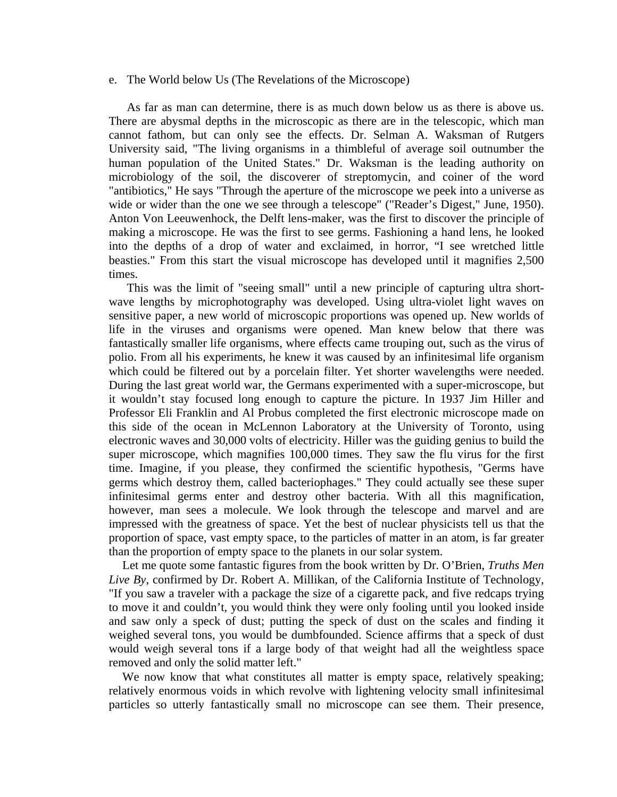## e. The World below Us (The Revelations of the Microscope)

 As far as man can determine, there is as much down below us as there is above us. There are abysmal depths in the microscopic as there are in the telescopic, which man cannot fathom, but can only see the effects. Dr. Selman A. Waksman of Rutgers University said, "The living organisms in a thimbleful of average soil outnumber the human population of the United States." Dr. Waksman is the leading authority on microbiology of the soil, the discoverer of streptomycin, and coiner of the word "antibiotics," He says "Through the aperture of the microscope we peek into a universe as wide or wider than the one we see through a telescope" ("Reader's Digest," June, 1950). Anton Von Leeuwenhock, the Delft lens-maker, was the first to discover the principle of making a microscope. He was the first to see germs. Fashioning a hand lens, he looked into the depths of a drop of water and exclaimed, in horror, "I see wretched little beasties." From this start the visual microscope has developed until it magnifies 2,500 times.

 This was the limit of "seeing small" until a new principle of capturing ultra shortwave lengths by microphotography was developed. Using ultra-violet light waves on sensitive paper, a new world of microscopic proportions was opened up. New worlds of life in the viruses and organisms were opened. Man knew below that there was fantastically smaller life organisms, where effects came trouping out, such as the virus of polio. From all his experiments, he knew it was caused by an infinitesimal life organism which could be filtered out by a porcelain filter. Yet shorter wavelengths were needed. During the last great world war, the Germans experimented with a super-microscope, but it wouldn't stay focused long enough to capture the picture. In 1937 Jim Hiller and Professor Eli Franklin and Al Probus completed the first electronic microscope made on this side of the ocean in McLennon Laboratory at the University of Toronto, using electronic waves and 30,000 volts of electricity. Hiller was the guiding genius to build the super microscope, which magnifies 100,000 times. They saw the flu virus for the first time. Imagine, if you please, they confirmed the scientific hypothesis, "Germs have germs which destroy them, called bacteriophages." They could actually see these super infinitesimal germs enter and destroy other bacteria. With all this magnification, however, man sees a molecule. We look through the telescope and marvel and are impressed with the greatness of space. Yet the best of nuclear physicists tell us that the proportion of space, vast empty space, to the particles of matter in an atom, is far greater than the proportion of empty space to the planets in our solar system.

 Let me quote some fantastic figures from the book written by Dr. O'Brien, *Truths Men Live By*, confirmed by Dr. Robert A. Millikan, of the California Institute of Technology, "If you saw a traveler with a package the size of a cigarette pack, and five redcaps trying to move it and couldn't, you would think they were only fooling until you looked inside and saw only a speck of dust; putting the speck of dust on the scales and finding it weighed several tons, you would be dumbfounded. Science affirms that a speck of dust would weigh several tons if a large body of that weight had all the weightless space removed and only the solid matter left."

We now know that what constitutes all matter is empty space, relatively speaking; relatively enormous voids in which revolve with lightening velocity small infinitesimal particles so utterly fantastically small no microscope can see them. Their presence,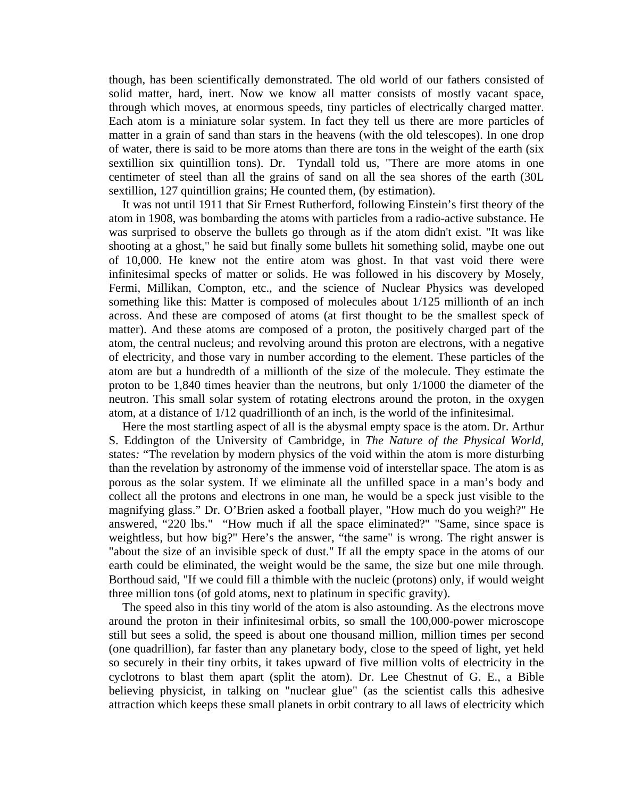though, has been scientifically demonstrated. The old world of our fathers consisted of solid matter, hard, inert. Now we know all matter consists of mostly vacant space, through which moves, at enormous speeds, tiny particles of electrically charged matter. Each atom is a miniature solar system. In fact they tell us there are more particles of matter in a grain of sand than stars in the heavens (with the old telescopes). In one drop of water, there is said to be more atoms than there are tons in the weight of the earth (six sextillion six quintillion tons). Dr. Tyndall told us, "There are more atoms in one centimeter of steel than all the grains of sand on all the sea shores of the earth (30L sextillion, 127 quintillion grains; He counted them, (by estimation).

 It was not until 1911 that Sir Ernest Rutherford, following Einstein's first theory of the atom in 1908, was bombarding the atoms with particles from a radio-active substance. He was surprised to observe the bullets go through as if the atom didn't exist. "It was like shooting at a ghost," he said but finally some bullets hit something solid, maybe one out of 10,000. He knew not the entire atom was ghost. In that vast void there were infinitesimal specks of matter or solids. He was followed in his discovery by Mosely, Fermi, Millikan, Compton, etc., and the science of Nuclear Physics was developed something like this: Matter is composed of molecules about 1/125 millionth of an inch across. And these are composed of atoms (at first thought to be the smallest speck of matter). And these atoms are composed of a proton, the positively charged part of the atom, the central nucleus; and revolving around this proton are electrons, with a negative of electricity, and those vary in number according to the element. These particles of the atom are but a hundredth of a millionth of the size of the molecule. They estimate the proton to be 1,840 times heavier than the neutrons, but only 1/1000 the diameter of the neutron. This small solar system of rotating electrons around the proton, in the oxygen atom, at a distance of 1/12 quadrillionth of an inch, is the world of the infinitesimal.

 Here the most startling aspect of all is the abysmal empty space is the atom. Dr. Arthur S. Eddington of the University of Cambridge, in *The Nature of the Physical World,*  states*:* "The revelation by modern physics of the void within the atom is more disturbing than the revelation by astronomy of the immense void of interstellar space. The atom is as porous as the solar system. If we eliminate all the unfilled space in a man's body and collect all the protons and electrons in one man, he would be a speck just visible to the magnifying glass." Dr. O'Brien asked a football player, "How much do you weigh?" He answered, "220 lbs." "How much if all the space eliminated?" "Same, since space is weightless, but how big?" Here's the answer, "the same" is wrong. The right answer is "about the size of an invisible speck of dust." If all the empty space in the atoms of our earth could be eliminated, the weight would be the same, the size but one mile through. Borthoud said, "If we could fill a thimble with the nucleic (protons) only, if would weight three million tons (of gold atoms, next to platinum in specific gravity).

 The speed also in this tiny world of the atom is also astounding. As the electrons move around the proton in their infinitesimal orbits, so small the 100,000-power microscope still but sees a solid, the speed is about one thousand million, million times per second (one quadrillion), far faster than any planetary body, close to the speed of light, yet held so securely in their tiny orbits, it takes upward of five million volts of electricity in the cyclotrons to blast them apart (split the atom). Dr. Lee Chestnut of G. E., a Bible believing physicist, in talking on "nuclear glue" (as the scientist calls this adhesive attraction which keeps these small planets in orbit contrary to all laws of electricity which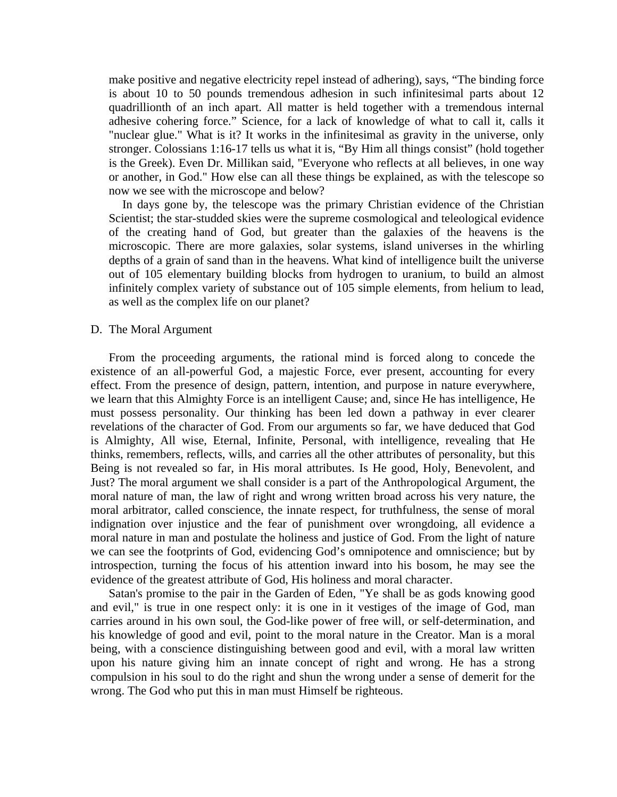make positive and negative electricity repel instead of adhering), says, "The binding force is about 10 to 50 pounds tremendous adhesion in such infinitesimal parts about 12 quadrillionth of an inch apart. All matter is held together with a tremendous internal adhesive cohering force." Science, for a lack of knowledge of what to call it, calls it "nuclear glue." What is it? It works in the infinitesimal as gravity in the universe, only stronger. Colossians 1:16-17 tells us what it is, "By Him all things consist" (hold together is the Greek). Even Dr. Millikan said, "Everyone who reflects at all believes, in one way or another, in God." How else can all these things be explained, as with the telescope so now we see with the microscope and below?

 In days gone by, the telescope was the primary Christian evidence of the Christian Scientist; the star-studded skies were the supreme cosmological and teleological evidence of the creating hand of God, but greater than the galaxies of the heavens is the microscopic. There are more galaxies, solar systems, island universes in the whirling depths of a grain of sand than in the heavens. What kind of intelligence built the universe out of 105 elementary building blocks from hydrogen to uranium, to build an almost infinitely complex variety of substance out of 105 simple elements, from helium to lead, as well as the complex life on our planet?

#### D. The Moral Argument

 From the proceeding arguments, the rational mind is forced along to concede the existence of an all-powerful God, a majestic Force, ever present, accounting for every effect. From the presence of design, pattern, intention, and purpose in nature everywhere, we learn that this Almighty Force is an intelligent Cause; and, since He has intelligence, He must possess personality. Our thinking has been led down a pathway in ever clearer revelations of the character of God. From our arguments so far, we have deduced that God is Almighty, All wise, Eternal, Infinite, Personal, with intelligence, revealing that He thinks, remembers, reflects, wills, and carries all the other attributes of personality, but this Being is not revealed so far, in His moral attributes. Is He good, Holy, Benevolent, and Just? The moral argument we shall consider is a part of the Anthropological Argument, the moral nature of man, the law of right and wrong written broad across his very nature, the moral arbitrator, called conscience, the innate respect, for truthfulness, the sense of moral indignation over injustice and the fear of punishment over wrongdoing, all evidence a moral nature in man and postulate the holiness and justice of God. From the light of nature we can see the footprints of God, evidencing God's omnipotence and omniscience; but by introspection, turning the focus of his attention inward into his bosom, he may see the evidence of the greatest attribute of God, His holiness and moral character.

 Satan's promise to the pair in the Garden of Eden, "Ye shall be as gods knowing good and evil," is true in one respect only: it is one in it vestiges of the image of God, man carries around in his own soul, the God-like power of free will, or self-determination, and his knowledge of good and evil, point to the moral nature in the Creator. Man is a moral being, with a conscience distinguishing between good and evil, with a moral law written upon his nature giving him an innate concept of right and wrong. He has a strong compulsion in his soul to do the right and shun the wrong under a sense of demerit for the wrong. The God who put this in man must Himself be righteous.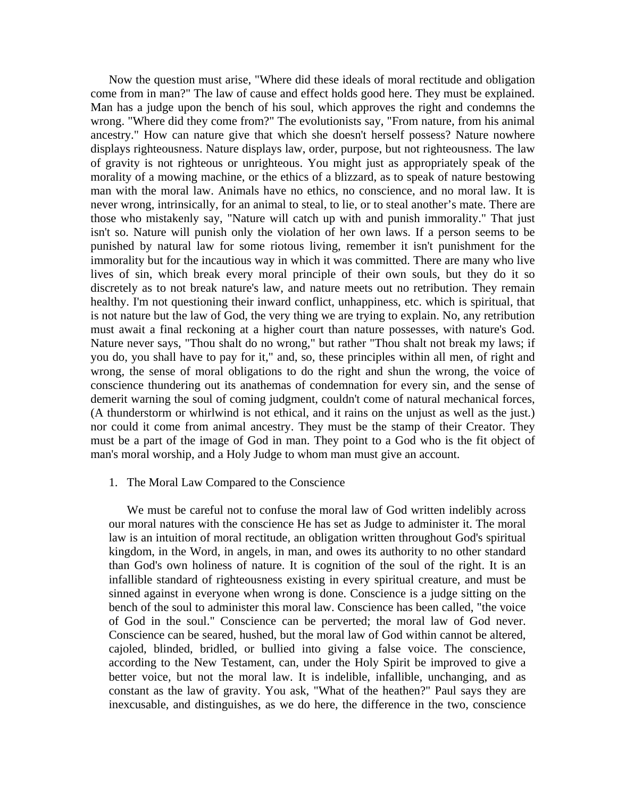Now the question must arise, "Where did these ideals of moral rectitude and obligation come from in man?" The law of cause and effect holds good here. They must be explained. Man has a judge upon the bench of his soul, which approves the right and condemns the wrong. "Where did they come from?" The evolutionists say, "From nature, from his animal ancestry." How can nature give that which she doesn't herself possess? Nature nowhere displays righteousness. Nature displays law, order, purpose, but not righteousness. The law of gravity is not righteous or unrighteous. You might just as appropriately speak of the morality of a mowing machine, or the ethics of a blizzard, as to speak of nature bestowing man with the moral law. Animals have no ethics, no conscience, and no moral law. It is never wrong, intrinsically, for an animal to steal, to lie, or to steal another's mate. There are those who mistakenly say, "Nature will catch up with and punish immorality." That just isn't so. Nature will punish only the violation of her own laws. If a person seems to be punished by natural law for some riotous living, remember it isn't punishment for the immorality but for the incautious way in which it was committed. There are many who live lives of sin, which break every moral principle of their own souls, but they do it so discretely as to not break nature's law, and nature meets out no retribution. They remain healthy. I'm not questioning their inward conflict, unhappiness, etc. which is spiritual, that is not nature but the law of God, the very thing we are trying to explain. No, any retribution must await a final reckoning at a higher court than nature possesses, with nature's God. Nature never says, "Thou shalt do no wrong," but rather "Thou shalt not break my laws; if you do, you shall have to pay for it," and, so, these principles within all men, of right and wrong, the sense of moral obligations to do the right and shun the wrong, the voice of conscience thundering out its anathemas of condemnation for every sin, and the sense of demerit warning the soul of coming judgment, couldn't come of natural mechanical forces, (A thunderstorm or whirlwind is not ethical, and it rains on the unjust as well as the just.) nor could it come from animal ancestry. They must be the stamp of their Creator. They must be a part of the image of God in man. They point to a God who is the fit object of man's moral worship, and a Holy Judge to whom man must give an account.

#### 1. The Moral Law Compared to the Conscience

 We must be careful not to confuse the moral law of God written indelibly across our moral natures with the conscience He has set as Judge to administer it. The moral law is an intuition of moral rectitude, an obligation written throughout God's spiritual kingdom, in the Word, in angels, in man, and owes its authority to no other standard than God's own holiness of nature. It is cognition of the soul of the right. It is an infallible standard of righteousness existing in every spiritual creature, and must be sinned against in everyone when wrong is done. Conscience is a judge sitting on the bench of the soul to administer this moral law. Conscience has been called, "the voice of God in the soul." Conscience can be perverted; the moral law of God never. Conscience can be seared, hushed, but the moral law of God within cannot be altered, cajoled, blinded, bridled, or bullied into giving a false voice. The conscience, according to the New Testament, can, under the Holy Spirit be improved to give a better voice, but not the moral law. It is indelible, infallible, unchanging, and as constant as the law of gravity. You ask, "What of the heathen?" Paul says they are inexcusable, and distinguishes, as we do here, the difference in the two, conscience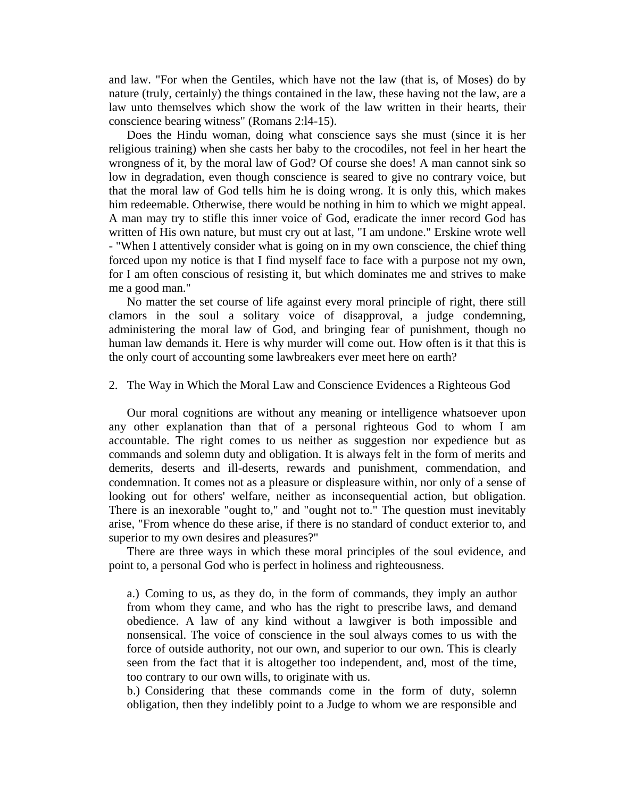and law. "For when the Gentiles, which have not the law (that is, of Moses) do by nature (truly, certainly) the things contained in the law, these having not the law, are a law unto themselves which show the work of the law written in their hearts, their conscience bearing witness" (Romans 2:l4-15).

 Does the Hindu woman, doing what conscience says she must (since it is her religious training) when she casts her baby to the crocodiles, not feel in her heart the wrongness of it, by the moral law of God? Of course she does! A man cannot sink so low in degradation, even though conscience is seared to give no contrary voice, but that the moral law of God tells him he is doing wrong. It is only this, which makes him redeemable. Otherwise, there would be nothing in him to which we might appeal. A man may try to stifle this inner voice of God, eradicate the inner record God has written of His own nature, but must cry out at last, "I am undone." Erskine wrote well - "When I attentively consider what is going on in my own conscience, the chief thing forced upon my notice is that I find myself face to face with a purpose not my own, for I am often conscious of resisting it, but which dominates me and strives to make me a good man."

 No matter the set course of life against every moral principle of right, there still clamors in the soul a solitary voice of disapproval, a judge condemning, administering the moral law of God, and bringing fear of punishment, though no human law demands it. Here is why murder will come out. How often is it that this is the only court of accounting some lawbreakers ever meet here on earth?

#### 2. The Way in Which the Moral Law and Conscience Evidences a Righteous God

 Our moral cognitions are without any meaning or intelligence whatsoever upon any other explanation than that of a personal righteous God to whom I am accountable. The right comes to us neither as suggestion nor expedience but as commands and solemn duty and obligation. It is always felt in the form of merits and demerits, deserts and ill-deserts, rewards and punishment, commendation, and condemnation. It comes not as a pleasure or displeasure within, nor only of a sense of looking out for others' welfare, neither as inconsequential action, but obligation. There is an inexorable "ought to," and "ought not to." The question must inevitably arise, "From whence do these arise, if there is no standard of conduct exterior to, and superior to my own desires and pleasures?"

 There are three ways in which these moral principles of the soul evidence, and point to, a personal God who is perfect in holiness and righteousness.

a.) Coming to us, as they do, in the form of commands, they imply an author from whom they came, and who has the right to prescribe laws, and demand obedience. A law of any kind without a lawgiver is both impossible and nonsensical. The voice of conscience in the soul always comes to us with the force of outside authority, not our own, and superior to our own. This is clearly seen from the fact that it is altogether too independent, and, most of the time, too contrary to our own wills, to originate with us.

b.) Considering that these commands come in the form of duty, solemn obligation, then they indelibly point to a Judge to whom we are responsible and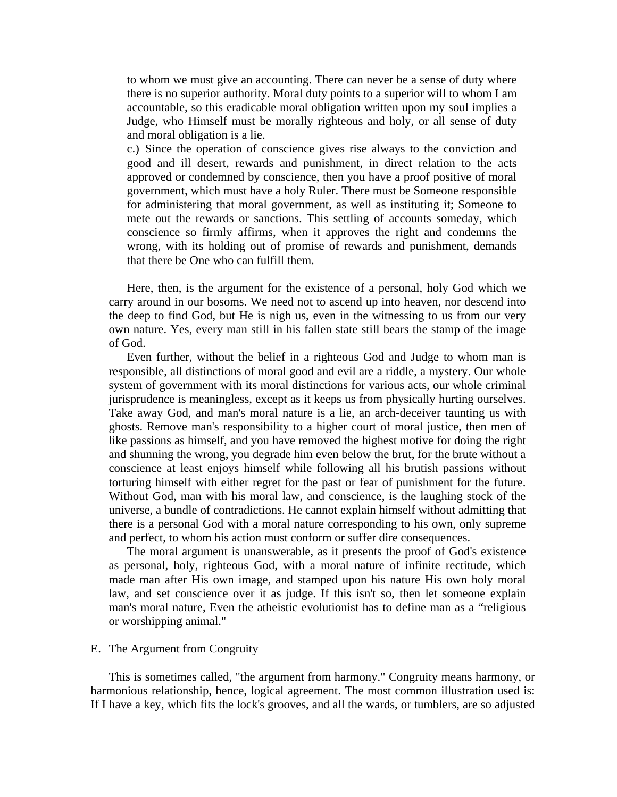to whom we must give an accounting. There can never be a sense of duty where there is no superior authority. Moral duty points to a superior will to whom I am accountable, so this eradicable moral obligation written upon my soul implies a Judge, who Himself must be morally righteous and holy, or all sense of duty and moral obligation is a lie.

c.) Since the operation of conscience gives rise always to the conviction and good and ill desert, rewards and punishment, in direct relation to the acts approved or condemned by conscience, then you have a proof positive of moral government, which must have a holy Ruler. There must be Someone responsible for administering that moral government, as well as instituting it; Someone to mete out the rewards or sanctions. This settling of accounts someday, which conscience so firmly affirms, when it approves the right and condemns the wrong, with its holding out of promise of rewards and punishment, demands that there be One who can fulfill them.

 Here, then, is the argument for the existence of a personal, holy God which we carry around in our bosoms. We need not to ascend up into heaven, nor descend into the deep to find God, but He is nigh us, even in the witnessing to us from our very own nature. Yes, every man still in his fallen state still bears the stamp of the image of God.

 Even further, without the belief in a righteous God and Judge to whom man is responsible, all distinctions of moral good and evil are a riddle, a mystery. Our whole system of government with its moral distinctions for various acts, our whole criminal jurisprudence is meaningless, except as it keeps us from physically hurting ourselves. Take away God, and man's moral nature is a lie, an arch-deceiver taunting us with ghosts. Remove man's responsibility to a higher court of moral justice, then men of like passions as himself, and you have removed the highest motive for doing the right and shunning the wrong, you degrade him even below the brut, for the brute without a conscience at least enjoys himself while following all his brutish passions without torturing himself with either regret for the past or fear of punishment for the future. Without God, man with his moral law, and conscience, is the laughing stock of the universe, a bundle of contradictions. He cannot explain himself without admitting that there is a personal God with a moral nature corresponding to his own, only supreme and perfect, to whom his action must conform or suffer dire consequences.

 The moral argument is unanswerable, as it presents the proof of God's existence as personal, holy, righteous God, with a moral nature of infinite rectitude, which made man after His own image, and stamped upon his nature His own holy moral law, and set conscience over it as judge. If this isn't so, then let someone explain man's moral nature, Even the atheistic evolutionist has to define man as a "religious or worshipping animal."

# E. The Argument from Congruity

 This is sometimes called, "the argument from harmony." Congruity means harmony, or harmonious relationship, hence, logical agreement. The most common illustration used is: If I have a key, which fits the lock's grooves, and all the wards, or tumblers, are so adjusted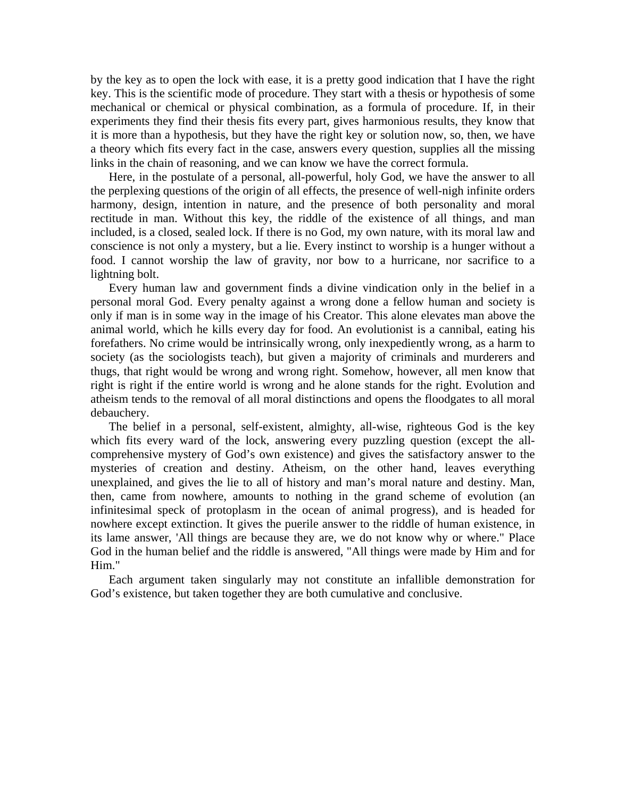by the key as to open the lock with ease, it is a pretty good indication that I have the right key. This is the scientific mode of procedure. They start with a thesis or hypothesis of some mechanical or chemical or physical combination, as a formula of procedure. If, in their experiments they find their thesis fits every part, gives harmonious results, they know that it is more than a hypothesis, but they have the right key or solution now, so, then, we have a theory which fits every fact in the case, answers every question, supplies all the missing links in the chain of reasoning, and we can know we have the correct formula.

 Here, in the postulate of a personal, all-powerful, holy God, we have the answer to all the perplexing questions of the origin of all effects, the presence of well-nigh infinite orders harmony, design, intention in nature, and the presence of both personality and moral rectitude in man. Without this key, the riddle of the existence of all things, and man included, is a closed, sealed lock. If there is no God, my own nature, with its moral law and conscience is not only a mystery, but a lie. Every instinct to worship is a hunger without a food. I cannot worship the law of gravity, nor bow to a hurricane, nor sacrifice to a lightning bolt.

 Every human law and government finds a divine vindication only in the belief in a personal moral God. Every penalty against a wrong done a fellow human and society is only if man is in some way in the image of his Creator. This alone elevates man above the animal world, which he kills every day for food. An evolutionist is a cannibal, eating his forefathers. No crime would be intrinsically wrong, only inexpediently wrong, as a harm to society (as the sociologists teach), but given a majority of criminals and murderers and thugs, that right would be wrong and wrong right. Somehow, however, all men know that right is right if the entire world is wrong and he alone stands for the right. Evolution and atheism tends to the removal of all moral distinctions and opens the floodgates to all moral debauchery.

 The belief in a personal, self-existent, almighty, all-wise, righteous God is the key which fits every ward of the lock, answering every puzzling question (except the allcomprehensive mystery of God's own existence) and gives the satisfactory answer to the mysteries of creation and destiny. Atheism, on the other hand, leaves everything unexplained, and gives the lie to all of history and man's moral nature and destiny. Man, then, came from nowhere, amounts to nothing in the grand scheme of evolution (an infinitesimal speck of protoplasm in the ocean of animal progress), and is headed for nowhere except extinction. It gives the puerile answer to the riddle of human existence, in its lame answer, 'All things are because they are, we do not know why or where." Place God in the human belief and the riddle is answered, "All things were made by Him and for Him."

 Each argument taken singularly may not constitute an infallible demonstration for God's existence, but taken together they are both cumulative and conclusive.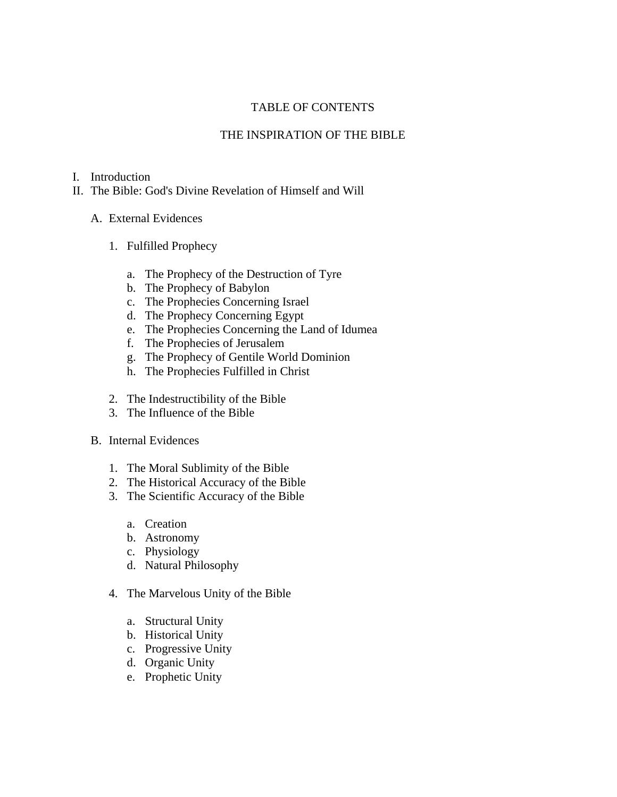# TABLE OF CONTENTS

# THE INSPIRATION OF THE BIBLE

# I. Introduction

- II. The Bible: God's Divine Revelation of Himself and Will
	- A. External Evidences
		- 1. Fulfilled Prophecy
			- a. The Prophecy of the Destruction of Tyre
			- b. The Prophecy of Babylon
			- c. The Prophecies Concerning Israel
			- d. The Prophecy Concerning Egypt
			- e. The Prophecies Concerning the Land of Idumea
			- f. The Prophecies of Jerusalem
			- g. The Prophecy of Gentile World Dominion
			- h. The Prophecies Fulfilled in Christ
		- 2. The Indestructibility of the Bible
		- 3. The Influence of the Bible
	- B. Internal Evidences
		- 1. The Moral Sublimity of the Bible
		- 2. The Historical Accuracy of the Bible
		- 3. The Scientific Accuracy of the Bible
			- a. Creation
			- b. Astronomy
			- c. Physiology
			- d. Natural Philosophy
		- 4. The Marvelous Unity of the Bible
			- a. Structural Unity
			- b. Historical Unity
			- c. Progressive Unity
			- d. Organic Unity
			- e. Prophetic Unity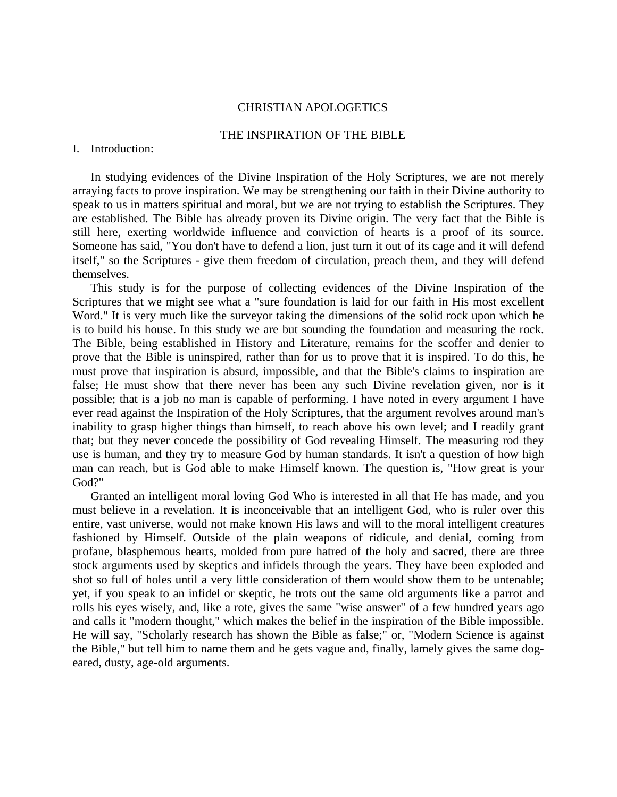## CHRISTIAN APOLOGETICS

## THE INSPIRATION OF THE BIBLE

## I. Introduction:

 In studying evidences of the Divine Inspiration of the Holy Scriptures, we are not merely arraying facts to prove inspiration. We may be strengthening our faith in their Divine authority to speak to us in matters spiritual and moral, but we are not trying to establish the Scriptures. They are established. The Bible has already proven its Divine origin. The very fact that the Bible is still here, exerting worldwide influence and conviction of hearts is a proof of its source. Someone has said, "You don't have to defend a lion, just turn it out of its cage and it will defend itself," so the Scriptures - give them freedom of circulation, preach them, and they will defend themselves.

This study is for the purpose of collecting evidences of the Divine Inspiration of the Scriptures that we might see what a "sure foundation is laid for our faith in His most excellent Word." It is very much like the surveyor taking the dimensions of the solid rock upon which he is to build his house. In this study we are but sounding the foundation and measuring the rock. The Bible, being established in History and Literature, remains for the scoffer and denier to prove that the Bible is uninspired, rather than for us to prove that it is inspired. To do this, he must prove that inspiration is absurd, impossible, and that the Bible's claims to inspiration are false; He must show that there never has been any such Divine revelation given, nor is it possible; that is a job no man is capable of performing. I have noted in every argument I have ever read against the Inspiration of the Holy Scriptures, that the argument revolves around man's inability to grasp higher things than himself, to reach above his own level; and I readily grant that; but they never concede the possibility of God revealing Himself. The measuring rod they use is human, and they try to measure God by human standards. It isn't a question of how high man can reach, but is God able to make Himself known. The question is, "How great is your God?"

Granted an intelligent moral loving God Who is interested in all that He has made, and you must believe in a revelation. It is inconceivable that an intelligent God, who is ruler over this entire, vast universe, would not make known His laws and will to the moral intelligent creatures fashioned by Himself. Outside of the plain weapons of ridicule, and denial, coming from profane, blasphemous hearts, molded from pure hatred of the holy and sacred, there are three stock arguments used by skeptics and infidels through the years. They have been exploded and shot so full of holes until a very little consideration of them would show them to be untenable; yet, if you speak to an infidel or skeptic, he trots out the same old arguments like a parrot and rolls his eyes wisely, and, like a rote, gives the same "wise answer" of a few hundred years ago and calls it "modern thought," which makes the belief in the inspiration of the Bible impossible. He will say, "Scholarly research has shown the Bible as false;" or, "Modern Science is against the Bible," but tell him to name them and he gets vague and, finally, lamely gives the same dogeared, dusty, age-old arguments.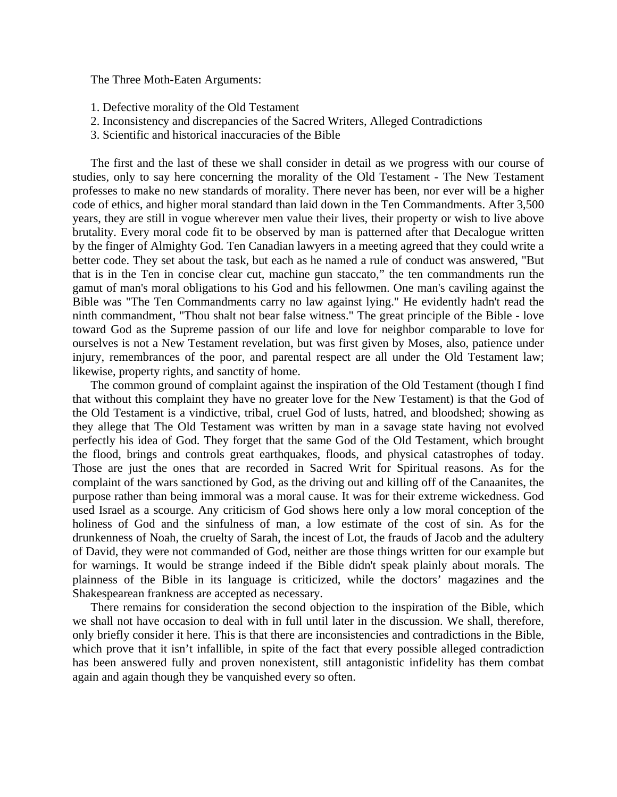The Three Moth-Eaten Arguments:

- 1. Defective morality of the Old Testament
- 2. Inconsistency and discrepancies of the Sacred Writers, Alleged Contradictions
- 3. Scientific and historical inaccuracies of the Bible

 The first and the last of these we shall consider in detail as we progress with our course of studies, only to say here concerning the morality of the Old Testament - The New Testament professes to make no new standards of morality. There never has been, nor ever will be a higher code of ethics, and higher moral standard than laid down in the Ten Commandments. After 3,500 years, they are still in vogue wherever men value their lives, their property or wish to live above brutality. Every moral code fit to be observed by man is patterned after that Decalogue written by the finger of Almighty God. Ten Canadian lawyers in a meeting agreed that they could write a better code. They set about the task, but each as he named a rule of conduct was answered, "But that is in the Ten in concise clear cut, machine gun staccato," the ten commandments run the gamut of man's moral obligations to his God and his fellowmen. One man's caviling against the Bible was "The Ten Commandments carry no law against lying." He evidently hadn't read the ninth commandment, "Thou shalt not bear false witness." The great principle of the Bible - love toward God as the Supreme passion of our life and love for neighbor comparable to love for ourselves is not a New Testament revelation, but was first given by Moses, also, patience under injury, remembrances of the poor, and parental respect are all under the Old Testament law; likewise, property rights, and sanctity of home.

 The common ground of complaint against the inspiration of the Old Testament (though I find that without this complaint they have no greater love for the New Testament) is that the God of the Old Testament is a vindictive, tribal, cruel God of lusts, hatred, and bloodshed; showing as they allege that The Old Testament was written by man in a savage state having not evolved perfectly his idea of God. They forget that the same God of the Old Testament, which brought the flood, brings and controls great earthquakes, floods, and physical catastrophes of today. Those are just the ones that are recorded in Sacred Writ for Spiritual reasons. As for the complaint of the wars sanctioned by God, as the driving out and killing off of the Canaanites, the purpose rather than being immoral was a moral cause. It was for their extreme wickedness. God used Israel as a scourge. Any criticism of God shows here only a low moral conception of the holiness of God and the sinfulness of man, a low estimate of the cost of sin. As for the drunkenness of Noah, the cruelty of Sarah, the incest of Lot, the frauds of Jacob and the adultery of David, they were not commanded of God, neither are those things written for our example but for warnings. It would be strange indeed if the Bible didn't speak plainly about morals. The plainness of the Bible in its language is criticized, while the doctors' magazines and the Shakespearean frankness are accepted as necessary.

 There remains for consideration the second objection to the inspiration of the Bible, which we shall not have occasion to deal with in full until later in the discussion. We shall, therefore, only briefly consider it here. This is that there are inconsistencies and contradictions in the Bible, which prove that it isn't infallible, in spite of the fact that every possible alleged contradiction has been answered fully and proven nonexistent, still antagonistic infidelity has them combat again and again though they be vanquished every so often.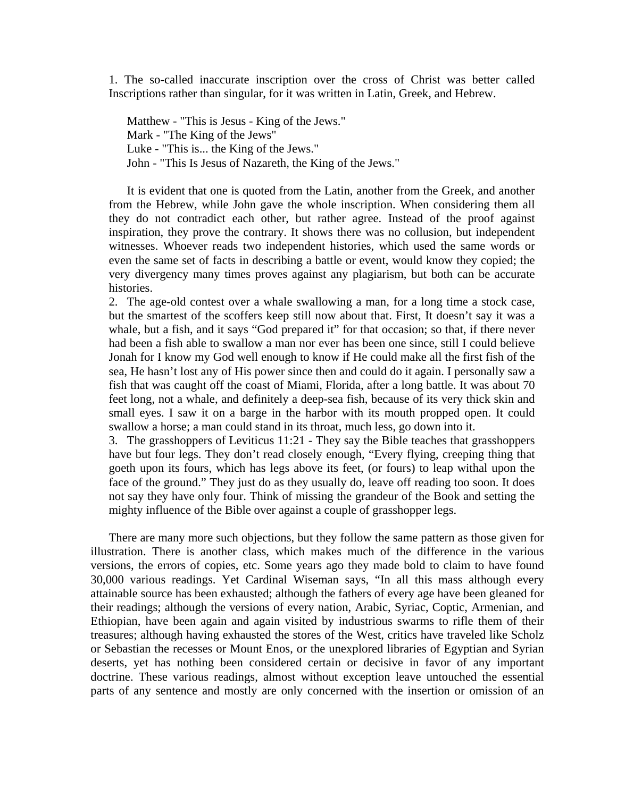1. The so-called inaccurate inscription over the cross of Christ was better called Inscriptions rather than singular, for it was written in Latin, Greek, and Hebrew.

Matthew - "This is Jesus - King of the Jews." Mark - "The King of the Jews" Luke - "This is... the King of the Jews." John - "This Is Jesus of Nazareth, the King of the Jews."

 It is evident that one is quoted from the Latin, another from the Greek, and another from the Hebrew, while John gave the whole inscription. When considering them all they do not contradict each other, but rather agree. Instead of the proof against inspiration, they prove the contrary. It shows there was no collusion, but independent witnesses. Whoever reads two independent histories, which used the same words or even the same set of facts in describing a battle or event, would know they copied; the very divergency many times proves against any plagiarism, but both can be accurate histories.

2. The age-old contest over a whale swallowing a man, for a long time a stock case, but the smartest of the scoffers keep still now about that. First, It doesn't say it was a whale, but a fish, and it says "God prepared it" for that occasion; so that, if there never had been a fish able to swallow a man nor ever has been one since, still I could believe Jonah for I know my God well enough to know if He could make all the first fish of the sea, He hasn't lost any of His power since then and could do it again. I personally saw a fish that was caught off the coast of Miami, Florida, after a long battle. It was about 70 feet long, not a whale, and definitely a deep-sea fish, because of its very thick skin and small eyes. I saw it on a barge in the harbor with its mouth propped open. It could swallow a horse; a man could stand in its throat, much less, go down into it.

3. The grasshoppers of Leviticus 11:21 - They say the Bible teaches that grasshoppers have but four legs. They don't read closely enough, "Every flying, creeping thing that goeth upon its fours, which has legs above its feet, (or fours) to leap withal upon the face of the ground." They just do as they usually do, leave off reading too soon. It does not say they have only four. Think of missing the grandeur of the Book and setting the mighty influence of the Bible over against a couple of grasshopper legs.

 There are many more such objections, but they follow the same pattern as those given for illustration. There is another class, which makes much of the difference in the various versions, the errors of copies, etc. Some years ago they made bold to claim to have found 30,000 various readings. Yet Cardinal Wiseman says, "In all this mass although every attainable source has been exhausted; although the fathers of every age have been gleaned for their readings; although the versions of every nation, Arabic, Syriac, Coptic, Armenian, and Ethiopian, have been again and again visited by industrious swarms to rifle them of their treasures; although having exhausted the stores of the West, critics have traveled like Scholz or Sebastian the recesses or Mount Enos, or the unexplored libraries of Egyptian and Syrian deserts, yet has nothing been considered certain or decisive in favor of any important doctrine. These various readings, almost without exception leave untouched the essential parts of any sentence and mostly are only concerned with the insertion or omission of an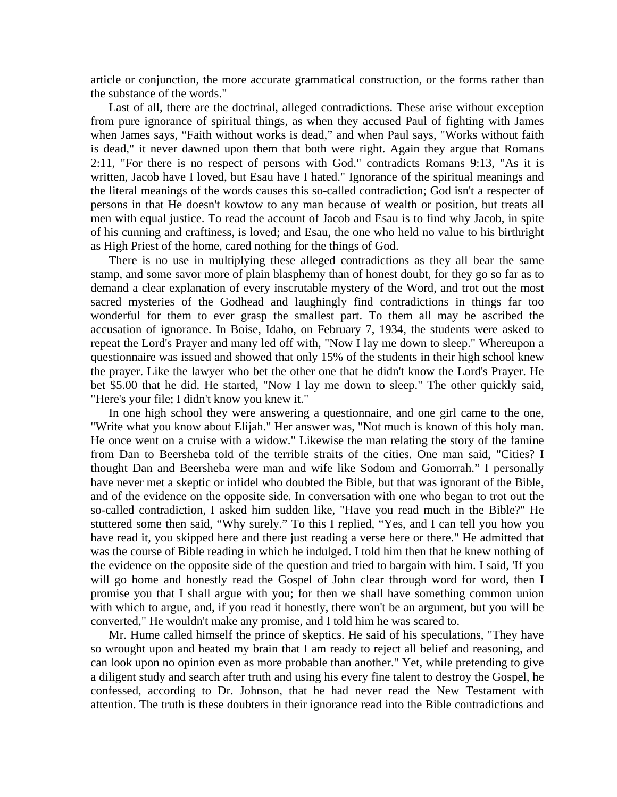article or conjunction, the more accurate grammatical construction, or the forms rather than the substance of the words."

 Last of all, there are the doctrinal, alleged contradictions. These arise without exception from pure ignorance of spiritual things, as when they accused Paul of fighting with James when James says, "Faith without works is dead," and when Paul says, "Works without faith is dead," it never dawned upon them that both were right. Again they argue that Romans 2:11, "For there is no respect of persons with God." contradicts Romans 9:13, "As it is written, Jacob have I loved, but Esau have I hated." Ignorance of the spiritual meanings and the literal meanings of the words causes this so-called contradiction; God isn't a respecter of persons in that He doesn't kowtow to any man because of wealth or position, but treats all men with equal justice. To read the account of Jacob and Esau is to find why Jacob, in spite of his cunning and craftiness, is loved; and Esau, the one who held no value to his birthright as High Priest of the home, cared nothing for the things of God.

 There is no use in multiplying these alleged contradictions as they all bear the same stamp, and some savor more of plain blasphemy than of honest doubt, for they go so far as to demand a clear explanation of every inscrutable mystery of the Word, and trot out the most sacred mysteries of the Godhead and laughingly find contradictions in things far too wonderful for them to ever grasp the smallest part. To them all may be ascribed the accusation of ignorance. In Boise, Idaho, on February 7, 1934, the students were asked to repeat the Lord's Prayer and many led off with, "Now I lay me down to sleep." Whereupon a questionnaire was issued and showed that only 15% of the students in their high school knew the prayer. Like the lawyer who bet the other one that he didn't know the Lord's Prayer. He bet \$5.00 that he did. He started, "Now I lay me down to sleep." The other quickly said, "Here's your file; I didn't know you knew it."

 In one high school they were answering a questionnaire, and one girl came to the one, "Write what you know about Elijah." Her answer was, "Not much is known of this holy man. He once went on a cruise with a widow." Likewise the man relating the story of the famine from Dan to Beersheba told of the terrible straits of the cities. One man said, "Cities? I thought Dan and Beersheba were man and wife like Sodom and Gomorrah." I personally have never met a skeptic or infidel who doubted the Bible, but that was ignorant of the Bible, and of the evidence on the opposite side. In conversation with one who began to trot out the so-called contradiction, I asked him sudden like, "Have you read much in the Bible?" He stuttered some then said, "Why surely." To this I replied, "Yes, and I can tell you how you have read it, you skipped here and there just reading a verse here or there." He admitted that was the course of Bible reading in which he indulged. I told him then that he knew nothing of the evidence on the opposite side of the question and tried to bargain with him. I said, 'If you will go home and honestly read the Gospel of John clear through word for word, then I promise you that I shall argue with you; for then we shall have something common union with which to argue, and, if you read it honestly, there won't be an argument, but you will be converted," He wouldn't make any promise, and I told him he was scared to.

 Mr. Hume called himself the prince of skeptics. He said of his speculations, "They have so wrought upon and heated my brain that I am ready to reject all belief and reasoning, and can look upon no opinion even as more probable than another." Yet, while pretending to give a diligent study and search after truth and using his every fine talent to destroy the Gospel, he confessed, according to Dr. Johnson, that he had never read the New Testament with attention. The truth is these doubters in their ignorance read into the Bible contradictions and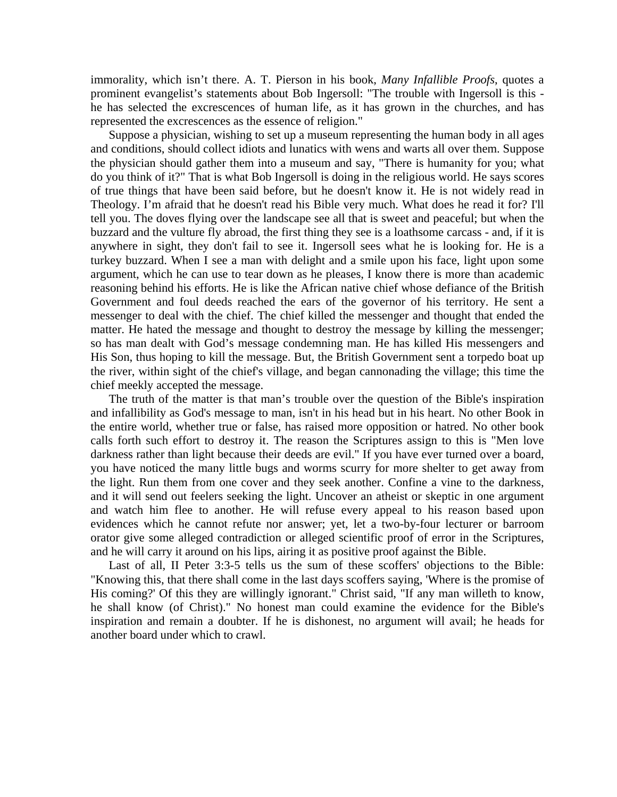immorality, which isn't there. A. T. Pierson in his book, *Many Infallible Proofs*, quotes a prominent evangelist's statements about Bob Ingersoll: "The trouble with Ingersoll is this he has selected the excrescences of human life, as it has grown in the churches, and has represented the excrescences as the essence of religion."

 Suppose a physician, wishing to set up a museum representing the human body in all ages and conditions, should collect idiots and lunatics with wens and warts all over them. Suppose the physician should gather them into a museum and say, "There is humanity for you; what do you think of it?" That is what Bob Ingersoll is doing in the religious world. He says scores of true things that have been said before, but he doesn't know it. He is not widely read in Theology. I'm afraid that he doesn't read his Bible very much. What does he read it for? I'll tell you. The doves flying over the landscape see all that is sweet and peaceful; but when the buzzard and the vulture fly abroad, the first thing they see is a loathsome carcass - and, if it is anywhere in sight, they don't fail to see it. Ingersoll sees what he is looking for. He is a turkey buzzard. When I see a man with delight and a smile upon his face, light upon some argument, which he can use to tear down as he pleases, I know there is more than academic reasoning behind his efforts. He is like the African native chief whose defiance of the British Government and foul deeds reached the ears of the governor of his territory. He sent a messenger to deal with the chief. The chief killed the messenger and thought that ended the matter. He hated the message and thought to destroy the message by killing the messenger; so has man dealt with God's message condemning man. He has killed His messengers and His Son, thus hoping to kill the message. But, the British Government sent a torpedo boat up the river, within sight of the chief's village, and began cannonading the village; this time the chief meekly accepted the message.

 The truth of the matter is that man's trouble over the question of the Bible's inspiration and infallibility as God's message to man, isn't in his head but in his heart. No other Book in the entire world, whether true or false, has raised more opposition or hatred. No other book calls forth such effort to destroy it. The reason the Scriptures assign to this is "Men love darkness rather than light because their deeds are evil." If you have ever turned over a board, you have noticed the many little bugs and worms scurry for more shelter to get away from the light. Run them from one cover and they seek another. Confine a vine to the darkness, and it will send out feelers seeking the light. Uncover an atheist or skeptic in one argument and watch him flee to another. He will refuse every appeal to his reason based upon evidences which he cannot refute nor answer; yet, let a two-by-four lecturer or barroom orator give some alleged contradiction or alleged scientific proof of error in the Scriptures, and he will carry it around on his lips, airing it as positive proof against the Bible.

 Last of all, II Peter 3:3-5 tells us the sum of these scoffers' objections to the Bible: "Knowing this, that there shall come in the last days scoffers saying, 'Where is the promise of His coming?' Of this they are willingly ignorant." Christ said, "If any man willeth to know, he shall know (of Christ)." No honest man could examine the evidence for the Bible's inspiration and remain a doubter. If he is dishonest, no argument will avail; he heads for another board under which to crawl.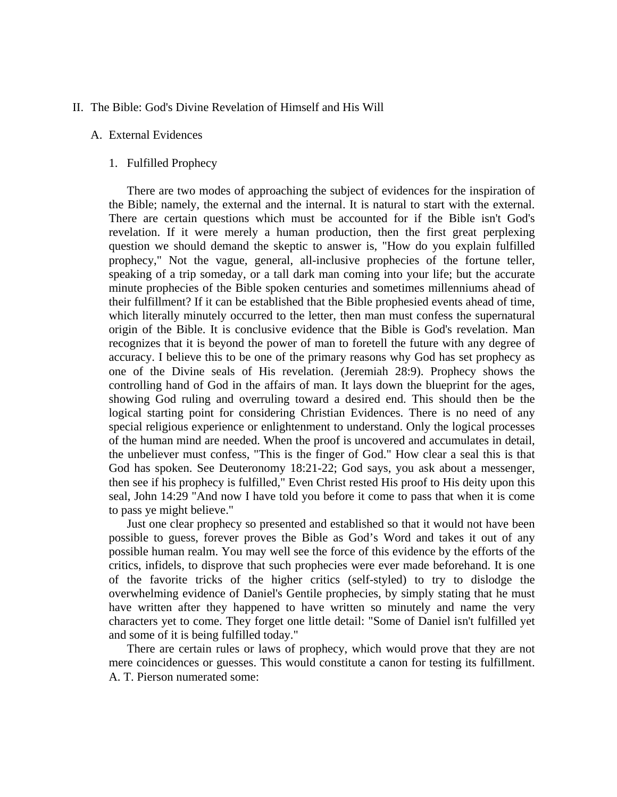## II. The Bible: God's Divine Revelation of Himself and His Will

#### A. External Evidences

## 1. Fulfilled Prophecy

 There are two modes of approaching the subject of evidences for the inspiration of the Bible; namely, the external and the internal. It is natural to start with the external. There are certain questions which must be accounted for if the Bible isn't God's revelation. If it were merely a human production, then the first great perplexing question we should demand the skeptic to answer is, "How do you explain fulfilled prophecy," Not the vague, general, all-inclusive prophecies of the fortune teller, speaking of a trip someday, or a tall dark man coming into your life; but the accurate minute prophecies of the Bible spoken centuries and sometimes millenniums ahead of their fulfillment? If it can be established that the Bible prophesied events ahead of time, which literally minutely occurred to the letter, then man must confess the supernatural origin of the Bible. It is conclusive evidence that the Bible is God's revelation. Man recognizes that it is beyond the power of man to foretell the future with any degree of accuracy. I believe this to be one of the primary reasons why God has set prophecy as one of the Divine seals of His revelation. (Jeremiah 28:9). Prophecy shows the controlling hand of God in the affairs of man. It lays down the blueprint for the ages, showing God ruling and overruling toward a desired end. This should then be the logical starting point for considering Christian Evidences. There is no need of any special religious experience or enlightenment to understand. Only the logical processes of the human mind are needed. When the proof is uncovered and accumulates in detail, the unbeliever must confess, "This is the finger of God." How clear a seal this is that God has spoken. See Deuteronomy 18:21-22; God says, you ask about a messenger, then see if his prophecy is fulfilled," Even Christ rested His proof to His deity upon this seal, John 14:29 "And now I have told you before it come to pass that when it is come to pass ye might believe."

 Just one clear prophecy so presented and established so that it would not have been possible to guess, forever proves the Bible as God's Word and takes it out of any possible human realm. You may well see the force of this evidence by the efforts of the critics, infidels, to disprove that such prophecies were ever made beforehand. It is one of the favorite tricks of the higher critics (self-styled) to try to dislodge the overwhelming evidence of Daniel's Gentile prophecies, by simply stating that he must have written after they happened to have written so minutely and name the very characters yet to come. They forget one little detail: "Some of Daniel isn't fulfilled yet and some of it is being fulfilled today."

 There are certain rules or laws of prophecy, which would prove that they are not mere coincidences or guesses. This would constitute a canon for testing its fulfillment. A. T. Pierson numerated some: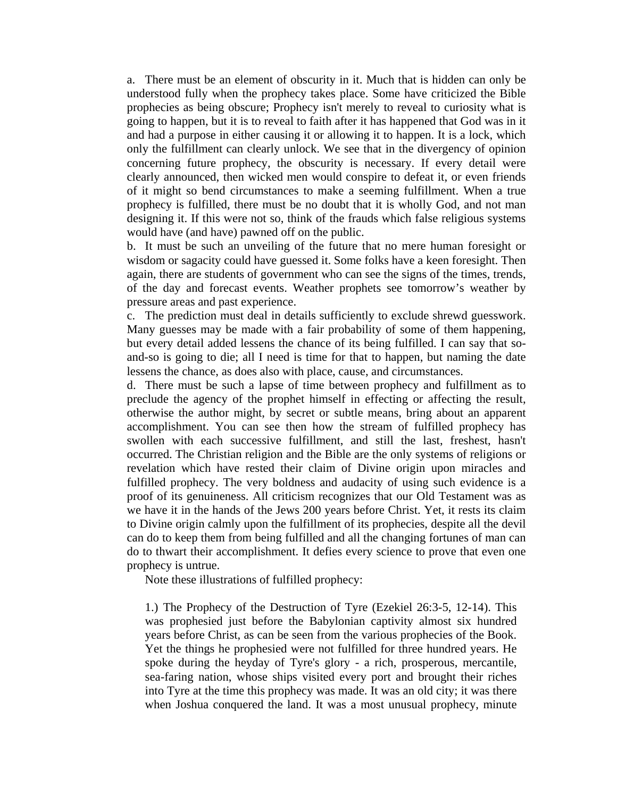a. There must be an element of obscurity in it. Much that is hidden can only be understood fully when the prophecy takes place. Some have criticized the Bible prophecies as being obscure; Prophecy isn't merely to reveal to curiosity what is going to happen, but it is to reveal to faith after it has happened that God was in it and had a purpose in either causing it or allowing it to happen. It is a lock, which only the fulfillment can clearly unlock. We see that in the divergency of opinion concerning future prophecy, the obscurity is necessary. If every detail were clearly announced, then wicked men would conspire to defeat it, or even friends of it might so bend circumstances to make a seeming fulfillment. When a true prophecy is fulfilled, there must be no doubt that it is wholly God, and not man designing it. If this were not so, think of the frauds which false religious systems would have (and have) pawned off on the public.

b. It must be such an unveiling of the future that no mere human foresight or wisdom or sagacity could have guessed it. Some folks have a keen foresight. Then again, there are students of government who can see the signs of the times, trends, of the day and forecast events. Weather prophets see tomorrow's weather by pressure areas and past experience.

c. The prediction must deal in details sufficiently to exclude shrewd guesswork. Many guesses may be made with a fair probability of some of them happening, but every detail added lessens the chance of its being fulfilled. I can say that soand-so is going to die; all I need is time for that to happen, but naming the date lessens the chance, as does also with place, cause, and circumstances.

d. There must be such a lapse of time between prophecy and fulfillment as to preclude the agency of the prophet himself in effecting or affecting the result, otherwise the author might, by secret or subtle means, bring about an apparent accomplishment. You can see then how the stream of fulfilled prophecy has swollen with each successive fulfillment, and still the last, freshest, hasn't occurred. The Christian religion and the Bible are the only systems of religions or revelation which have rested their claim of Divine origin upon miracles and fulfilled prophecy. The very boldness and audacity of using such evidence is a proof of its genuineness. All criticism recognizes that our Old Testament was as we have it in the hands of the Jews 200 years before Christ. Yet, it rests its claim to Divine origin calmly upon the fulfillment of its prophecies, despite all the devil can do to keep them from being fulfilled and all the changing fortunes of man can do to thwart their accomplishment. It defies every science to prove that even one prophecy is untrue.

Note these illustrations of fulfilled prophecy:

1.) The Prophecy of the Destruction of Tyre (Ezekiel 26:3-5, 12-14). This was prophesied just before the Babylonian captivity almost six hundred years before Christ, as can be seen from the various prophecies of the Book. Yet the things he prophesied were not fulfilled for three hundred years. He spoke during the heyday of Tyre's glory - a rich, prosperous, mercantile, sea-faring nation, whose ships visited every port and brought their riches into Tyre at the time this prophecy was made. It was an old city; it was there when Joshua conquered the land. It was a most unusual prophecy, minute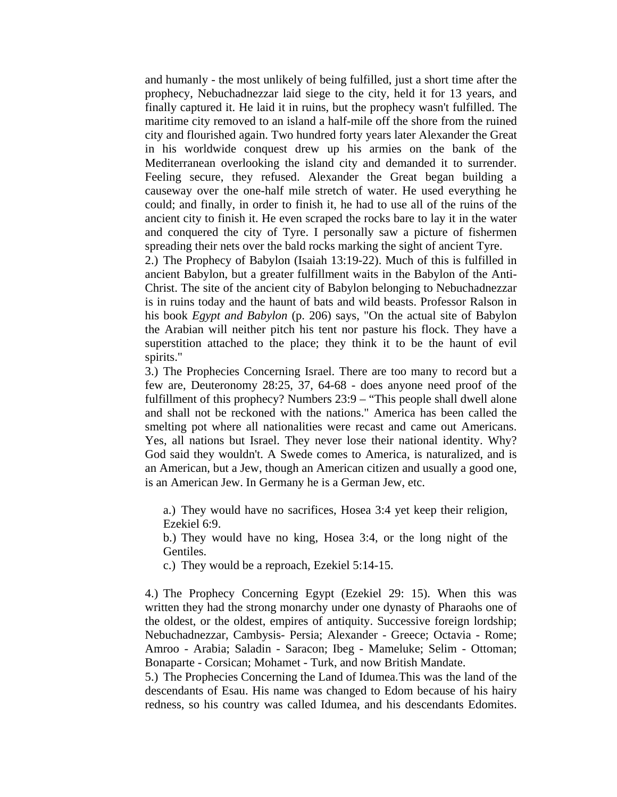and humanly - the most unlikely of being fulfilled, just a short time after the prophecy, Nebuchadnezzar laid siege to the city, held it for 13 years, and finally captured it. He laid it in ruins, but the prophecy wasn't fulfilled. The maritime city removed to an island a half-mile off the shore from the ruined city and flourished again. Two hundred forty years later Alexander the Great in his worldwide conquest drew up his armies on the bank of the Mediterranean overlooking the island city and demanded it to surrender. Feeling secure, they refused. Alexander the Great began building a causeway over the one-half mile stretch of water. He used everything he could; and finally, in order to finish it, he had to use all of the ruins of the ancient city to finish it. He even scraped the rocks bare to lay it in the water and conquered the city of Tyre. I personally saw a picture of fishermen spreading their nets over the bald rocks marking the sight of ancient Tyre.

2.) The Prophecy of Babylon (Isaiah 13:19-22). Much of this is fulfilled in ancient Babylon, but a greater fulfillment waits in the Babylon of the Anti-Christ. The site of the ancient city of Babylon belonging to Nebuchadnezzar is in ruins today and the haunt of bats and wild beasts. Professor Ralson in his book *Egypt and Babylon* (p. 206) says, "On the actual site of Babylon the Arabian will neither pitch his tent nor pasture his flock. They have a superstition attached to the place; they think it to be the haunt of evil spirits."

3.) The Prophecies Concerning Israel. There are too many to record but a few are, Deuteronomy 28:25, 37, 64-68 - does anyone need proof of the fulfillment of this prophecy? Numbers 23:9 – "This people shall dwell alone and shall not be reckoned with the nations." America has been called the smelting pot where all nationalities were recast and came out Americans. Yes, all nations but Israel. They never lose their national identity. Why? God said they wouldn't. A Swede comes to America, is naturalized, and is an American, but a Jew, though an American citizen and usually a good one, is an American Jew. In Germany he is a German Jew, etc.

a.) They would have no sacrifices, Hosea 3:4 yet keep their religion, Ezekiel 6:9.

b.) They would have no king, Hosea 3:4, or the long night of the Gentiles.

c.) They would be a reproach, Ezekiel 5:14-15.

4.) The Prophecy Concerning Egypt (Ezekiel 29: 15). When this was written they had the strong monarchy under one dynasty of Pharaohs one of the oldest, or the oldest, empires of antiquity. Successive foreign lordship; Nebuchadnezzar, Cambysis- Persia; Alexander - Greece; Octavia - Rome; Amroo - Arabia; Saladin - Saracon; Ibeg - Mameluke; Selim - Ottoman; Bonaparte - Corsican; Mohamet - Turk, and now British Mandate.

5.) The Prophecies Concerning the Land of Idumea. This was the land of the descendants of Esau. His name was changed to Edom because of his hairy redness, so his country was called Idumea, and his descendants Edomites.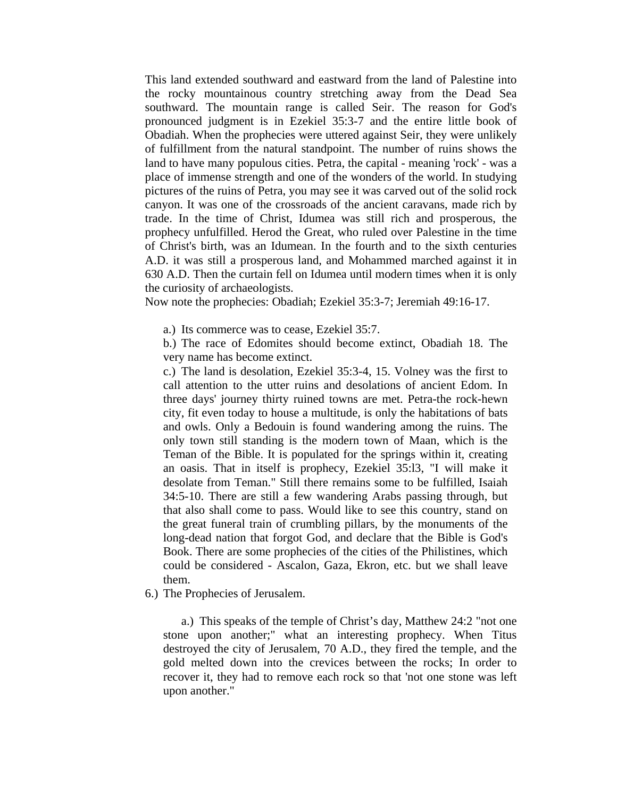This land extended southward and eastward from the land of Palestine into the rocky mountainous country stretching away from the Dead Sea southward. The mountain range is called Seir. The reason for God's pronounced judgment is in Ezekiel 35:3-7 and the entire little book of Obadiah. When the prophecies were uttered against Seir, they were unlikely of fulfillment from the natural standpoint. The number of ruins shows the land to have many populous cities. Petra, the capital - meaning 'rock' - was a place of immense strength and one of the wonders of the world. In studying pictures of the ruins of Petra, you may see it was carved out of the solid rock canyon. It was one of the crossroads of the ancient caravans, made rich by trade. In the time of Christ, Idumea was still rich and prosperous, the prophecy unfulfilled. Herod the Great, who ruled over Palestine in the time of Christ's birth, was an Idumean. In the fourth and to the sixth centuries A.D. it was still a prosperous land, and Mohammed marched against it in 630 A.D. Then the curtain fell on Idumea until modern times when it is only the curiosity of archaeologists.

Now note the prophecies: Obadiah; Ezekiel 35:3-7; Jeremiah 49:16-17.

a.) Its commerce was to cease, Ezekiel 35:7.

b.) The race of Edomites should become extinct, Obadiah 18. The very name has become extinct.

c.) The land is desolation, Ezekiel 35:3-4, 15. Volney was the first to call attention to the utter ruins and desolations of ancient Edom. In three days' journey thirty ruined towns are met. Petra-the rock-hewn city, fit even today to house a multitude, is only the habitations of bats and owls. Only a Bedouin is found wandering among the ruins. The only town still standing is the modern town of Maan, which is the Teman of the Bible. It is populated for the springs within it, creating an oasis. That in itself is prophecy, Ezekiel 35:l3, "I will make it desolate from Teman." Still there remains some to be fulfilled, Isaiah 34:5-10. There are still a few wandering Arabs passing through, but that also shall come to pass. Would like to see this country, stand on the great funeral train of crumbling pillars, by the monuments of the long-dead nation that forgot God, and declare that the Bible is God's Book. There are some prophecies of the cities of the Philistines, which could be considered - Ascalon, Gaza, Ekron, etc. but we shall leave them.

6.) The Prophecies of Jerusalem.

 a.) This speaks of the temple of Christ's day, Matthew 24:2 "not one stone upon another;" what an interesting prophecy. When Titus destroyed the city of Jerusalem, 70 A.D., they fired the temple, and the gold melted down into the crevices between the rocks; In order to recover it, they had to remove each rock so that 'not one stone was left upon another."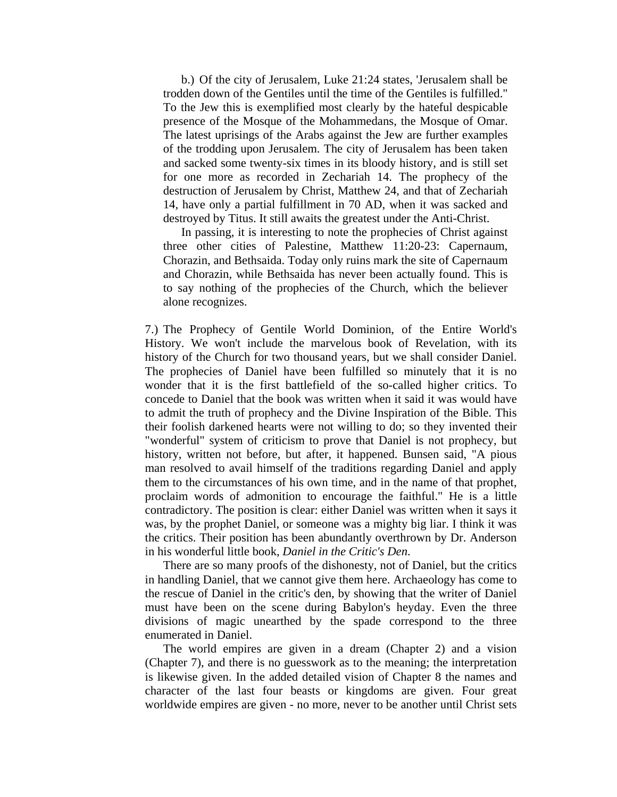b.) Of the city of Jerusalem, Luke 21:24 states, 'Jerusalem shall be trodden down of the Gentiles until the time of the Gentiles is fulfilled." To the Jew this is exemplified most clearly by the hateful despicable presence of the Mosque of the Mohammedans, the Mosque of Omar. The latest uprisings of the Arabs against the Jew are further examples of the trodding upon Jerusalem. The city of Jerusalem has been taken and sacked some twenty-six times in its bloody history, and is still set for one more as recorded in Zechariah 14. The prophecy of the destruction of Jerusalem by Christ, Matthew 24, and that of Zechariah 14, have only a partial fulfillment in 70 AD, when it was sacked and destroyed by Titus. It still awaits the greatest under the Anti-Christ.

 In passing, it is interesting to note the prophecies of Christ against three other cities of Palestine, Matthew 11:20-23: Capernaum, Chorazin, and Bethsaida. Today only ruins mark the site of Capernaum and Chorazin, while Bethsaida has never been actually found. This is to say nothing of the prophecies of the Church, which the believer alone recognizes.

7.) The Prophecy of Gentile World Dominion, of the Entire World's History. We won't include the marvelous book of Revelation, with its history of the Church for two thousand years, but we shall consider Daniel. The prophecies of Daniel have been fulfilled so minutely that it is no wonder that it is the first battlefield of the so-called higher critics. To concede to Daniel that the book was written when it said it was would have to admit the truth of prophecy and the Divine Inspiration of the Bible. This their foolish darkened hearts were not willing to do; so they invented their "wonderful" system of criticism to prove that Daniel is not prophecy, but history, written not before, but after, it happened. Bunsen said, "A pious man resolved to avail himself of the traditions regarding Daniel and apply them to the circumstances of his own time, and in the name of that prophet, proclaim words of admonition to encourage the faithful." He is a little contradictory. The position is clear: either Daniel was written when it says it was, by the prophet Daniel, or someone was a mighty big liar. I think it was the critics. Their position has been abundantly overthrown by Dr. Anderson in his wonderful little book, *Daniel in the Critic's Den*.

 There are so many proofs of the dishonesty, not of Daniel, but the critics in handling Daniel, that we cannot give them here. Archaeology has come to the rescue of Daniel in the critic's den, by showing that the writer of Daniel must have been on the scene during Babylon's heyday. Even the three divisions of magic unearthed by the spade correspond to the three enumerated in Daniel.

 The world empires are given in a dream (Chapter 2) and a vision (Chapter 7), and there is no guesswork as to the meaning; the interpretation is likewise given. In the added detailed vision of Chapter 8 the names and character of the last four beasts or kingdoms are given. Four great worldwide empires are given - no more, never to be another until Christ sets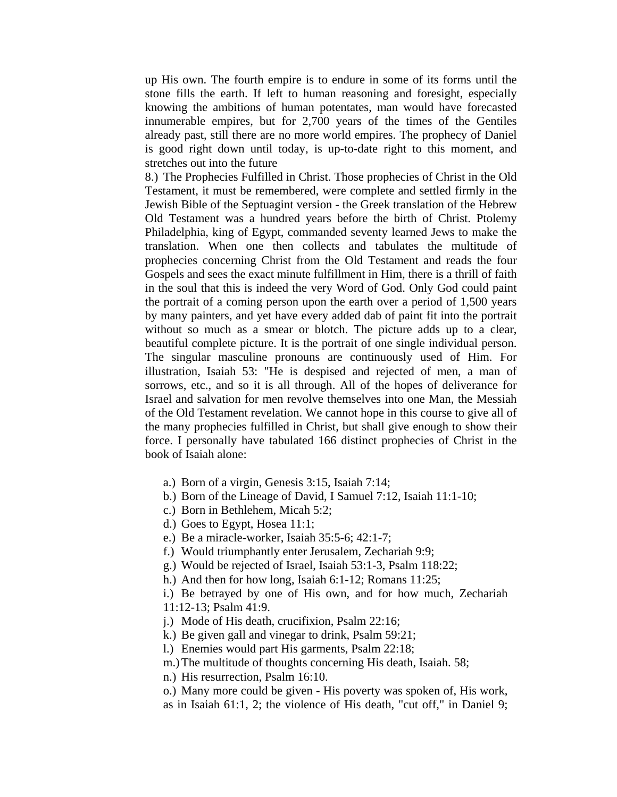up His own. The fourth empire is to endure in some of its forms until the stone fills the earth. If left to human reasoning and foresight, especially knowing the ambitions of human potentates, man would have forecasted innumerable empires, but for 2,700 years of the times of the Gentiles already past, still there are no more world empires. The prophecy of Daniel is good right down until today, is up-to-date right to this moment, and stretches out into the future

8.) The Prophecies Fulfilled in Christ. Those prophecies of Christ in the Old Testament, it must be remembered, were complete and settled firmly in the Jewish Bible of the Septuagint version - the Greek translation of the Hebrew Old Testament was a hundred years before the birth of Christ. Ptolemy Philadelphia, king of Egypt, commanded seventy learned Jews to make the translation. When one then collects and tabulates the multitude of prophecies concerning Christ from the Old Testament and reads the four Gospels and sees the exact minute fulfillment in Him, there is a thrill of faith in the soul that this is indeed the very Word of God. Only God could paint the portrait of a coming person upon the earth over a period of 1,500 years by many painters, and yet have every added dab of paint fit into the portrait without so much as a smear or blotch. The picture adds up to a clear, beautiful complete picture. It is the portrait of one single individual person. The singular masculine pronouns are continuously used of Him. For illustration, Isaiah 53: "He is despised and rejected of men, a man of sorrows, etc., and so it is all through. All of the hopes of deliverance for Israel and salvation for men revolve themselves into one Man, the Messiah of the Old Testament revelation. We cannot hope in this course to give all of the many prophecies fulfilled in Christ, but shall give enough to show their force. I personally have tabulated 166 distinct prophecies of Christ in the book of Isaiah alone:

- a.) Born of a virgin, Genesis 3:15, Isaiah 7:14;
- b.) Born of the Lineage of David, I Samuel 7:12, Isaiah 11:1-10;
- c.) Born in Bethlehem, Micah 5:2;
- d.) Goes to Egypt, Hosea 11:1;
- e.) Be a miracle-worker, Isaiah 35:5-6; 42:1-7;
- f.) Would triumphantly enter Jerusalem, Zechariah 9:9;
- g.) Would be rejected of Israel, Isaiah 53:1-3, Psalm 118:22;
- h.) And then for how long, Isaiah 6:1-12; Romans 11:25;
- i.) Be betrayed by one of His own, and for how much, Zechariah 11:12-13; Psalm 41:9.
- j.) Mode of His death, crucifixion, Psalm 22:16;
- k.) Be given gall and vinegar to drink, Psalm 59:21;
- l.) Enemies would part His garments, Psalm 22:18;
- m.) The multitude of thoughts concerning His death, Isaiah. 58;
- n.) His resurrection, Psalm 16:10.
- o.) Many more could be given His poverty was spoken of, His work, as in Isaiah 61:1, 2; the violence of His death, "cut off," in Daniel 9;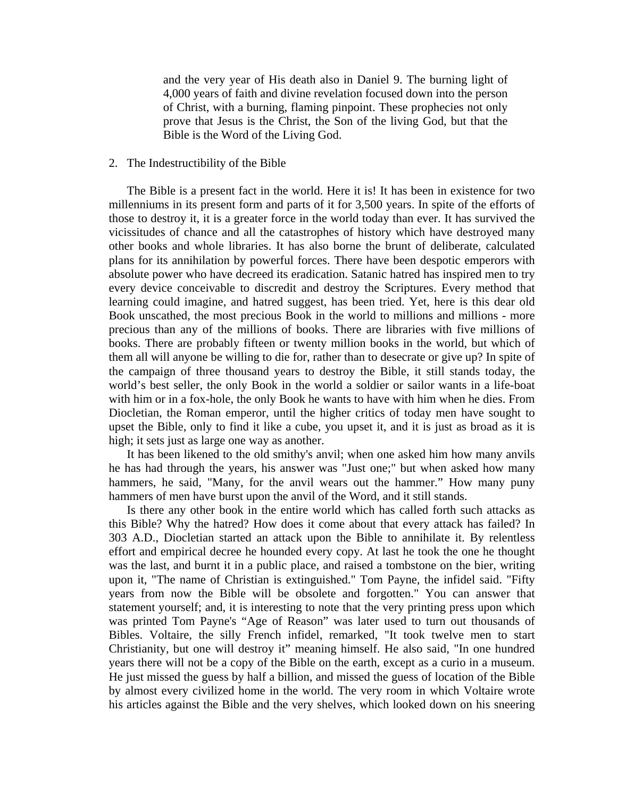and the very year of His death also in Daniel 9. The burning light of 4,000 years of faith and divine revelation focused down into the person of Christ, with a burning, flaming pinpoint. These prophecies not only prove that Jesus is the Christ, the Son of the living God, but that the Bible is the Word of the Living God.

### 2. The Indestructibility of the Bible

 The Bible is a present fact in the world. Here it is! It has been in existence for two millenniums in its present form and parts of it for 3,500 years. In spite of the efforts of those to destroy it, it is a greater force in the world today than ever. It has survived the vicissitudes of chance and all the catastrophes of history which have destroyed many other books and whole libraries. It has also borne the brunt of deliberate, calculated plans for its annihilation by powerful forces. There have been despotic emperors with absolute power who have decreed its eradication. Satanic hatred has inspired men to try every device conceivable to discredit and destroy the Scriptures. Every method that learning could imagine, and hatred suggest, has been tried. Yet, here is this dear old Book unscathed, the most precious Book in the world to millions and millions - more precious than any of the millions of books. There are libraries with five millions of books. There are probably fifteen or twenty million books in the world, but which of them all will anyone be willing to die for, rather than to desecrate or give up? In spite of the campaign of three thousand years to destroy the Bible, it still stands today, the world's best seller, the only Book in the world a soldier or sailor wants in a life-boat with him or in a fox-hole, the only Book he wants to have with him when he dies. From Diocletian, the Roman emperor, until the higher critics of today men have sought to upset the Bible, only to find it like a cube, you upset it, and it is just as broad as it is high; it sets just as large one way as another.

 It has been likened to the old smithy's anvil; when one asked him how many anvils he has had through the years, his answer was "Just one;" but when asked how many hammers, he said, "Many, for the anvil wears out the hammer." How many puny hammers of men have burst upon the anvil of the Word, and it still stands.

 Is there any other book in the entire world which has called forth such attacks as this Bible? Why the hatred? How does it come about that every attack has failed? In 303 A.D., Diocletian started an attack upon the Bible to annihilate it. By relentless effort and empirical decree he hounded every copy. At last he took the one he thought was the last, and burnt it in a public place, and raised a tombstone on the bier, writing upon it, "The name of Christian is extinguished." Tom Payne, the infidel said. "Fifty years from now the Bible will be obsolete and forgotten." You can answer that statement yourself; and, it is interesting to note that the very printing press upon which was printed Tom Payne's "Age of Reason" was later used to turn out thousands of Bibles. Voltaire, the silly French infidel, remarked, "It took twelve men to start Christianity, but one will destroy it" meaning himself. He also said, "In one hundred years there will not be a copy of the Bible on the earth, except as a curio in a museum. He just missed the guess by half a billion, and missed the guess of location of the Bible by almost every civilized home in the world. The very room in which Voltaire wrote his articles against the Bible and the very shelves, which looked down on his sneering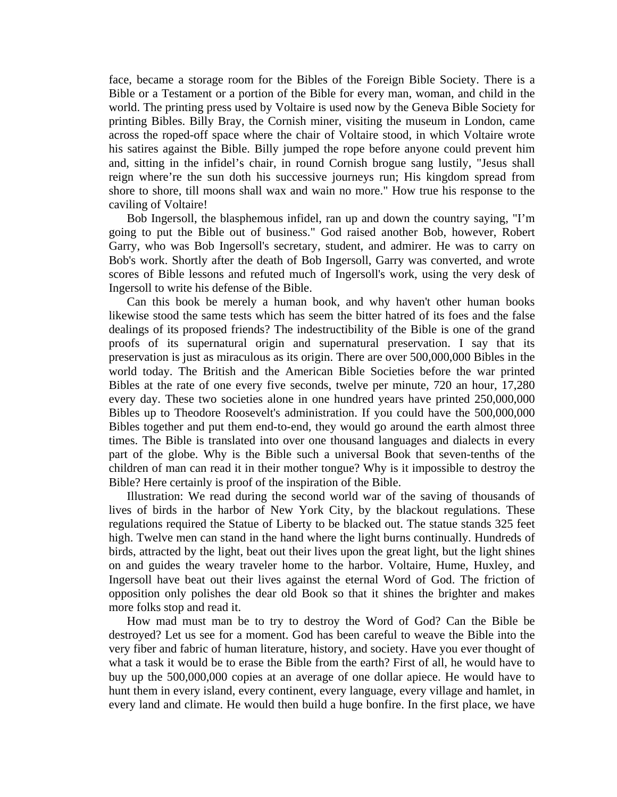face, became a storage room for the Bibles of the Foreign Bible Society. There is a Bible or a Testament or a portion of the Bible for every man, woman, and child in the world. The printing press used by Voltaire is used now by the Geneva Bible Society for printing Bibles. Billy Bray, the Cornish miner, visiting the museum in London, came across the roped-off space where the chair of Voltaire stood, in which Voltaire wrote his satires against the Bible. Billy jumped the rope before anyone could prevent him and, sitting in the infidel's chair, in round Cornish brogue sang lustily, "Jesus shall reign where're the sun doth his successive journeys run; His kingdom spread from shore to shore, till moons shall wax and wain no more." How true his response to the caviling of Voltaire!

 Bob Ingersoll, the blasphemous infidel, ran up and down the country saying, "I'm going to put the Bible out of business." God raised another Bob, however, Robert Garry, who was Bob Ingersoll's secretary, student, and admirer. He was to carry on Bob's work. Shortly after the death of Bob Ingersoll, Garry was converted, and wrote scores of Bible lessons and refuted much of Ingersoll's work, using the very desk of Ingersoll to write his defense of the Bible.

 Can this book be merely a human book, and why haven't other human books likewise stood the same tests which has seem the bitter hatred of its foes and the false dealings of its proposed friends? The indestructibility of the Bible is one of the grand proofs of its supernatural origin and supernatural preservation. I say that its preservation is just as miraculous as its origin. There are over 500,000,000 Bibles in the world today. The British and the American Bible Societies before the war printed Bibles at the rate of one every five seconds, twelve per minute, 720 an hour, 17,280 every day. These two societies alone in one hundred years have printed 250,000,000 Bibles up to Theodore Roosevelt's administration. If you could have the 500,000,000 Bibles together and put them end-to-end, they would go around the earth almost three times. The Bible is translated into over one thousand languages and dialects in every part of the globe. Why is the Bible such a universal Book that seven-tenths of the children of man can read it in their mother tongue? Why is it impossible to destroy the Bible? Here certainly is proof of the inspiration of the Bible.

 Illustration: We read during the second world war of the saving of thousands of lives of birds in the harbor of New York City, by the blackout regulations. These regulations required the Statue of Liberty to be blacked out. The statue stands 325 feet high. Twelve men can stand in the hand where the light burns continually. Hundreds of birds, attracted by the light, beat out their lives upon the great light, but the light shines on and guides the weary traveler home to the harbor. Voltaire, Hume, Huxley, and Ingersoll have beat out their lives against the eternal Word of God. The friction of opposition only polishes the dear old Book so that it shines the brighter and makes more folks stop and read it.

 How mad must man be to try to destroy the Word of God? Can the Bible be destroyed? Let us see for a moment. God has been careful to weave the Bible into the very fiber and fabric of human literature, history, and society. Have you ever thought of what a task it would be to erase the Bible from the earth? First of all, he would have to buy up the 500,000,000 copies at an average of one dollar apiece. He would have to hunt them in every island, every continent, every language, every village and hamlet, in every land and climate. He would then build a huge bonfire. In the first place, we have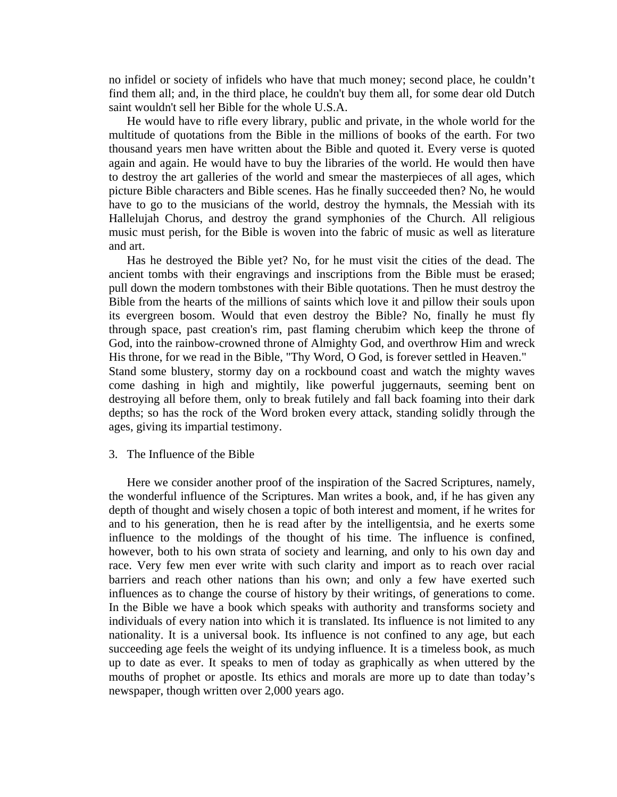no infidel or society of infidels who have that much money; second place, he couldn't find them all; and, in the third place, he couldn't buy them all, for some dear old Dutch saint wouldn't sell her Bible for the whole U.S.A.

 He would have to rifle every library, public and private, in the whole world for the multitude of quotations from the Bible in the millions of books of the earth. For two thousand years men have written about the Bible and quoted it. Every verse is quoted again and again. He would have to buy the libraries of the world. He would then have to destroy the art galleries of the world and smear the masterpieces of all ages, which picture Bible characters and Bible scenes. Has he finally succeeded then? No, he would have to go to the musicians of the world, destroy the hymnals, the Messiah with its Hallelujah Chorus, and destroy the grand symphonies of the Church. All religious music must perish, for the Bible is woven into the fabric of music as well as literature and art.

 Has he destroyed the Bible yet? No, for he must visit the cities of the dead. The ancient tombs with their engravings and inscriptions from the Bible must be erased; pull down the modern tombstones with their Bible quotations. Then he must destroy the Bible from the hearts of the millions of saints which love it and pillow their souls upon its evergreen bosom. Would that even destroy the Bible? No, finally he must fly through space, past creation's rim, past flaming cherubim which keep the throne of God, into the rainbow-crowned throne of Almighty God, and overthrow Him and wreck His throne, for we read in the Bible, "Thy Word, O God, is forever settled in Heaven." Stand some blustery, stormy day on a rockbound coast and watch the mighty waves come dashing in high and mightily, like powerful juggernauts, seeming bent on destroying all before them, only to break futilely and fall back foaming into their dark depths; so has the rock of the Word broken every attack, standing solidly through the ages, giving its impartial testimony.

### 3. The Influence of the Bible

 Here we consider another proof of the inspiration of the Sacred Scriptures, namely, the wonderful influence of the Scriptures. Man writes a book, and, if he has given any depth of thought and wisely chosen a topic of both interest and moment, if he writes for and to his generation, then he is read after by the intelligentsia, and he exerts some influence to the moldings of the thought of his time. The influence is confined, however, both to his own strata of society and learning, and only to his own day and race. Very few men ever write with such clarity and import as to reach over racial barriers and reach other nations than his own; and only a few have exerted such influences as to change the course of history by their writings, of generations to come. In the Bible we have a book which speaks with authority and transforms society and individuals of every nation into which it is translated. Its influence is not limited to any nationality. It is a universal book. Its influence is not confined to any age, but each succeeding age feels the weight of its undying influence. It is a timeless book, as much up to date as ever. It speaks to men of today as graphically as when uttered by the mouths of prophet or apostle. Its ethics and morals are more up to date than today's newspaper, though written over 2,000 years ago.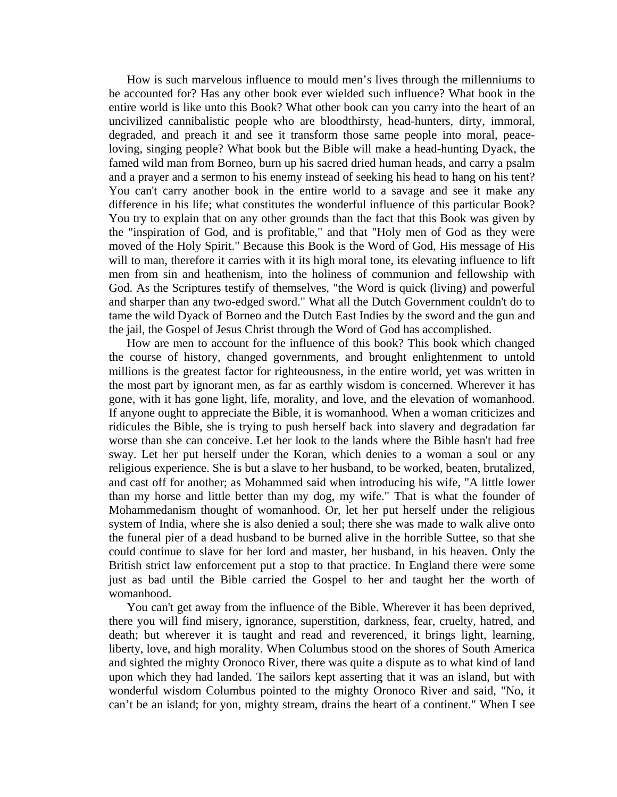How is such marvelous influence to mould men's lives through the millenniums to be accounted for? Has any other book ever wielded such influence? What book in the entire world is like unto this Book? What other book can you carry into the heart of an uncivilized cannibalistic people who are bloodthirsty, head-hunters, dirty, immoral, degraded, and preach it and see it transform those same people into moral, peaceloving, singing people? What book but the Bible will make a head-hunting Dyack, the famed wild man from Borneo, burn up his sacred dried human heads, and carry a psalm and a prayer and a sermon to his enemy instead of seeking his head to hang on his tent? You can't carry another book in the entire world to a savage and see it make any difference in his life; what constitutes the wonderful influence of this particular Book? You try to explain that on any other grounds than the fact that this Book was given by the "inspiration of God, and is profitable," and that "Holy men of God as they were moved of the Holy Spirit." Because this Book is the Word of God, His message of His will to man, therefore it carries with it its high moral tone, its elevating influence to lift men from sin and heathenism, into the holiness of communion and fellowship with God. As the Scriptures testify of themselves, "the Word is quick (living) and powerful and sharper than any two-edged sword." What all the Dutch Government couldn't do to tame the wild Dyack of Borneo and the Dutch East Indies by the sword and the gun and the jail, the Gospel of Jesus Christ through the Word of God has accomplished.

 How are men to account for the influence of this book? This book which changed the course of history, changed governments, and brought enlightenment to untold millions is the greatest factor for righteousness, in the entire world, yet was written in the most part by ignorant men, as far as earthly wisdom is concerned. Wherever it has gone, with it has gone light, life, morality, and love, and the elevation of womanhood. If anyone ought to appreciate the Bible, it is womanhood. When a woman criticizes and ridicules the Bible, she is trying to push herself back into slavery and degradation far worse than she can conceive. Let her look to the lands where the Bible hasn't had free sway. Let her put herself under the Koran, which denies to a woman a soul or any religious experience. She is but a slave to her husband, to be worked, beaten, brutalized, and cast off for another; as Mohammed said when introducing his wife, "A little lower than my horse and little better than my dog, my wife." That is what the founder of Mohammedanism thought of womanhood. Or, let her put herself under the religious system of India, where she is also denied a soul; there she was made to walk alive onto the funeral pier of a dead husband to be burned alive in the horrible Suttee, so that she could continue to slave for her lord and master, her husband, in his heaven. Only the British strict law enforcement put a stop to that practice. In England there were some just as bad until the Bible carried the Gospel to her and taught her the worth of womanhood.

 You can't get away from the influence of the Bible. Wherever it has been deprived, there you will find misery, ignorance, superstition, darkness, fear, cruelty, hatred, and death; but wherever it is taught and read and reverenced, it brings light, learning, liberty, love, and high morality. When Columbus stood on the shores of South America and sighted the mighty Oronoco River, there was quite a dispute as to what kind of land upon which they had landed. The sailors kept asserting that it was an island, but with wonderful wisdom Columbus pointed to the mighty Oronoco River and said, "No, it can't be an island; for yon, mighty stream, drains the heart of a continent." When I see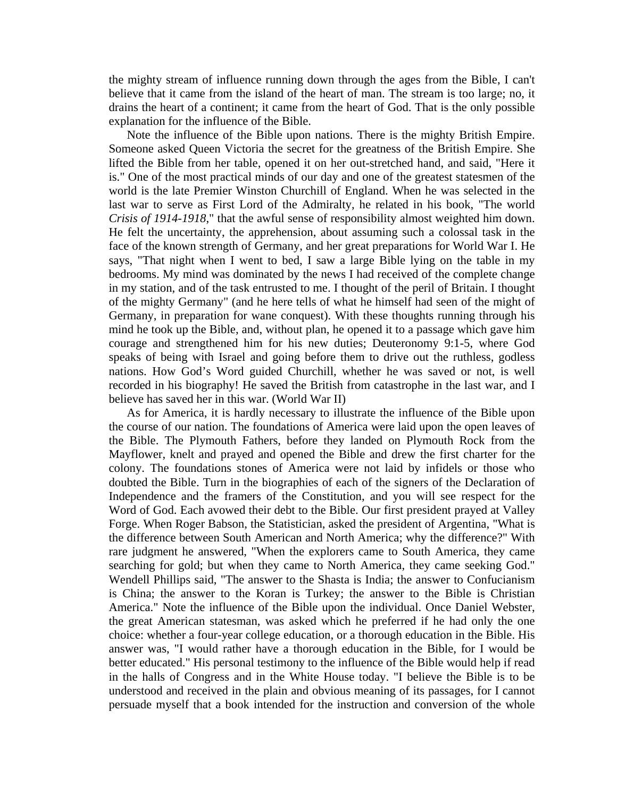the mighty stream of influence running down through the ages from the Bible, I can't believe that it came from the island of the heart of man. The stream is too large; no, it drains the heart of a continent; it came from the heart of God. That is the only possible explanation for the influence of the Bible.

 Note the influence of the Bible upon nations. There is the mighty British Empire. Someone asked Queen Victoria the secret for the greatness of the British Empire. She lifted the Bible from her table, opened it on her out-stretched hand, and said, "Here it is." One of the most practical minds of our day and one of the greatest statesmen of the world is the late Premier Winston Churchill of England. When he was selected in the last war to serve as First Lord of the Admiralty, he related in his book, "The world *Crisis of 1914-1918*," that the awful sense of responsibility almost weighted him down. He felt the uncertainty, the apprehension, about assuming such a colossal task in the face of the known strength of Germany, and her great preparations for World War I. He says, "That night when I went to bed, I saw a large Bible lying on the table in my bedrooms. My mind was dominated by the news I had received of the complete change in my station, and of the task entrusted to me. I thought of the peril of Britain. I thought of the mighty Germany" (and he here tells of what he himself had seen of the might of Germany, in preparation for wane conquest). With these thoughts running through his mind he took up the Bible, and, without plan, he opened it to a passage which gave him courage and strengthened him for his new duties; Deuteronomy 9:1-5, where God speaks of being with Israel and going before them to drive out the ruthless, godless nations. How God's Word guided Churchill, whether he was saved or not, is well recorded in his biography! He saved the British from catastrophe in the last war, and I believe has saved her in this war. (World War II)

 As for America, it is hardly necessary to illustrate the influence of the Bible upon the course of our nation. The foundations of America were laid upon the open leaves of the Bible. The Plymouth Fathers, before they landed on Plymouth Rock from the Mayflower, knelt and prayed and opened the Bible and drew the first charter for the colony. The foundations stones of America were not laid by infidels or those who doubted the Bible. Turn in the biographies of each of the signers of the Declaration of Independence and the framers of the Constitution, and you will see respect for the Word of God. Each avowed their debt to the Bible. Our first president prayed at Valley Forge. When Roger Babson, the Statistician, asked the president of Argentina, "What is the difference between South American and North America; why the difference?" With rare judgment he answered, "When the explorers came to South America, they came searching for gold; but when they came to North America, they came seeking God." Wendell Phillips said, "The answer to the Shasta is India; the answer to Confucianism is China; the answer to the Koran is Turkey; the answer to the Bible is Christian America." Note the influence of the Bible upon the individual. Once Daniel Webster, the great American statesman, was asked which he preferred if he had only the one choice: whether a four-year college education, or a thorough education in the Bible. His answer was, "I would rather have a thorough education in the Bible, for I would be better educated." His personal testimony to the influence of the Bible would help if read in the halls of Congress and in the White House today. "I believe the Bible is to be understood and received in the plain and obvious meaning of its passages, for I cannot persuade myself that a book intended for the instruction and conversion of the whole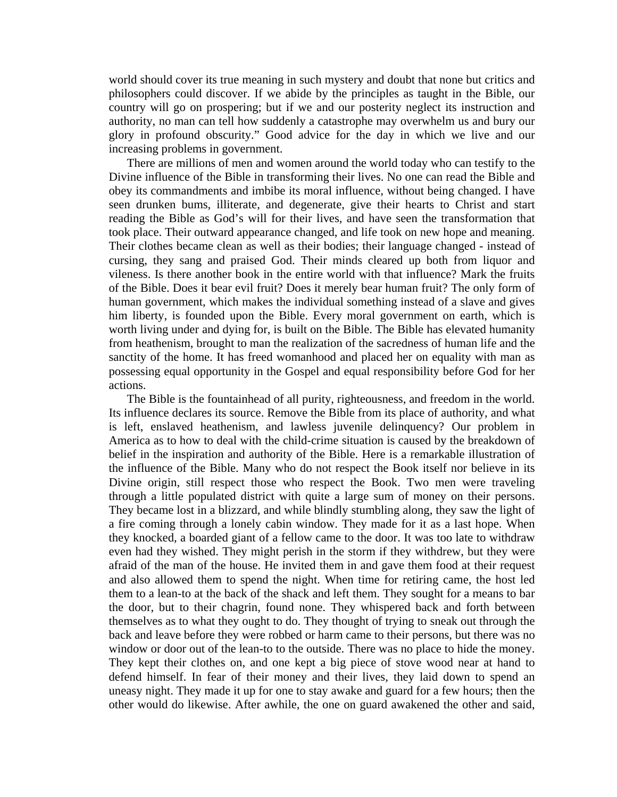world should cover its true meaning in such mystery and doubt that none but critics and philosophers could discover. If we abide by the principles as taught in the Bible, our country will go on prospering; but if we and our posterity neglect its instruction and authority, no man can tell how suddenly a catastrophe may overwhelm us and bury our glory in profound obscurity." Good advice for the day in which we live and our increasing problems in government.

 There are millions of men and women around the world today who can testify to the Divine influence of the Bible in transforming their lives. No one can read the Bible and obey its commandments and imbibe its moral influence, without being changed. I have seen drunken bums, illiterate, and degenerate, give their hearts to Christ and start reading the Bible as God's will for their lives, and have seen the transformation that took place. Their outward appearance changed, and life took on new hope and meaning. Their clothes became clean as well as their bodies; their language changed - instead of cursing, they sang and praised God. Their minds cleared up both from liquor and vileness. Is there another book in the entire world with that influence? Mark the fruits of the Bible. Does it bear evil fruit? Does it merely bear human fruit? The only form of human government, which makes the individual something instead of a slave and gives him liberty, is founded upon the Bible. Every moral government on earth, which is worth living under and dying for, is built on the Bible. The Bible has elevated humanity from heathenism, brought to man the realization of the sacredness of human life and the sanctity of the home. It has freed womanhood and placed her on equality with man as possessing equal opportunity in the Gospel and equal responsibility before God for her actions.

 The Bible is the fountainhead of all purity, righteousness, and freedom in the world. Its influence declares its source. Remove the Bible from its place of authority, and what is left, enslaved heathenism, and lawless juvenile delinquency? Our problem in America as to how to deal with the child-crime situation is caused by the breakdown of belief in the inspiration and authority of the Bible. Here is a remarkable illustration of the influence of the Bible. Many who do not respect the Book itself nor believe in its Divine origin, still respect those who respect the Book. Two men were traveling through a little populated district with quite a large sum of money on their persons. They became lost in a blizzard, and while blindly stumbling along, they saw the light of a fire coming through a lonely cabin window. They made for it as a last hope. When they knocked, a boarded giant of a fellow came to the door. It was too late to withdraw even had they wished. They might perish in the storm if they withdrew, but they were afraid of the man of the house. He invited them in and gave them food at their request and also allowed them to spend the night. When time for retiring came, the host led them to a lean-to at the back of the shack and left them. They sought for a means to bar the door, but to their chagrin, found none. They whispered back and forth between themselves as to what they ought to do. They thought of trying to sneak out through the back and leave before they were robbed or harm came to their persons, but there was no window or door out of the lean-to to the outside. There was no place to hide the money. They kept their clothes on, and one kept a big piece of stove wood near at hand to defend himself. In fear of their money and their lives, they laid down to spend an uneasy night. They made it up for one to stay awake and guard for a few hours; then the other would do likewise. After awhile, the one on guard awakened the other and said,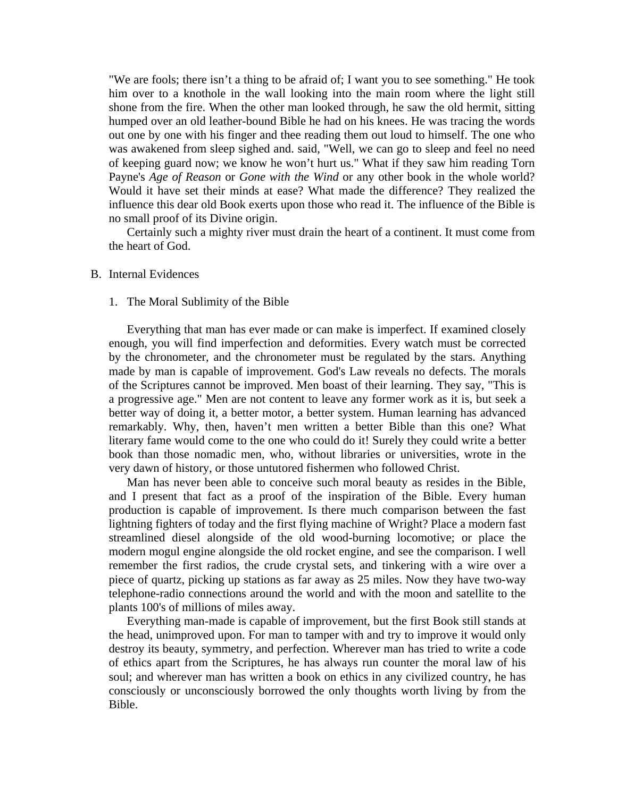"We are fools; there isn't a thing to be afraid of; I want you to see something." He took him over to a knothole in the wall looking into the main room where the light still shone from the fire. When the other man looked through, he saw the old hermit, sitting humped over an old leather-bound Bible he had on his knees. He was tracing the words out one by one with his finger and thee reading them out loud to himself. The one who was awakened from sleep sighed and. said, "Well, we can go to sleep and feel no need of keeping guard now; we know he won't hurt us." What if they saw him reading Torn Payne's *Age of Reason* or *Gone with the Wind* or any other book in the whole world? Would it have set their minds at ease? What made the difference? They realized the influence this dear old Book exerts upon those who read it. The influence of the Bible is no small proof of its Divine origin.

 Certainly such a mighty river must drain the heart of a continent. It must come from the heart of God.

#### B. Internal Evidences

#### 1. The Moral Sublimity of the Bible

 Everything that man has ever made or can make is imperfect. If examined closely enough, you will find imperfection and deformities. Every watch must be corrected by the chronometer, and the chronometer must be regulated by the stars. Anything made by man is capable of improvement. God's Law reveals no defects. The morals of the Scriptures cannot be improved. Men boast of their learning. They say, "This is a progressive age." Men are not content to leave any former work as it is, but seek a better way of doing it, a better motor, a better system. Human learning has advanced remarkably. Why, then, haven't men written a better Bible than this one? What literary fame would come to the one who could do it! Surely they could write a better book than those nomadic men, who, without libraries or universities, wrote in the very dawn of history, or those untutored fishermen who followed Christ.

 Man has never been able to conceive such moral beauty as resides in the Bible, and I present that fact as a proof of the inspiration of the Bible. Every human production is capable of improvement. Is there much comparison between the fast lightning fighters of today and the first flying machine of Wright? Place a modern fast streamlined diesel alongside of the old wood-burning locomotive; or place the modern mogul engine alongside the old rocket engine, and see the comparison. I well remember the first radios, the crude crystal sets, and tinkering with a wire over a piece of quartz, picking up stations as far away as 25 miles. Now they have two-way telephone-radio connections around the world and with the moon and satellite to the plants 100's of millions of miles away.

 Everything man-made is capable of improvement, but the first Book still stands at the head, unimproved upon. For man to tamper with and try to improve it would only destroy its beauty, symmetry, and perfection. Wherever man has tried to write a code of ethics apart from the Scriptures, he has always run counter the moral law of his soul; and wherever man has written a book on ethics in any civilized country, he has consciously or unconsciously borrowed the only thoughts worth living by from the Bible.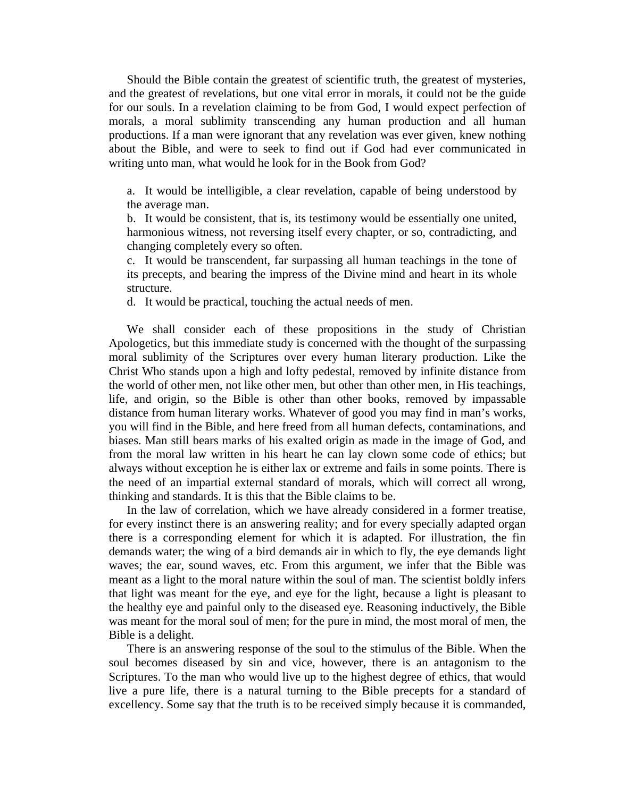Should the Bible contain the greatest of scientific truth, the greatest of mysteries, and the greatest of revelations, but one vital error in morals, it could not be the guide for our souls. In a revelation claiming to be from God, I would expect perfection of morals, a moral sublimity transcending any human production and all human productions. If a man were ignorant that any revelation was ever given, knew nothing about the Bible, and were to seek to find out if God had ever communicated in writing unto man, what would he look for in the Book from God?

a. It would be intelligible, a clear revelation, capable of being understood by the average man.

b. It would be consistent, that is, its testimony would be essentially one united, harmonious witness, not reversing itself every chapter, or so, contradicting, and changing completely every so often.

c. It would be transcendent, far surpassing all human teachings in the tone of its precepts, and bearing the impress of the Divine mind and heart in its whole structure.

d. It would be practical, touching the actual needs of men.

 We shall consider each of these propositions in the study of Christian Apologetics, but this immediate study is concerned with the thought of the surpassing moral sublimity of the Scriptures over every human literary production. Like the Christ Who stands upon a high and lofty pedestal, removed by infinite distance from the world of other men, not like other men, but other than other men, in His teachings, life, and origin, so the Bible is other than other books, removed by impassable distance from human literary works. Whatever of good you may find in man's works, you will find in the Bible, and here freed from all human defects, contaminations, and biases. Man still bears marks of his exalted origin as made in the image of God, and from the moral law written in his heart he can lay clown some code of ethics; but always without exception he is either lax or extreme and fails in some points. There is the need of an impartial external standard of morals, which will correct all wrong, thinking and standards. It is this that the Bible claims to be.

 In the law of correlation, which we have already considered in a former treatise, for every instinct there is an answering reality; and for every specially adapted organ there is a corresponding element for which it is adapted. For illustration, the fin demands water; the wing of a bird demands air in which to fly, the eye demands light waves; the ear, sound waves, etc. From this argument, we infer that the Bible was meant as a light to the moral nature within the soul of man. The scientist boldly infers that light was meant for the eye, and eye for the light, because a light is pleasant to the healthy eye and painful only to the diseased eye. Reasoning inductively, the Bible was meant for the moral soul of men; for the pure in mind, the most moral of men, the Bible is a delight.

 There is an answering response of the soul to the stimulus of the Bible. When the soul becomes diseased by sin and vice, however, there is an antagonism to the Scriptures. To the man who would live up to the highest degree of ethics, that would live a pure life, there is a natural turning to the Bible precepts for a standard of excellency. Some say that the truth is to be received simply because it is commanded,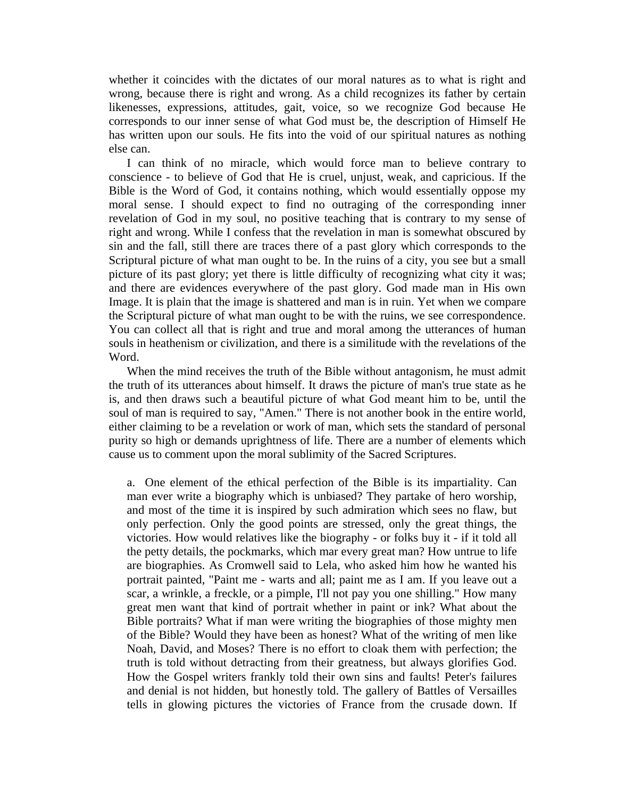whether it coincides with the dictates of our moral natures as to what is right and wrong, because there is right and wrong. As a child recognizes its father by certain likenesses, expressions, attitudes, gait, voice, so we recognize God because He corresponds to our inner sense of what God must be, the description of Himself He has written upon our souls. He fits into the void of our spiritual natures as nothing else can.

 I can think of no miracle, which would force man to believe contrary to conscience - to believe of God that He is cruel, unjust, weak, and capricious. If the Bible is the Word of God, it contains nothing, which would essentially oppose my moral sense. I should expect to find no outraging of the corresponding inner revelation of God in my soul, no positive teaching that is contrary to my sense of right and wrong. While I confess that the revelation in man is somewhat obscured by sin and the fall, still there are traces there of a past glory which corresponds to the Scriptural picture of what man ought to be. In the ruins of a city, you see but a small picture of its past glory; yet there is little difficulty of recognizing what city it was; and there are evidences everywhere of the past glory. God made man in His own Image. It is plain that the image is shattered and man is in ruin. Yet when we compare the Scriptural picture of what man ought to be with the ruins, we see correspondence. You can collect all that is right and true and moral among the utterances of human souls in heathenism or civilization, and there is a similitude with the revelations of the Word.

 When the mind receives the truth of the Bible without antagonism, he must admit the truth of its utterances about himself. It draws the picture of man's true state as he is, and then draws such a beautiful picture of what God meant him to be, until the soul of man is required to say, "Amen." There is not another book in the entire world, either claiming to be a revelation or work of man, which sets the standard of personal purity so high or demands uprightness of life. There are a number of elements which cause us to comment upon the moral sublimity of the Sacred Scriptures.

a. One element of the ethical perfection of the Bible is its impartiality. Can man ever write a biography which is unbiased? They partake of hero worship, and most of the time it is inspired by such admiration which sees no flaw, but only perfection. Only the good points are stressed, only the great things, the victories. How would relatives like the biography - or folks buy it - if it told all the petty details, the pockmarks, which mar every great man? How untrue to life are biographies. As Cromwell said to Lela, who asked him how he wanted his portrait painted, "Paint me - warts and all; paint me as I am. If you leave out a scar, a wrinkle, a freckle, or a pimple, I'll not pay you one shilling." How many great men want that kind of portrait whether in paint or ink? What about the Bible portraits? What if man were writing the biographies of those mighty men of the Bible? Would they have been as honest? What of the writing of men like Noah, David, and Moses? There is no effort to cloak them with perfection; the truth is told without detracting from their greatness, but always glorifies God. How the Gospel writers frankly told their own sins and faults! Peter's failures and denial is not hidden, but honestly told. The gallery of Battles of Versailles tells in glowing pictures the victories of France from the crusade down. If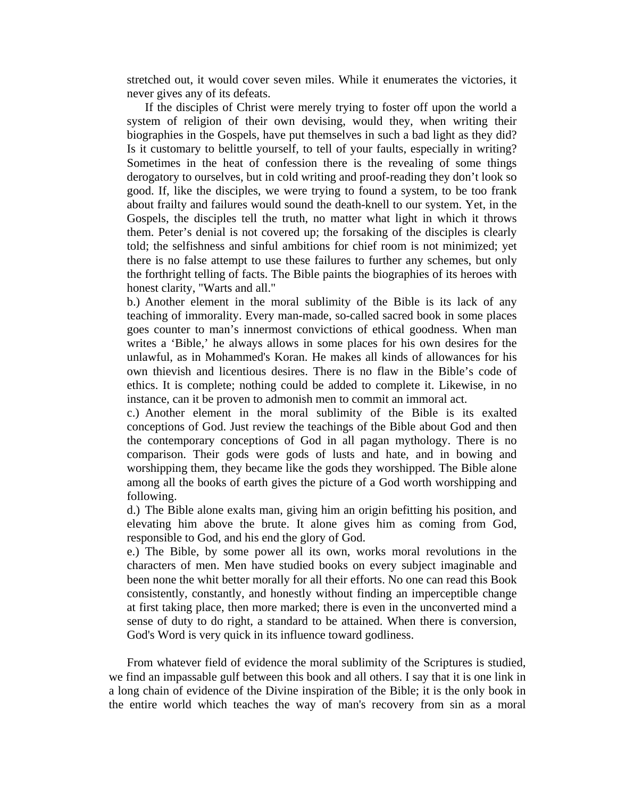stretched out, it would cover seven miles. While it enumerates the victories, it never gives any of its defeats.

 If the disciples of Christ were merely trying to foster off upon the world a system of religion of their own devising, would they, when writing their biographies in the Gospels, have put themselves in such a bad light as they did? Is it customary to belittle yourself, to tell of your faults, especially in writing? Sometimes in the heat of confession there is the revealing of some things derogatory to ourselves, but in cold writing and proof-reading they don't look so good. If, like the disciples, we were trying to found a system, to be too frank about frailty and failures would sound the death-knell to our system. Yet, in the Gospels, the disciples tell the truth, no matter what light in which it throws them. Peter's denial is not covered up; the forsaking of the disciples is clearly told; the selfishness and sinful ambitions for chief room is not minimized; yet there is no false attempt to use these failures to further any schemes, but only the forthright telling of facts. The Bible paints the biographies of its heroes with honest clarity, "Warts and all."

b.) Another element in the moral sublimity of the Bible is its lack of any teaching of immorality. Every man-made, so-called sacred book in some places goes counter to man's innermost convictions of ethical goodness. When man writes a 'Bible,' he always allows in some places for his own desires for the unlawful, as in Mohammed's Koran. He makes all kinds of allowances for his own thievish and licentious desires. There is no flaw in the Bible's code of ethics. It is complete; nothing could be added to complete it. Likewise, in no instance, can it be proven to admonish men to commit an immoral act.

c.) Another element in the moral sublimity of the Bible is its exalted conceptions of God. Just review the teachings of the Bible about God and then the contemporary conceptions of God in all pagan mythology. There is no comparison. Their gods were gods of lusts and hate, and in bowing and worshipping them, they became like the gods they worshipped. The Bible alone among all the books of earth gives the picture of a God worth worshipping and following.

d.) The Bible alone exalts man, giving him an origin befitting his position, and elevating him above the brute. It alone gives him as coming from God, responsible to God, and his end the glory of God.

e.) The Bible, by some power all its own, works moral revolutions in the characters of men. Men have studied books on every subject imaginable and been none the whit better morally for all their efforts. No one can read this Book consistently, constantly, and honestly without finding an imperceptible change at first taking place, then more marked; there is even in the unconverted mind a sense of duty to do right, a standard to be attained. When there is conversion, God's Word is very quick in its influence toward godliness.

 From whatever field of evidence the moral sublimity of the Scriptures is studied, we find an impassable gulf between this book and all others. I say that it is one link in a long chain of evidence of the Divine inspiration of the Bible; it is the only book in the entire world which teaches the way of man's recovery from sin as a moral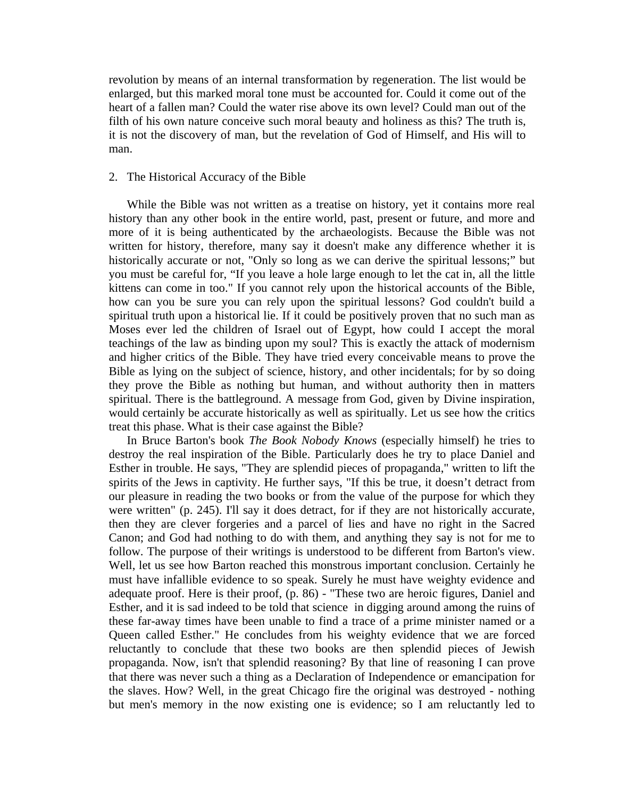revolution by means of an internal transformation by regeneration. The list would be enlarged, but this marked moral tone must be accounted for. Could it come out of the heart of a fallen man? Could the water rise above its own level? Could man out of the filth of his own nature conceive such moral beauty and holiness as this? The truth is, it is not the discovery of man, but the revelation of God of Himself, and His will to man.

## 2. The Historical Accuracy of the Bible

 While the Bible was not written as a treatise on history, yet it contains more real history than any other book in the entire world, past, present or future, and more and more of it is being authenticated by the archaeologists. Because the Bible was not written for history, therefore, many say it doesn't make any difference whether it is historically accurate or not, "Only so long as we can derive the spiritual lessons;" but you must be careful for, "If you leave a hole large enough to let the cat in, all the little kittens can come in too." If you cannot rely upon the historical accounts of the Bible, how can you be sure you can rely upon the spiritual lessons? God couldn't build a spiritual truth upon a historical lie. If it could be positively proven that no such man as Moses ever led the children of Israel out of Egypt, how could I accept the moral teachings of the law as binding upon my soul? This is exactly the attack of modernism and higher critics of the Bible. They have tried every conceivable means to prove the Bible as lying on the subject of science, history, and other incidentals; for by so doing they prove the Bible as nothing but human, and without authority then in matters spiritual. There is the battleground. A message from God, given by Divine inspiration, would certainly be accurate historically as well as spiritually. Let us see how the critics treat this phase. What is their case against the Bible?

 In Bruce Barton's book *The Book Nobody Knows* (especially himself) he tries to destroy the real inspiration of the Bible. Particularly does he try to place Daniel and Esther in trouble. He says, "They are splendid pieces of propaganda," written to lift the spirits of the Jews in captivity. He further says, "If this be true, it doesn't detract from our pleasure in reading the two books or from the value of the purpose for which they were written" (p. 245). I'll say it does detract, for if they are not historically accurate, then they are clever forgeries and a parcel of lies and have no right in the Sacred Canon; and God had nothing to do with them, and anything they say is not for me to follow. The purpose of their writings is understood to be different from Barton's view. Well, let us see how Barton reached this monstrous important conclusion. Certainly he must have infallible evidence to so speak. Surely he must have weighty evidence and adequate proof. Here is their proof, (p. 86) - "These two are heroic figures, Daniel and Esther, and it is sad indeed to be told that science in digging around among the ruins of these far-away times have been unable to find a trace of a prime minister named or a Queen called Esther." He concludes from his weighty evidence that we are forced reluctantly to conclude that these two books are then splendid pieces of Jewish propaganda. Now, isn't that splendid reasoning? By that line of reasoning I can prove that there was never such a thing as a Declaration of Independence or emancipation for the slaves. How? Well, in the great Chicago fire the original was destroyed - nothing but men's memory in the now existing one is evidence; so I am reluctantly led to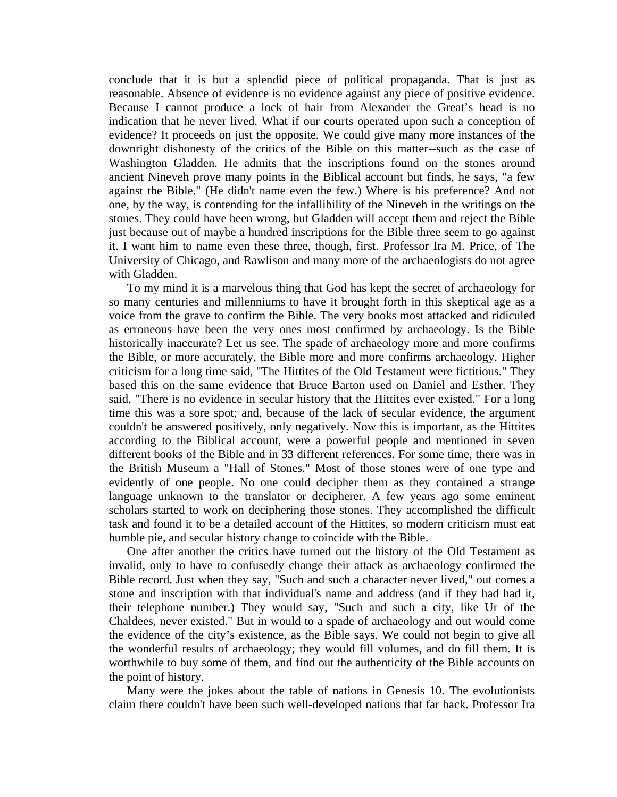conclude that it is but a splendid piece of political propaganda. That is just as reasonable. Absence of evidence is no evidence against any piece of positive evidence. Because I cannot produce a lock of hair from Alexander the Great's head is no indication that he never lived. What if our courts operated upon such a conception of evidence? It proceeds on just the opposite. We could give many more instances of the downright dishonesty of the critics of the Bible on this matter--such as the case of Washington Gladden. He admits that the inscriptions found on the stones around ancient Nineveh prove many points in the Biblical account but finds, he says, "a few against the Bible." (He didn't name even the few.) Where is his preference? And not one, by the way, is contending for the infallibility of the Nineveh in the writings on the stones. They could have been wrong, but Gladden will accept them and reject the Bible just because out of maybe a hundred inscriptions for the Bible three seem to go against it. I want him to name even these three, though, first. Professor Ira M. Price, of The University of Chicago, and Rawlison and many more of the archaeologists do not agree with Gladden.

 To my mind it is a marvelous thing that God has kept the secret of archaeology for so many centuries and millenniums to have it brought forth in this skeptical age as a voice from the grave to confirm the Bible. The very books most attacked and ridiculed as erroneous have been the very ones most confirmed by archaeology. Is the Bible historically inaccurate? Let us see. The spade of archaeology more and more confirms the Bible, or more accurately, the Bible more and more confirms archaeology. Higher criticism for a long time said, "The Hittites of the Old Testament were fictitious." They based this on the same evidence that Bruce Barton used on Daniel and Esther. They said, "There is no evidence in secular history that the Hittites ever existed." For a long time this was a sore spot; and, because of the lack of secular evidence, the argument couldn't be answered positively, only negatively. Now this is important, as the Hittites according to the Biblical account, were a powerful people and mentioned in seven different books of the Bible and in 33 different references. For some time, there was in the British Museum a "Hall of Stones." Most of those stones were of one type and evidently of one people. No one could decipher them as they contained a strange language unknown to the translator or decipherer. A few years ago some eminent scholars started to work on deciphering those stones. They accomplished the difficult task and found it to be a detailed account of the Hittites, so modern criticism must eat humble pie, and secular history change to coincide with the Bible.

 One after another the critics have turned out the history of the Old Testament as invalid, only to have to confusedly change their attack as archaeology confirmed the Bible record. Just when they say, "Such and such a character never lived," out comes a stone and inscription with that individual's name and address (and if they had had it, their telephone number.) They would say, "Such and such a city, like Ur of the Chaldees, never existed." But in would to a spade of archaeology and out would come the evidence of the city's existence, as the Bible says. We could not begin to give all the wonderful results of archaeology; they would fill volumes, and do fill them. It is worthwhile to buy some of them, and find out the authenticity of the Bible accounts on the point of history.

 Many were the jokes about the table of nations in Genesis 10. The evolutionists claim there couldn't have been such well-developed nations that far back. Professor Ira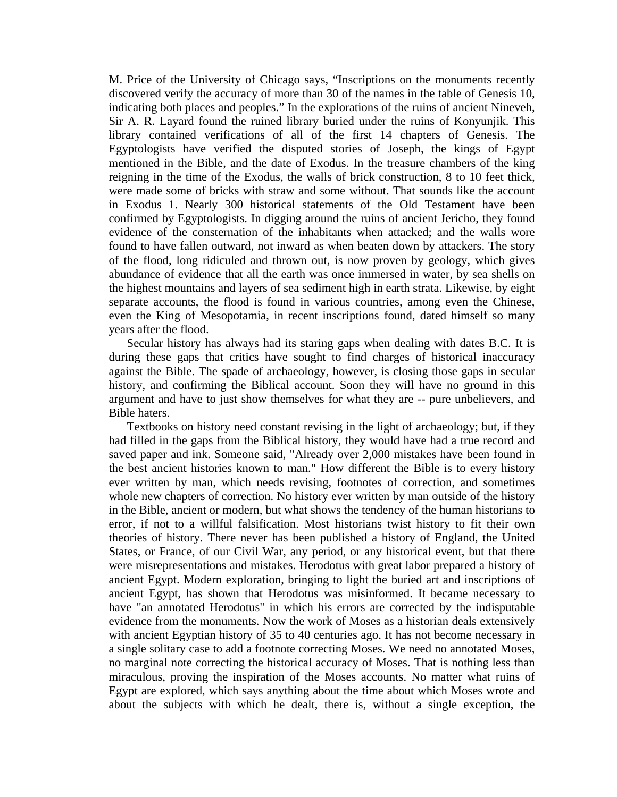M. Price of the University of Chicago says, "Inscriptions on the monuments recently discovered verify the accuracy of more than 30 of the names in the table of Genesis 10, indicating both places and peoples." In the explorations of the ruins of ancient Nineveh, Sir A. R. Layard found the ruined library buried under the ruins of Konyunjik. This library contained verifications of all of the first 14 chapters of Genesis. The Egyptologists have verified the disputed stories of Joseph, the kings of Egypt mentioned in the Bible, and the date of Exodus. In the treasure chambers of the king reigning in the time of the Exodus, the walls of brick construction, 8 to 10 feet thick, were made some of bricks with straw and some without. That sounds like the account in Exodus 1. Nearly 300 historical statements of the Old Testament have been confirmed by Egyptologists. In digging around the ruins of ancient Jericho, they found evidence of the consternation of the inhabitants when attacked; and the walls wore found to have fallen outward, not inward as when beaten down by attackers. The story of the flood, long ridiculed and thrown out, is now proven by geology, which gives abundance of evidence that all the earth was once immersed in water, by sea shells on the highest mountains and layers of sea sediment high in earth strata. Likewise, by eight separate accounts, the flood is found in various countries, among even the Chinese, even the King of Mesopotamia, in recent inscriptions found, dated himself so many years after the flood.

 Secular history has always had its staring gaps when dealing with dates B.C. It is during these gaps that critics have sought to find charges of historical inaccuracy against the Bible. The spade of archaeology, however, is closing those gaps in secular history, and confirming the Biblical account. Soon they will have no ground in this argument and have to just show themselves for what they are -- pure unbelievers, and Bible haters.

 Textbooks on history need constant revising in the light of archaeology; but, if they had filled in the gaps from the Biblical history, they would have had a true record and saved paper and ink. Someone said, "Already over 2,000 mistakes have been found in the best ancient histories known to man." How different the Bible is to every history ever written by man, which needs revising, footnotes of correction, and sometimes whole new chapters of correction. No history ever written by man outside of the history in the Bible, ancient or modern, but what shows the tendency of the human historians to error, if not to a willful falsification. Most historians twist history to fit their own theories of history. There never has been published a history of England, the United States, or France, of our Civil War, any period, or any historical event, but that there were misrepresentations and mistakes. Herodotus with great labor prepared a history of ancient Egypt. Modern exploration, bringing to light the buried art and inscriptions of ancient Egypt, has shown that Herodotus was misinformed. It became necessary to have "an annotated Herodotus" in which his errors are corrected by the indisputable evidence from the monuments. Now the work of Moses as a historian deals extensively with ancient Egyptian history of 35 to 40 centuries ago. It has not become necessary in a single solitary case to add a footnote correcting Moses. We need no annotated Moses, no marginal note correcting the historical accuracy of Moses. That is nothing less than miraculous, proving the inspiration of the Moses accounts. No matter what ruins of Egypt are explored, which says anything about the time about which Moses wrote and about the subjects with which he dealt, there is, without a single exception, the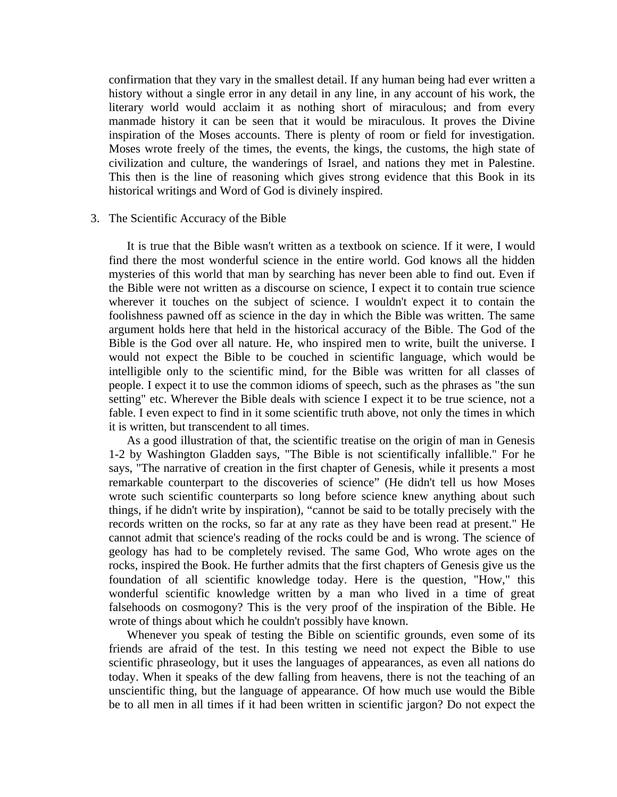confirmation that they vary in the smallest detail. If any human being had ever written a history without a single error in any detail in any line, in any account of his work, the literary world would acclaim it as nothing short of miraculous; and from every manmade history it can be seen that it would be miraculous. It proves the Divine inspiration of the Moses accounts. There is plenty of room or field for investigation. Moses wrote freely of the times, the events, the kings, the customs, the high state of civilization and culture, the wanderings of Israel, and nations they met in Palestine. This then is the line of reasoning which gives strong evidence that this Book in its historical writings and Word of God is divinely inspired.

#### 3. The Scientific Accuracy of the Bible

 It is true that the Bible wasn't written as a textbook on science. If it were, I would find there the most wonderful science in the entire world. God knows all the hidden mysteries of this world that man by searching has never been able to find out. Even if the Bible were not written as a discourse on science, I expect it to contain true science wherever it touches on the subject of science. I wouldn't expect it to contain the foolishness pawned off as science in the day in which the Bible was written. The same argument holds here that held in the historical accuracy of the Bible. The God of the Bible is the God over all nature. He, who inspired men to write, built the universe. I would not expect the Bible to be couched in scientific language, which would be intelligible only to the scientific mind, for the Bible was written for all classes of people. I expect it to use the common idioms of speech, such as the phrases as "the sun setting" etc. Wherever the Bible deals with science I expect it to be true science, not a fable. I even expect to find in it some scientific truth above, not only the times in which it is written, but transcendent to all times.

 As a good illustration of that, the scientific treatise on the origin of man in Genesis 1-2 by Washington Gladden says, "The Bible is not scientifically infallible." For he says, "The narrative of creation in the first chapter of Genesis, while it presents a most remarkable counterpart to the discoveries of science" (He didn't tell us how Moses wrote such scientific counterparts so long before science knew anything about such things, if he didn't write by inspiration), "cannot be said to be totally precisely with the records written on the rocks, so far at any rate as they have been read at present." He cannot admit that science's reading of the rocks could be and is wrong. The science of geology has had to be completely revised. The same God, Who wrote ages on the rocks, inspired the Book. He further admits that the first chapters of Genesis give us the foundation of all scientific knowledge today. Here is the question, "How," this wonderful scientific knowledge written by a man who lived in a time of great falsehoods on cosmogony? This is the very proof of the inspiration of the Bible. He wrote of things about which he couldn't possibly have known.

 Whenever you speak of testing the Bible on scientific grounds, even some of its friends are afraid of the test. In this testing we need not expect the Bible to use scientific phraseology, but it uses the languages of appearances, as even all nations do today. When it speaks of the dew falling from heavens, there is not the teaching of an unscientific thing, but the language of appearance. Of how much use would the Bible be to all men in all times if it had been written in scientific jargon? Do not expect the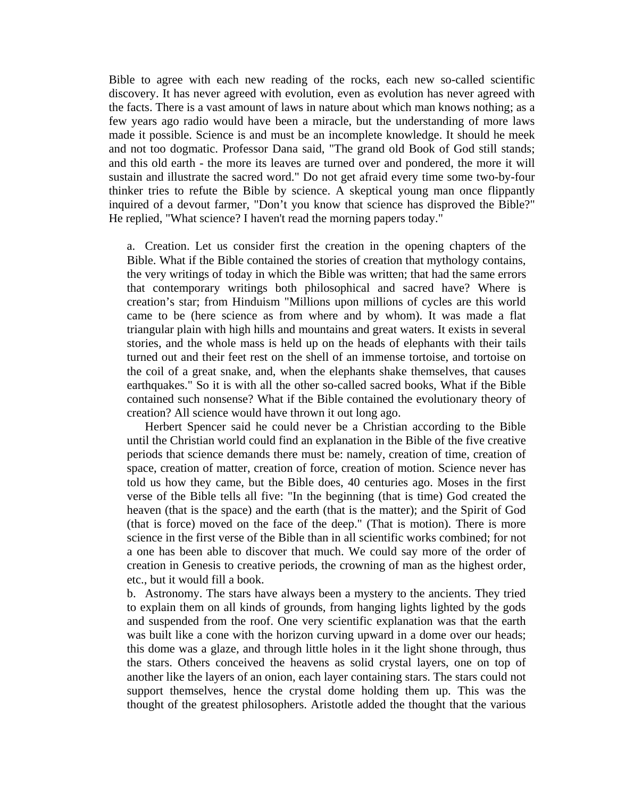Bible to agree with each new reading of the rocks, each new so-called scientific discovery. It has never agreed with evolution, even as evolution has never agreed with the facts. There is a vast amount of laws in nature about which man knows nothing; as a few years ago radio would have been a miracle, but the understanding of more laws made it possible. Science is and must be an incomplete knowledge. It should he meek and not too dogmatic. Professor Dana said, "The grand old Book of God still stands; and this old earth - the more its leaves are turned over and pondered, the more it will sustain and illustrate the sacred word." Do not get afraid every time some two-by-four thinker tries to refute the Bible by science. A skeptical young man once flippantly inquired of a devout farmer, "Don't you know that science has disproved the Bible?" He replied, "What science? I haven't read the morning papers today."

a. Creation. Let us consider first the creation in the opening chapters of the Bible. What if the Bible contained the stories of creation that mythology contains, the very writings of today in which the Bible was written; that had the same errors that contemporary writings both philosophical and sacred have? Where is creation's star; from Hinduism "Millions upon millions of cycles are this world came to be (here science as from where and by whom). It was made a flat triangular plain with high hills and mountains and great waters. It exists in several stories, and the whole mass is held up on the heads of elephants with their tails turned out and their feet rest on the shell of an immense tortoise, and tortoise on the coil of a great snake, and, when the elephants shake themselves, that causes earthquakes." So it is with all the other so-called sacred books, What if the Bible contained such nonsense? What if the Bible contained the evolutionary theory of creation? All science would have thrown it out long ago.

 Herbert Spencer said he could never be a Christian according to the Bible until the Christian world could find an explanation in the Bible of the five creative periods that science demands there must be: namely, creation of time, creation of space, creation of matter, creation of force, creation of motion. Science never has told us how they came, but the Bible does, 40 centuries ago. Moses in the first verse of the Bible tells all five: "In the beginning (that is time) God created the heaven (that is the space) and the earth (that is the matter); and the Spirit of God (that is force) moved on the face of the deep." (That is motion). There is more science in the first verse of the Bible than in all scientific works combined; for not a one has been able to discover that much. We could say more of the order of creation in Genesis to creative periods, the crowning of man as the highest order, etc., but it would fill a book.

b. Astronomy. The stars have always been a mystery to the ancients. They tried to explain them on all kinds of grounds, from hanging lights lighted by the gods and suspended from the roof. One very scientific explanation was that the earth was built like a cone with the horizon curving upward in a dome over our heads; this dome was a glaze, and through little holes in it the light shone through, thus the stars. Others conceived the heavens as solid crystal layers, one on top of another like the layers of an onion, each layer containing stars. The stars could not support themselves, hence the crystal dome holding them up. This was the thought of the greatest philosophers. Aristotle added the thought that the various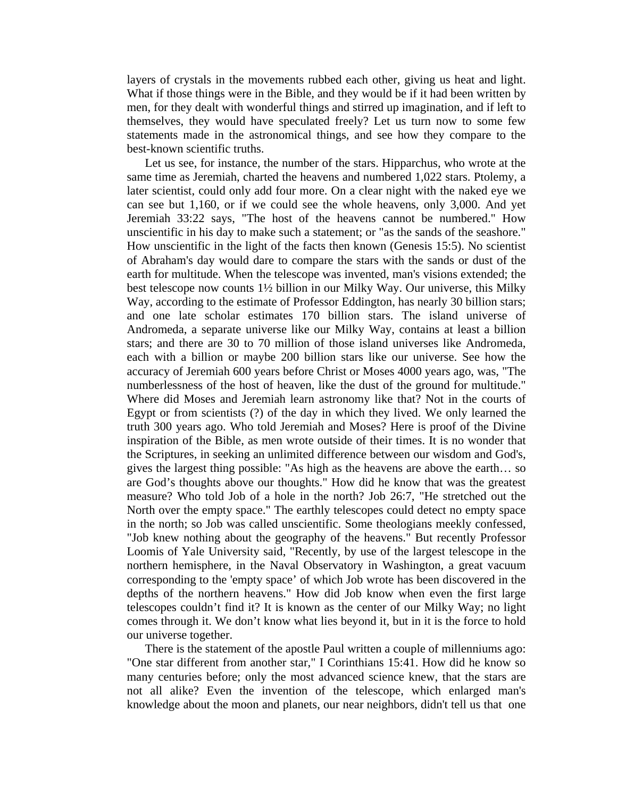layers of crystals in the movements rubbed each other, giving us heat and light. What if those things were in the Bible, and they would be if it had been written by men, for they dealt with wonderful things and stirred up imagination, and if left to themselves, they would have speculated freely? Let us turn now to some few statements made in the astronomical things, and see how they compare to the best-known scientific truths.

 Let us see, for instance, the number of the stars. Hipparchus, who wrote at the same time as Jeremiah, charted the heavens and numbered 1,022 stars. Ptolemy, a later scientist, could only add four more. On a clear night with the naked eye we can see but 1,160, or if we could see the whole heavens, only 3,000. And yet Jeremiah 33:22 says, "The host of the heavens cannot be numbered." How unscientific in his day to make such a statement; or "as the sands of the seashore." How unscientific in the light of the facts then known (Genesis 15:5). No scientist of Abraham's day would dare to compare the stars with the sands or dust of the earth for multitude. When the telescope was invented, man's visions extended; the best telescope now counts 1½ billion in our Milky Way. Our universe, this Milky Way, according to the estimate of Professor Eddington, has nearly 30 billion stars; and one late scholar estimates 170 billion stars. The island universe of Andromeda, a separate universe like our Milky Way, contains at least a billion stars; and there are 30 to 70 million of those island universes like Andromeda, each with a billion or maybe 200 billion stars like our universe. See how the accuracy of Jeremiah 600 years before Christ or Moses 4000 years ago, was, "The numberlessness of the host of heaven, like the dust of the ground for multitude." Where did Moses and Jeremiah learn astronomy like that? Not in the courts of Egypt or from scientists (?) of the day in which they lived. We only learned the truth 300 years ago. Who told Jeremiah and Moses? Here is proof of the Divine inspiration of the Bible, as men wrote outside of their times. It is no wonder that the Scriptures, in seeking an unlimited difference between our wisdom and God's, gives the largest thing possible: "As high as the heavens are above the earth… so are God's thoughts above our thoughts." How did he know that was the greatest measure? Who told Job of a hole in the north? Job 26:7, "He stretched out the North over the empty space." The earthly telescopes could detect no empty space in the north; so Job was called unscientific. Some theologians meekly confessed, "Job knew nothing about the geography of the heavens." But recently Professor Loomis of Yale University said, "Recently, by use of the largest telescope in the northern hemisphere, in the Naval Observatory in Washington, a great vacuum corresponding to the 'empty space' of which Job wrote has been discovered in the depths of the northern heavens." How did Job know when even the first large telescopes couldn't find it? It is known as the center of our Milky Way; no light comes through it. We don't know what lies beyond it, but in it is the force to hold our universe together.

 There is the statement of the apostle Paul written a couple of millenniums ago: "One star different from another star," I Corinthians 15:41. How did he know so many centuries before; only the most advanced science knew, that the stars are not all alike? Even the invention of the telescope, which enlarged man's knowledge about the moon and planets, our near neighbors, didn't tell us that one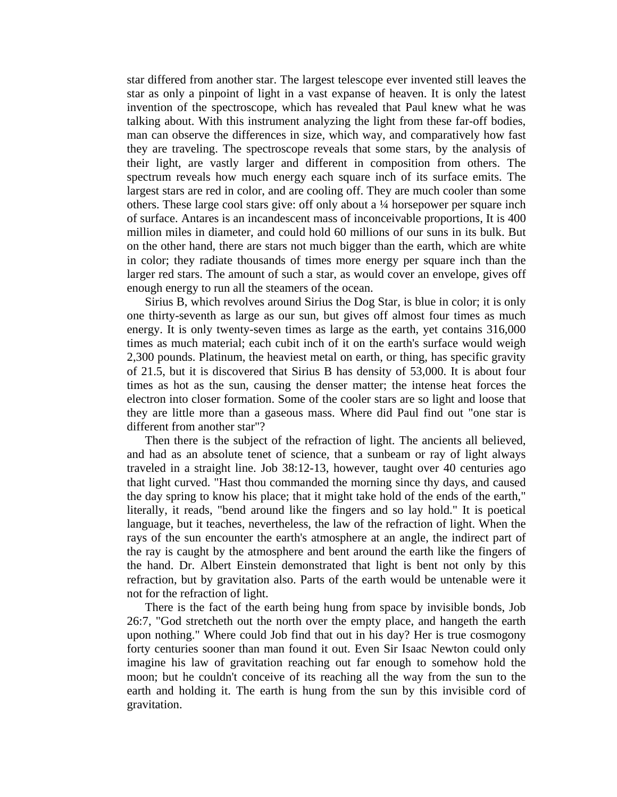star differed from another star. The largest telescope ever invented still leaves the star as only a pinpoint of light in a vast expanse of heaven. It is only the latest invention of the spectroscope, which has revealed that Paul knew what he was talking about. With this instrument analyzing the light from these far-off bodies, man can observe the differences in size, which way, and comparatively how fast they are traveling. The spectroscope reveals that some stars, by the analysis of their light, are vastly larger and different in composition from others. The spectrum reveals how much energy each square inch of its surface emits. The largest stars are red in color, and are cooling off. They are much cooler than some others. These large cool stars give: off only about a ¼ horsepower per square inch of surface. Antares is an incandescent mass of inconceivable proportions, It is 400 million miles in diameter, and could hold 60 millions of our suns in its bulk. But on the other hand, there are stars not much bigger than the earth, which are white in color; they radiate thousands of times more energy per square inch than the larger red stars. The amount of such a star, as would cover an envelope, gives off enough energy to run all the steamers of the ocean.

 Sirius B, which revolves around Sirius the Dog Star, is blue in color; it is only one thirty-seventh as large as our sun, but gives off almost four times as much energy. It is only twenty-seven times as large as the earth, yet contains 316,000 times as much material; each cubit inch of it on the earth's surface would weigh 2,300 pounds. Platinum, the heaviest metal on earth, or thing, has specific gravity of 21.5, but it is discovered that Sirius B has density of 53,000. It is about four times as hot as the sun, causing the denser matter; the intense heat forces the electron into closer formation. Some of the cooler stars are so light and loose that they are little more than a gaseous mass. Where did Paul find out "one star is different from another star"?

 Then there is the subject of the refraction of light. The ancients all believed, and had as an absolute tenet of science, that a sunbeam or ray of light always traveled in a straight line. Job 38:12-13, however, taught over 40 centuries ago that light curved. "Hast thou commanded the morning since thy days, and caused the day spring to know his place; that it might take hold of the ends of the earth," literally, it reads, "bend around like the fingers and so lay hold." It is poetical language, but it teaches, nevertheless, the law of the refraction of light. When the rays of the sun encounter the earth's atmosphere at an angle, the indirect part of the ray is caught by the atmosphere and bent around the earth like the fingers of the hand. Dr. Albert Einstein demonstrated that light is bent not only by this refraction, but by gravitation also. Parts of the earth would be untenable were it not for the refraction of light.

 There is the fact of the earth being hung from space by invisible bonds, Job 26:7, "God stretcheth out the north over the empty place, and hangeth the earth upon nothing." Where could Job find that out in his day? Her is true cosmogony forty centuries sooner than man found it out. Even Sir Isaac Newton could only imagine his law of gravitation reaching out far enough to somehow hold the moon; but he couldn't conceive of its reaching all the way from the sun to the earth and holding it. The earth is hung from the sun by this invisible cord of gravitation.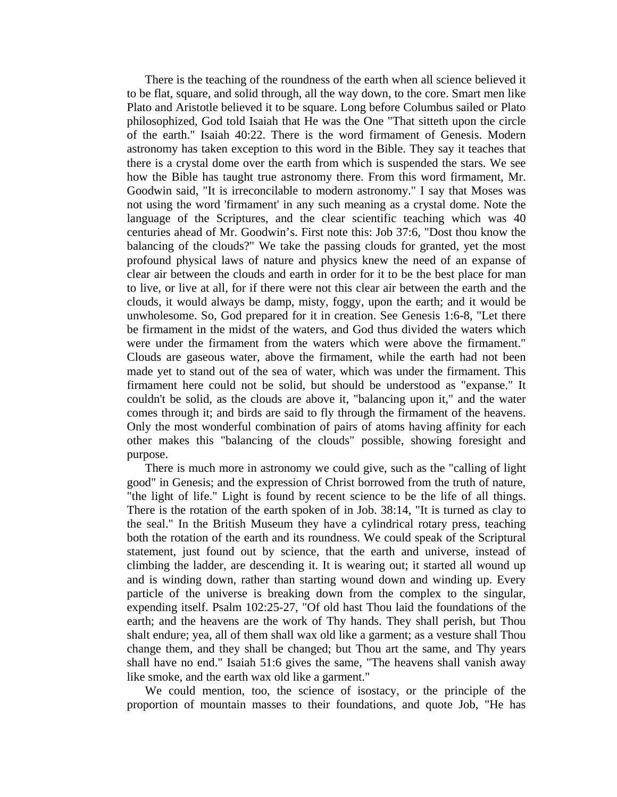There is the teaching of the roundness of the earth when all science believed it to be flat, square, and solid through, all the way down, to the core. Smart men like Plato and Aristotle believed it to be square. Long before Columbus sailed or Plato philosophized, God told Isaiah that He was the One "That sitteth upon the circle of the earth." Isaiah 40:22. There is the word firmament of Genesis. Modern astronomy has taken exception to this word in the Bible. They say it teaches that there is a crystal dome over the earth from which is suspended the stars. We see how the Bible has taught true astronomy there. From this word firmament, Mr. Goodwin said, "It is irreconcilable to modern astronomy." I say that Moses was not using the word 'firmament' in any such meaning as a crystal dome. Note the language of the Scriptures, and the clear scientific teaching which was 40 centuries ahead of Mr. Goodwin's. First note this: Job 37:6, "Dost thou know the balancing of the clouds?" We take the passing clouds for granted, yet the most profound physical laws of nature and physics knew the need of an expanse of clear air between the clouds and earth in order for it to be the best place for man to live, or live at all, for if there were not this clear air between the earth and the clouds, it would always be damp, misty, foggy, upon the earth; and it would be unwholesome. So, God prepared for it in creation. See Genesis 1:6-8, "Let there be firmament in the midst of the waters, and God thus divided the waters which were under the firmament from the waters which were above the firmament." Clouds are gaseous water, above the firmament, while the earth had not been made yet to stand out of the sea of water, which was under the firmament. This firmament here could not be solid, but should be understood as "expanse." It couldn't be solid, as the clouds are above it, "balancing upon it," and the water comes through it; and birds are said to fly through the firmament of the heavens. Only the most wonderful combination of pairs of atoms having affinity for each other makes this "balancing of the clouds" possible, showing foresight and purpose.

 There is much more in astronomy we could give, such as the "calling of light good" in Genesis; and the expression of Christ borrowed from the truth of nature, "the light of life." Light is found by recent science to be the life of all things. There is the rotation of the earth spoken of in Job. 38:14, "It is turned as clay to the seal." In the British Museum they have a cylindrical rotary press, teaching both the rotation of the earth and its roundness. We could speak of the Scriptural statement, just found out by science, that the earth and universe, instead of climbing the ladder, are descending it. It is wearing out; it started all wound up and is winding down, rather than starting wound down and winding up. Every particle of the universe is breaking down from the complex to the singular, expending itself. Psalm 102:25-27, "Of old hast Thou laid the foundations of the earth; and the heavens are the work of Thy hands. They shall perish, but Thou shalt endure; yea, all of them shall wax old like a garment; as a vesture shall Thou change them, and they shall be changed; but Thou art the same, and Thy years shall have no end." Isaiah 51:6 gives the same, "The heavens shall vanish away like smoke, and the earth wax old like a garment."

 We could mention, too, the science of isostacy, or the principle of the proportion of mountain masses to their foundations, and quote Job, "He has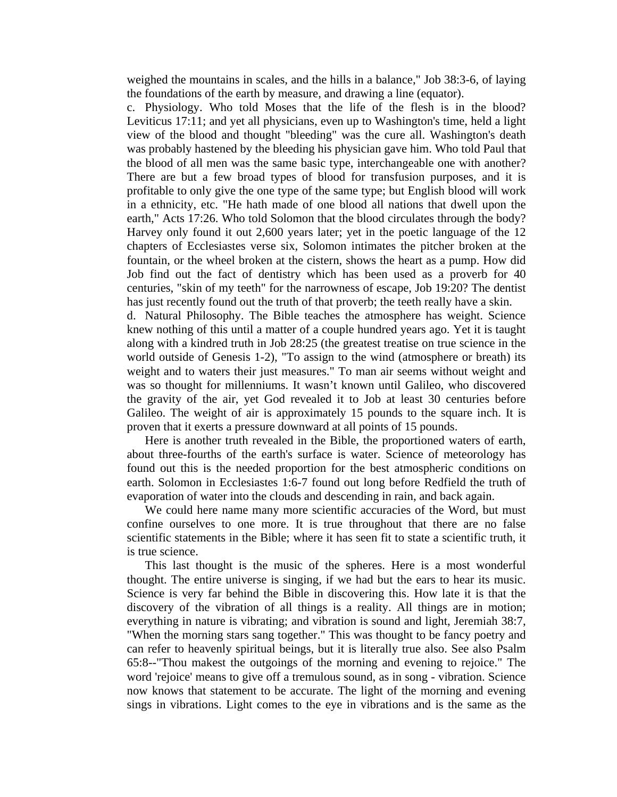weighed the mountains in scales, and the hills in a balance," Job 38:3-6, of laying the foundations of the earth by measure, and drawing a line (equator).

c. Physiology. Who told Moses that the life of the flesh is in the blood? Leviticus 17:11; and yet all physicians, even up to Washington's time, held a light view of the blood and thought "bleeding" was the cure all. Washington's death was probably hastened by the bleeding his physician gave him. Who told Paul that the blood of all men was the same basic type, interchangeable one with another? There are but a few broad types of blood for transfusion purposes, and it is profitable to only give the one type of the same type; but English blood will work in a ethnicity, etc. "He hath made of one blood all nations that dwell upon the earth," Acts 17:26. Who told Solomon that the blood circulates through the body? Harvey only found it out 2,600 years later; yet in the poetic language of the 12 chapters of Ecclesiastes verse six, Solomon intimates the pitcher broken at the fountain, or the wheel broken at the cistern, shows the heart as a pump. How did Job find out the fact of dentistry which has been used as a proverb for 40 centuries, "skin of my teeth" for the narrowness of escape, Job 19:20? The dentist has just recently found out the truth of that proverb; the teeth really have a skin.

d. Natural Philosophy. The Bible teaches the atmosphere has weight. Science knew nothing of this until a matter of a couple hundred years ago. Yet it is taught along with a kindred truth in Job 28:25 (the greatest treatise on true science in the world outside of Genesis 1-2), "To assign to the wind (atmosphere or breath) its weight and to waters their just measures." To man air seems without weight and was so thought for millenniums. It wasn't known until Galileo, who discovered the gravity of the air, yet God revealed it to Job at least 30 centuries before Galileo. The weight of air is approximately 15 pounds to the square inch. It is proven that it exerts a pressure downward at all points of 15 pounds.

 Here is another truth revealed in the Bible, the proportioned waters of earth, about three-fourths of the earth's surface is water. Science of meteorology has found out this is the needed proportion for the best atmospheric conditions on earth. Solomon in Ecclesiastes 1:6-7 found out long before Redfield the truth of evaporation of water into the clouds and descending in rain, and back again.

 We could here name many more scientific accuracies of the Word, but must confine ourselves to one more. It is true throughout that there are no false scientific statements in the Bible; where it has seen fit to state a scientific truth, it is true science.

 This last thought is the music of the spheres. Here is a most wonderful thought. The entire universe is singing, if we had but the ears to hear its music. Science is very far behind the Bible in discovering this. How late it is that the discovery of the vibration of all things is a reality. All things are in motion; everything in nature is vibrating; and vibration is sound and light, Jeremiah 38:7, "When the morning stars sang together." This was thought to be fancy poetry and can refer to heavenly spiritual beings, but it is literally true also. See also Psalm 65:8--"Thou makest the outgoings of the morning and evening to rejoice." The word 'rejoice' means to give off a tremulous sound, as in song - vibration. Science now knows that statement to be accurate. The light of the morning and evening sings in vibrations. Light comes to the eye in vibrations and is the same as the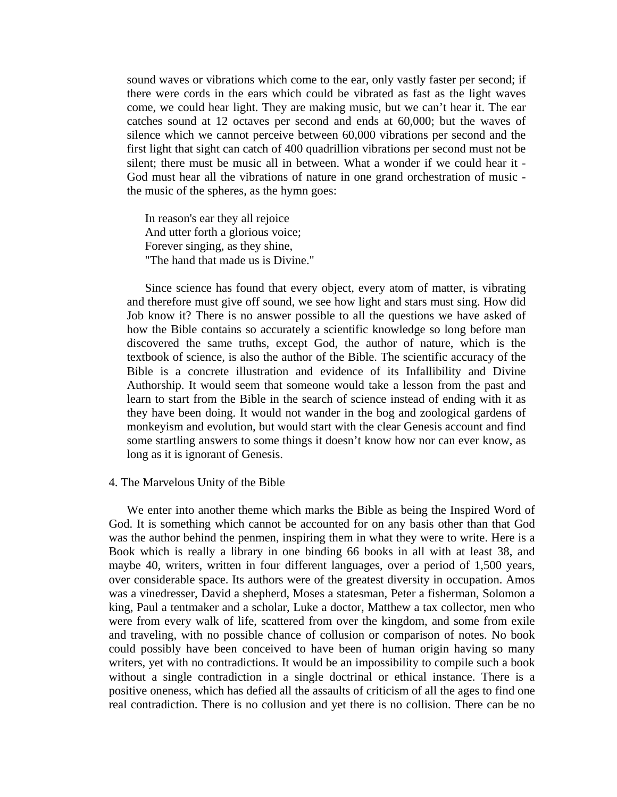sound waves or vibrations which come to the ear, only vastly faster per second; if there were cords in the ears which could be vibrated as fast as the light waves come, we could hear light. They are making music, but we can't hear it. The ear catches sound at 12 octaves per second and ends at 60,000; but the waves of silence which we cannot perceive between 60,000 vibrations per second and the first light that sight can catch of 400 quadrillion vibrations per second must not be silent; there must be music all in between. What a wonder if we could hear it - God must hear all the vibrations of nature in one grand orchestration of music the music of the spheres, as the hymn goes:

In reason's ear they all rejoice And utter forth a glorious voice; Forever singing, as they shine, "The hand that made us is Divine."

 Since science has found that every object, every atom of matter, is vibrating and therefore must give off sound, we see how light and stars must sing. How did Job know it? There is no answer possible to all the questions we have asked of how the Bible contains so accurately a scientific knowledge so long before man discovered the same truths, except God, the author of nature, which is the textbook of science, is also the author of the Bible. The scientific accuracy of the Bible is a concrete illustration and evidence of its Infallibility and Divine Authorship. It would seem that someone would take a lesson from the past and learn to start from the Bible in the search of science instead of ending with it as they have been doing. It would not wander in the bog and zoological gardens of monkeyism and evolution, but would start with the clear Genesis account and find some startling answers to some things it doesn't know how nor can ever know, as long as it is ignorant of Genesis.

#### 4. The Marvelous Unity of the Bible

 We enter into another theme which marks the Bible as being the Inspired Word of God. It is something which cannot be accounted for on any basis other than that God was the author behind the penmen, inspiring them in what they were to write. Here is a Book which is really a library in one binding 66 books in all with at least 38, and maybe 40, writers, written in four different languages, over a period of 1,500 years, over considerable space. Its authors were of the greatest diversity in occupation. Amos was a vinedresser, David a shepherd, Moses a statesman, Peter a fisherman, Solomon a king, Paul a tentmaker and a scholar, Luke a doctor, Matthew a tax collector, men who were from every walk of life, scattered from over the kingdom, and some from exile and traveling, with no possible chance of collusion or comparison of notes. No book could possibly have been conceived to have been of human origin having so many writers, yet with no contradictions. It would be an impossibility to compile such a book without a single contradiction in a single doctrinal or ethical instance. There is a positive oneness, which has defied all the assaults of criticism of all the ages to find one real contradiction. There is no collusion and yet there is no collision. There can be no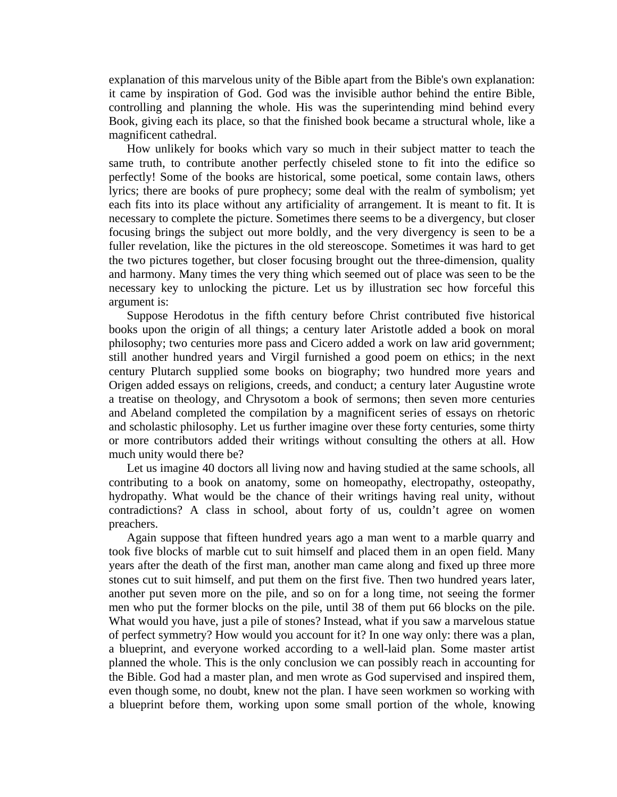explanation of this marvelous unity of the Bible apart from the Bible's own explanation: it came by inspiration of God. God was the invisible author behind the entire Bible, controlling and planning the whole. His was the superintending mind behind every Book, giving each its place, so that the finished book became a structural whole, like a magnificent cathedral.

 How unlikely for books which vary so much in their subject matter to teach the same truth, to contribute another perfectly chiseled stone to fit into the edifice so perfectly! Some of the books are historical, some poetical, some contain laws, others lyrics; there are books of pure prophecy; some deal with the realm of symbolism; yet each fits into its place without any artificiality of arrangement. It is meant to fit. It is necessary to complete the picture. Sometimes there seems to be a divergency, but closer focusing brings the subject out more boldly, and the very divergency is seen to be a fuller revelation, like the pictures in the old stereoscope. Sometimes it was hard to get the two pictures together, but closer focusing brought out the three-dimension, quality and harmony. Many times the very thing which seemed out of place was seen to be the necessary key to unlocking the picture. Let us by illustration sec how forceful this argument is:

 Suppose Herodotus in the fifth century before Christ contributed five historical books upon the origin of all things; a century later Aristotle added a book on moral philosophy; two centuries more pass and Cicero added a work on law arid government; still another hundred years and Virgil furnished a good poem on ethics; in the next century Plutarch supplied some books on biography; two hundred more years and Origen added essays on religions, creeds, and conduct; a century later Augustine wrote a treatise on theology, and Chrysotom a book of sermons; then seven more centuries and Abeland completed the compilation by a magnificent series of essays on rhetoric and scholastic philosophy. Let us further imagine over these forty centuries, some thirty or more contributors added their writings without consulting the others at all. How much unity would there be?

 Let us imagine 40 doctors all living now and having studied at the same schools, all contributing to a book on anatomy, some on homeopathy, electropathy, osteopathy, hydropathy. What would be the chance of their writings having real unity, without contradictions? A class in school, about forty of us, couldn't agree on women preachers.

 Again suppose that fifteen hundred years ago a man went to a marble quarry and took five blocks of marble cut to suit himself and placed them in an open field. Many years after the death of the first man, another man came along and fixed up three more stones cut to suit himself, and put them on the first five. Then two hundred years later, another put seven more on the pile, and so on for a long time, not seeing the former men who put the former blocks on the pile, until 38 of them put 66 blocks on the pile. What would you have, just a pile of stones? Instead, what if you saw a marvelous statue of perfect symmetry? How would you account for it? In one way only: there was a plan, a blueprint, and everyone worked according to a well-laid plan. Some master artist planned the whole. This is the only conclusion we can possibly reach in accounting for the Bible. God had a master plan, and men wrote as God supervised and inspired them, even though some, no doubt, knew not the plan. I have seen workmen so working with a blueprint before them, working upon some small portion of the whole, knowing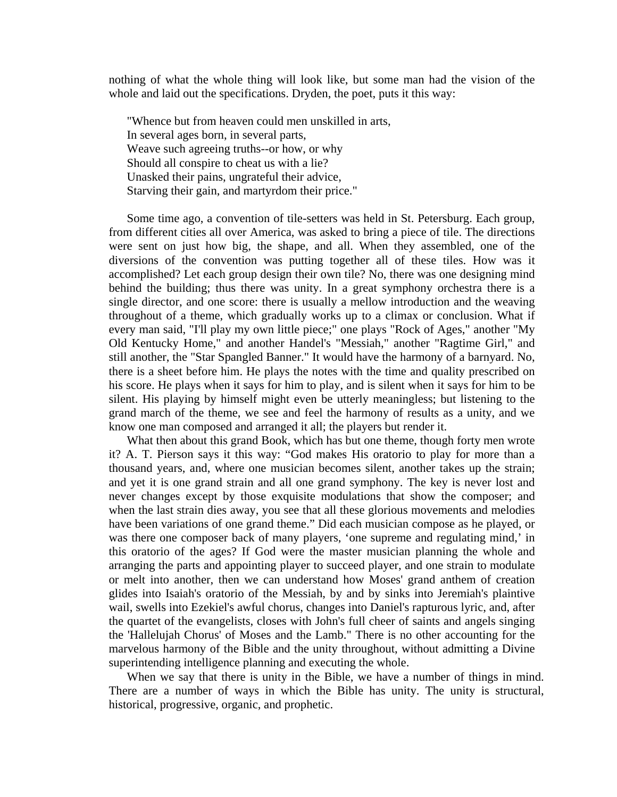nothing of what the whole thing will look like, but some man had the vision of the whole and laid out the specifications. Dryden, the poet, puts it this way:

"Whence but from heaven could men unskilled in arts, In several ages born, in several parts, Weave such agreeing truths--or how, or why Should all conspire to cheat us with a lie? Unasked their pains, ungrateful their advice, Starving their gain, and martyrdom their price."

 Some time ago, a convention of tile-setters was held in St. Petersburg. Each group, from different cities all over America, was asked to bring a piece of tile. The directions were sent on just how big, the shape, and all. When they assembled, one of the diversions of the convention was putting together all of these tiles. How was it accomplished? Let each group design their own tile? No, there was one designing mind behind the building; thus there was unity. In a great symphony orchestra there is a single director, and one score: there is usually a mellow introduction and the weaving throughout of a theme, which gradually works up to a climax or conclusion. What if every man said, "I'll play my own little piece;" one plays "Rock of Ages," another "My Old Kentucky Home," and another Handel's "Messiah," another "Ragtime Girl," and still another, the "Star Spangled Banner." It would have the harmony of a barnyard. No, there is a sheet before him. He plays the notes with the time and quality prescribed on his score. He plays when it says for him to play, and is silent when it says for him to be silent. His playing by himself might even be utterly meaningless; but listening to the grand march of the theme, we see and feel the harmony of results as a unity, and we know one man composed and arranged it all; the players but render it.

 What then about this grand Book, which has but one theme, though forty men wrote it? A. T. Pierson says it this way: "God makes His oratorio to play for more than a thousand years, and, where one musician becomes silent, another takes up the strain; and yet it is one grand strain and all one grand symphony. The key is never lost and never changes except by those exquisite modulations that show the composer; and when the last strain dies away, you see that all these glorious movements and melodies have been variations of one grand theme." Did each musician compose as he played, or was there one composer back of many players, 'one supreme and regulating mind,' in this oratorio of the ages? If God were the master musician planning the whole and arranging the parts and appointing player to succeed player, and one strain to modulate or melt into another, then we can understand how Moses' grand anthem of creation glides into Isaiah's oratorio of the Messiah, by and by sinks into Jeremiah's plaintive wail, swells into Ezekiel's awful chorus, changes into Daniel's rapturous lyric, and, after the quartet of the evangelists, closes with John's full cheer of saints and angels singing the 'Hallelujah Chorus' of Moses and the Lamb." There is no other accounting for the marvelous harmony of the Bible and the unity throughout, without admitting a Divine superintending intelligence planning and executing the whole.

 When we say that there is unity in the Bible, we have a number of things in mind. There are a number of ways in which the Bible has unity. The unity is structural, historical, progressive, organic, and prophetic.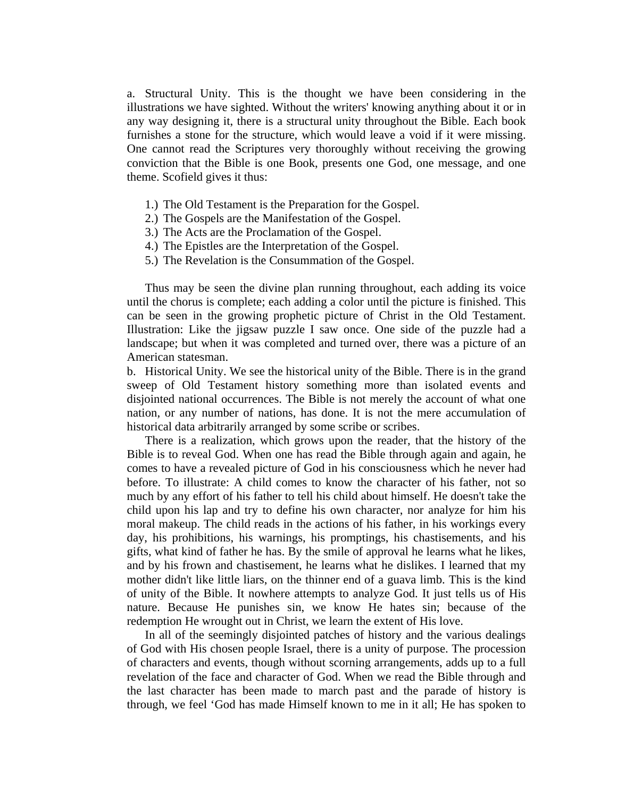a. Structural Unity. This is the thought we have been considering in the illustrations we have sighted. Without the writers' knowing anything about it or in any way designing it, there is a structural unity throughout the Bible. Each book furnishes a stone for the structure, which would leave a void if it were missing. One cannot read the Scriptures very thoroughly without receiving the growing conviction that the Bible is one Book, presents one God, one message, and one theme. Scofield gives it thus:

- 1.) The Old Testament is the Preparation for the Gospel.
- 2.) The Gospels are the Manifestation of the Gospel.
- 3.) The Acts are the Proclamation of the Gospel.
- 4.) The Epistles are the Interpretation of the Gospel.
- 5.) The Revelation is the Consummation of the Gospel.

 Thus may be seen the divine plan running throughout, each adding its voice until the chorus is complete; each adding a color until the picture is finished. This can be seen in the growing prophetic picture of Christ in the Old Testament. Illustration: Like the jigsaw puzzle I saw once. One side of the puzzle had a landscape; but when it was completed and turned over, there was a picture of an American statesman.

b. Historical Unity. We see the historical unity of the Bible. There is in the grand sweep of Old Testament history something more than isolated events and disjointed national occurrences. The Bible is not merely the account of what one nation, or any number of nations, has done. It is not the mere accumulation of historical data arbitrarily arranged by some scribe or scribes.

 There is a realization, which grows upon the reader, that the history of the Bible is to reveal God. When one has read the Bible through again and again, he comes to have a revealed picture of God in his consciousness which he never had before. To illustrate: A child comes to know the character of his father, not so much by any effort of his father to tell his child about himself. He doesn't take the child upon his lap and try to define his own character, nor analyze for him his moral makeup. The child reads in the actions of his father, in his workings every day, his prohibitions, his warnings, his promptings, his chastisements, and his gifts, what kind of father he has. By the smile of approval he learns what he likes, and by his frown and chastisement, he learns what he dislikes. I learned that my mother didn't like little liars, on the thinner end of a guava limb. This is the kind of unity of the Bible. It nowhere attempts to analyze God. It just tells us of His nature. Because He punishes sin, we know He hates sin; because of the redemption He wrought out in Christ, we learn the extent of His love.

 In all of the seemingly disjointed patches of history and the various dealings of God with His chosen people Israel, there is a unity of purpose. The procession of characters and events, though without scorning arrangements, adds up to a full revelation of the face and character of God. When we read the Bible through and the last character has been made to march past and the parade of history is through, we feel 'God has made Himself known to me in it all; He has spoken to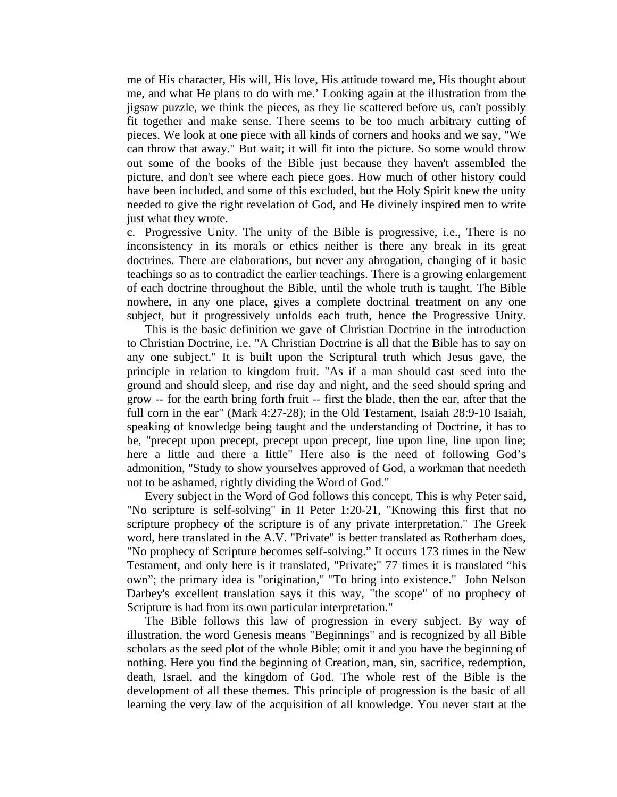me of His character, His will, His love, His attitude toward me, His thought about me, and what He plans to do with me.' Looking again at the illustration from the jigsaw puzzle, we think the pieces, as they lie scattered before us, can't possibly fit together and make sense. There seems to be too much arbitrary cutting of pieces. We look at one piece with all kinds of corners and hooks and we say, "We can throw that away." But wait; it will fit into the picture. So some would throw out some of the books of the Bible just because they haven't assembled the picture, and don't see where each piece goes. How much of other history could have been included, and some of this excluded, but the Holy Spirit knew the unity needed to give the right revelation of God, and He divinely inspired men to write just what they wrote.

c. Progressive Unity. The unity of the Bible is progressive, i.e., There is no inconsistency in its morals or ethics neither is there any break in its great doctrines. There are elaborations, but never any abrogation, changing of it basic teachings so as to contradict the earlier teachings. There is a growing enlargement of each doctrine throughout the Bible, until the whole truth is taught. The Bible nowhere, in any one place, gives a complete doctrinal treatment on any one subject, but it progressively unfolds each truth, hence the Progressive Unity.

 This is the basic definition we gave of Christian Doctrine in the introduction to Christian Doctrine, i.e. "A Christian Doctrine is all that the Bible has to say on any one subject." It is built upon the Scriptural truth which Jesus gave, the principle in relation to kingdom fruit. "As if a man should cast seed into the ground and should sleep, and rise day and night, and the seed should spring and grow -- for the earth bring forth fruit -- first the blade, then the ear, after that the full corn in the ear" (Mark 4:27-28); in the Old Testament, Isaiah 28:9-10 Isaiah, speaking of knowledge being taught and the understanding of Doctrine, it has to be, "precept upon precept, precept upon precept, line upon line, line upon line; here a little and there a little" Here also is the need of following God's admonition, "Study to show yourselves approved of God, a workman that needeth not to be ashamed, rightly dividing the Word of God."

 Every subject in the Word of God follows this concept. This is why Peter said, "No scripture is self-solving" in II Peter 1:20-21, "Knowing this first that no scripture prophecy of the scripture is of any private interpretation." The Greek word, here translated in the A.V. "Private" is better translated as Rotherham does, "No prophecy of Scripture becomes self-solving." It occurs 173 times in the New Testament, and only here is it translated, "Private;" 77 times it is translated "his own"; the primary idea is "origination," "To bring into existence." John Nelson Darbey's excellent translation says it this way, "the scope" of no prophecy of Scripture is had from its own particular interpretation."

 The Bible follows this law of progression in every subject. By way of illustration, the word Genesis means "Beginnings" and is recognized by all Bible scholars as the seed plot of the whole Bible; omit it and you have the beginning of nothing. Here you find the beginning of Creation, man, sin, sacrifice, redemption, death, Israel, and the kingdom of God. The whole rest of the Bible is the development of all these themes. This principle of progression is the basic of all learning the very law of the acquisition of all knowledge. You never start at the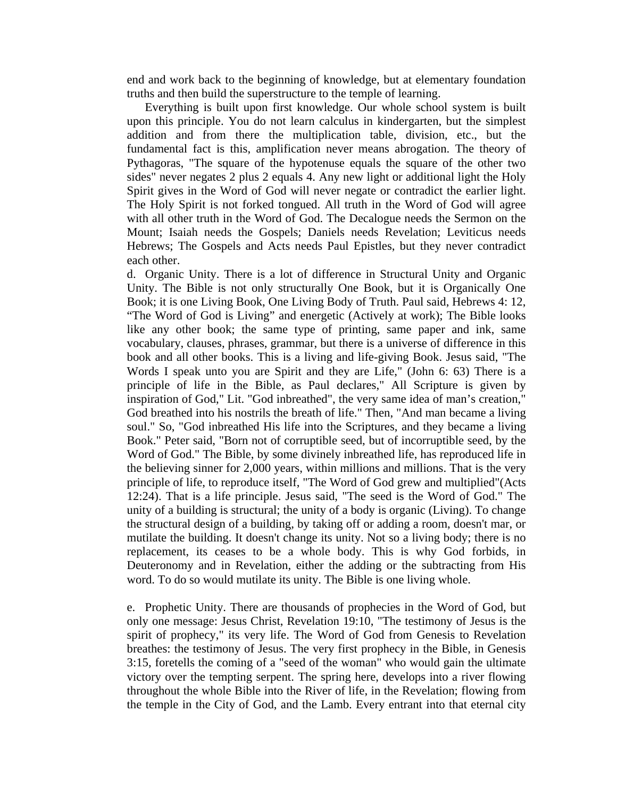end and work back to the beginning of knowledge, but at elementary foundation truths and then build the superstructure to the temple of learning.

 Everything is built upon first knowledge. Our whole school system is built upon this principle. You do not learn calculus in kindergarten, but the simplest addition and from there the multiplication table, division, etc., but the fundamental fact is this, amplification never means abrogation. The theory of Pythagoras, "The square of the hypotenuse equals the square of the other two sides" never negates 2 plus 2 equals 4. Any new light or additional light the Holy Spirit gives in the Word of God will never negate or contradict the earlier light. The Holy Spirit is not forked tongued. All truth in the Word of God will agree with all other truth in the Word of God. The Decalogue needs the Sermon on the Mount; Isaiah needs the Gospels; Daniels needs Revelation; Leviticus needs Hebrews; The Gospels and Acts needs Paul Epistles, but they never contradict each other.

d. Organic Unity. There is a lot of difference in Structural Unity and Organic Unity. The Bible is not only structurally One Book, but it is Organically One Book; it is one Living Book, One Living Body of Truth. Paul said, Hebrews 4: 12, "The Word of God is Living" and energetic (Actively at work); The Bible looks like any other book; the same type of printing, same paper and ink, same vocabulary, clauses, phrases, grammar, but there is a universe of difference in this book and all other books. This is a living and life-giving Book. Jesus said, "The Words I speak unto you are Spirit and they are Life," (John 6: 63) There is a principle of life in the Bible, as Paul declares," All Scripture is given by inspiration of God," Lit. "God inbreathed", the very same idea of man's creation," God breathed into his nostrils the breath of life." Then, "And man became a living soul." So, "God inbreathed His life into the Scriptures, and they became a living Book." Peter said, "Born not of corruptible seed, but of incorruptible seed, by the Word of God." The Bible, by some divinely inbreathed life, has reproduced life in the believing sinner for 2,000 years, within millions and millions. That is the very principle of life, to reproduce itself, "The Word of God grew and multiplied"(Acts 12:24). That is a life principle. Jesus said, "The seed is the Word of God." The unity of a building is structural; the unity of a body is organic (Living). To change the structural design of a building, by taking off or adding a room, doesn't mar, or mutilate the building. It doesn't change its unity. Not so a living body; there is no replacement, its ceases to be a whole body. This is why God forbids, in Deuteronomy and in Revelation, either the adding or the subtracting from His word. To do so would mutilate its unity. The Bible is one living whole.

e. Prophetic Unity. There are thousands of prophecies in the Word of God, but only one message: Jesus Christ, Revelation 19:10, "The testimony of Jesus is the spirit of prophecy," its very life. The Word of God from Genesis to Revelation breathes: the testimony of Jesus. The very first prophecy in the Bible, in Genesis 3:15, foretells the coming of a "seed of the woman" who would gain the ultimate victory over the tempting serpent. The spring here, develops into a river flowing throughout the whole Bible into the River of life, in the Revelation; flowing from the temple in the City of God, and the Lamb. Every entrant into that eternal city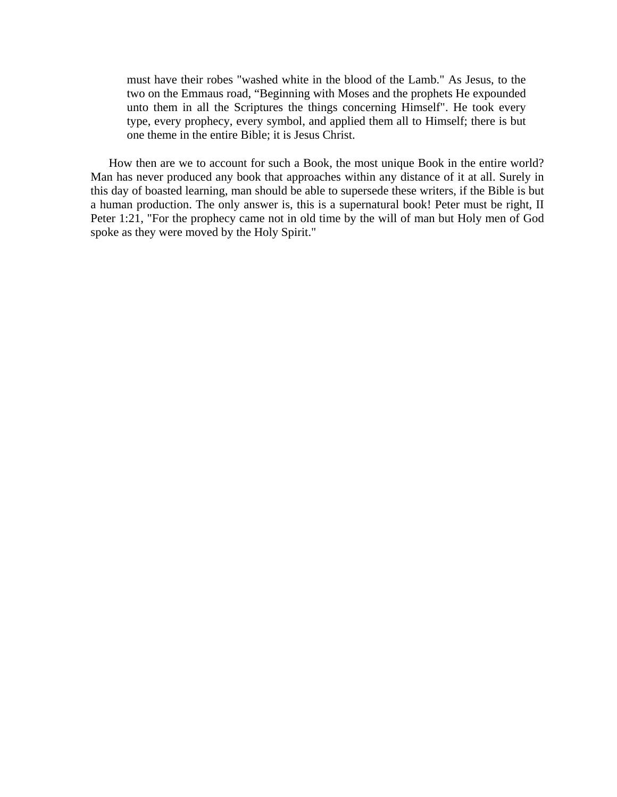must have their robes "washed white in the blood of the Lamb." As Jesus, to the two on the Emmaus road, "Beginning with Moses and the prophets He expounded unto them in all the Scriptures the things concerning Himself". He took every type, every prophecy, every symbol, and applied them all to Himself; there is but one theme in the entire Bible; it is Jesus Christ.

 How then are we to account for such a Book, the most unique Book in the entire world? Man has never produced any book that approaches within any distance of it at all. Surely in this day of boasted learning, man should be able to supersede these writers, if the Bible is but a human production. The only answer is, this is a supernatural book! Peter must be right, II Peter 1:21, "For the prophecy came not in old time by the will of man but Holy men of God spoke as they were moved by the Holy Spirit."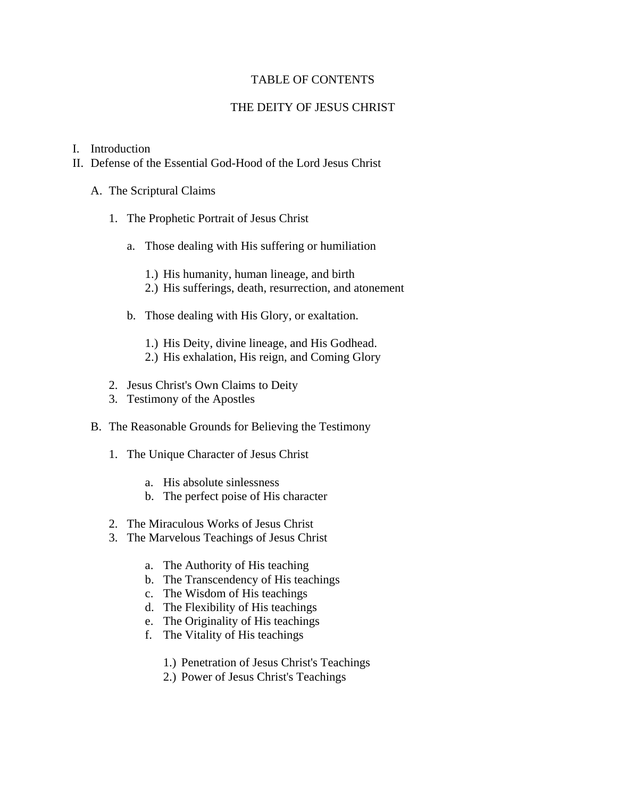## TABLE OF CONTENTS

# THE DEITY OF JESUS CHRIST

## I. Introduction

- II. Defense of the Essential God-Hood of the Lord Jesus Christ
	- A. The Scriptural Claims
		- 1. The Prophetic Portrait of Jesus Christ
			- a. Those dealing with His suffering or humiliation
				- 1.) His humanity, human lineage, and birth
				- 2.) His sufferings, death, resurrection, and atonement
			- b. Those dealing with His Glory, or exaltation.
				- 1.) His Deity, divine lineage, and His Godhead.
				- 2.) His exhalation, His reign, and Coming Glory
		- 2. Jesus Christ's Own Claims to Deity
		- 3. Testimony of the Apostles
	- B. The Reasonable Grounds for Believing the Testimony
		- 1. The Unique Character of Jesus Christ
			- a. His absolute sinlessness
			- b. The perfect poise of His character
		- 2. The Miraculous Works of Jesus Christ
		- 3. The Marvelous Teachings of Jesus Christ
			- a. The Authority of His teaching
			- b. The Transcendency of His teachings
			- c. The Wisdom of His teachings
			- d. The Flexibility of His teachings
			- e. The Originality of His teachings
			- f. The Vitality of His teachings
				- 1.) Penetration of Jesus Christ's Teachings
				- 2.) Power of Jesus Christ's Teachings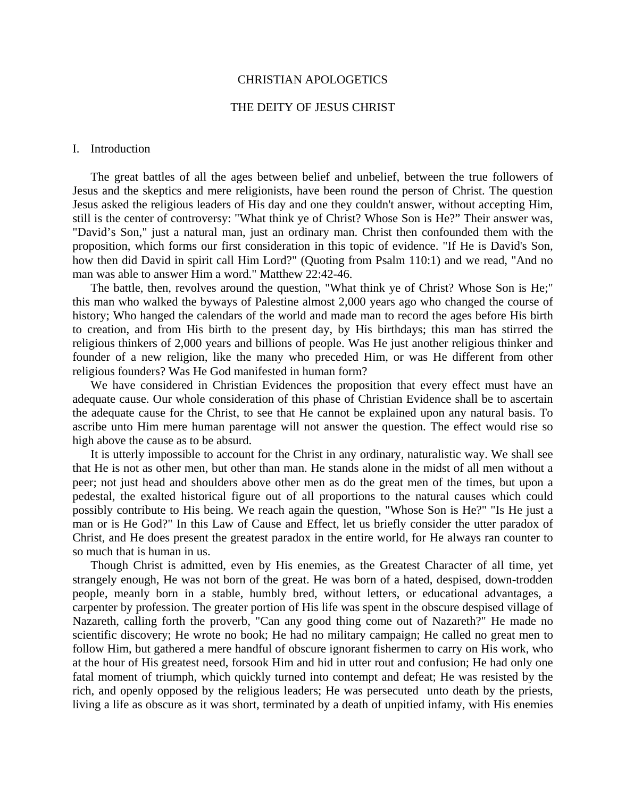#### CHRISTIAN APOLOGETICS

## THE DEITY OF JESUS CHRIST

#### I. Introduction

 The great battles of all the ages between belief and unbelief, between the true followers of Jesus and the skeptics and mere religionists, have been round the person of Christ. The question Jesus asked the religious leaders of His day and one they couldn't answer, without accepting Him, still is the center of controversy: "What think ye of Christ? Whose Son is He?" Their answer was, "David's Son," just a natural man, just an ordinary man. Christ then confounded them with the proposition, which forms our first consideration in this topic of evidence. "If He is David's Son, how then did David in spirit call Him Lord?" (Quoting from Psalm 110:1) and we read, "And no man was able to answer Him a word." Matthew 22:42-46.

 The battle, then, revolves around the question, "What think ye of Christ? Whose Son is He;" this man who walked the byways of Palestine almost 2,000 years ago who changed the course of history; Who hanged the calendars of the world and made man to record the ages before His birth to creation, and from His birth to the present day, by His birthdays; this man has stirred the religious thinkers of 2,000 years and billions of people. Was He just another religious thinker and founder of a new religion, like the many who preceded Him, or was He different from other religious founders? Was He God manifested in human form?

 We have considered in Christian Evidences the proposition that every effect must have an adequate cause. Our whole consideration of this phase of Christian Evidence shall be to ascertain the adequate cause for the Christ, to see that He cannot be explained upon any natural basis. To ascribe unto Him mere human parentage will not answer the question. The effect would rise so high above the cause as to be absurd.

 It is utterly impossible to account for the Christ in any ordinary, naturalistic way. We shall see that He is not as other men, but other than man. He stands alone in the midst of all men without a peer; not just head and shoulders above other men as do the great men of the times, but upon a pedestal, the exalted historical figure out of all proportions to the natural causes which could possibly contribute to His being. We reach again the question, "Whose Son is He?" "Is He just a man or is He God?" In this Law of Cause and Effect, let us briefly consider the utter paradox of Christ, and He does present the greatest paradox in the entire world, for He always ran counter to so much that is human in us.

 Though Christ is admitted, even by His enemies, as the Greatest Character of all time, yet strangely enough, He was not born of the great. He was born of a hated, despised, down-trodden people, meanly born in a stable, humbly bred, without letters, or educational advantages, a carpenter by profession. The greater portion of His life was spent in the obscure despised village of Nazareth, calling forth the proverb, "Can any good thing come out of Nazareth?" He made no scientific discovery; He wrote no book; He had no military campaign; He called no great men to follow Him, but gathered a mere handful of obscure ignorant fishermen to carry on His work, who at the hour of His greatest need, forsook Him and hid in utter rout and confusion; He had only one fatal moment of triumph, which quickly turned into contempt and defeat; He was resisted by the rich, and openly opposed by the religious leaders; He was persecuted unto death by the priests, living a life as obscure as it was short, terminated by a death of unpitied infamy, with His enemies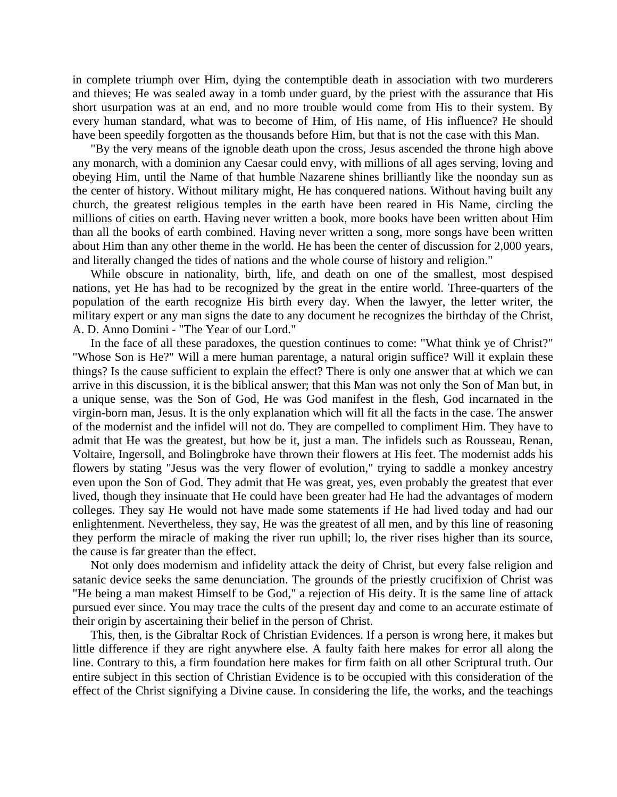in complete triumph over Him, dying the contemptible death in association with two murderers and thieves; He was sealed away in a tomb under guard, by the priest with the assurance that His short usurpation was at an end, and no more trouble would come from His to their system. By every human standard, what was to become of Him, of His name, of His influence? He should have been speedily forgotten as the thousands before Him, but that is not the case with this Man.

 "By the very means of the ignoble death upon the cross, Jesus ascended the throne high above any monarch, with a dominion any Caesar could envy, with millions of all ages serving, loving and obeying Him, until the Name of that humble Nazarene shines brilliantly like the noonday sun as the center of history. Without military might, He has conquered nations. Without having built any church, the greatest religious temples in the earth have been reared in His Name, circling the millions of cities on earth. Having never written a book, more books have been written about Him than all the books of earth combined. Having never written a song, more songs have been written about Him than any other theme in the world. He has been the center of discussion for 2,000 years, and literally changed the tides of nations and the whole course of history and religion."

 While obscure in nationality, birth, life, and death on one of the smallest, most despised nations, yet He has had to be recognized by the great in the entire world. Three-quarters of the population of the earth recognize His birth every day. When the lawyer, the letter writer, the military expert or any man signs the date to any document he recognizes the birthday of the Christ, A. D. Anno Domini - "The Year of our Lord."

 In the face of all these paradoxes, the question continues to come: "What think ye of Christ?" "Whose Son is He?" Will a mere human parentage, a natural origin suffice? Will it explain these things? Is the cause sufficient to explain the effect? There is only one answer that at which we can arrive in this discussion, it is the biblical answer; that this Man was not only the Son of Man but, in a unique sense, was the Son of God, He was God manifest in the flesh, God incarnated in the virgin-born man, Jesus. It is the only explanation which will fit all the facts in the case. The answer of the modernist and the infidel will not do. They are compelled to compliment Him. They have to admit that He was the greatest, but how be it, just a man. The infidels such as Rousseau, Renan, Voltaire, Ingersoll, and Bolingbroke have thrown their flowers at His feet. The modernist adds his flowers by stating "Jesus was the very flower of evolution," trying to saddle a monkey ancestry even upon the Son of God. They admit that He was great, yes, even probably the greatest that ever lived, though they insinuate that He could have been greater had He had the advantages of modern colleges. They say He would not have made some statements if He had lived today and had our enlightenment. Nevertheless, they say, He was the greatest of all men, and by this line of reasoning they perform the miracle of making the river run uphill; lo, the river rises higher than its source, the cause is far greater than the effect.

 Not only does modernism and infidelity attack the deity of Christ, but every false religion and satanic device seeks the same denunciation. The grounds of the priestly crucifixion of Christ was "He being a man makest Himself to be God," a rejection of His deity. It is the same line of attack pursued ever since. You may trace the cults of the present day and come to an accurate estimate of their origin by ascertaining their belief in the person of Christ.

 This, then, is the Gibraltar Rock of Christian Evidences. If a person is wrong here, it makes but little difference if they are right anywhere else. A faulty faith here makes for error all along the line. Contrary to this, a firm foundation here makes for firm faith on all other Scriptural truth. Our entire subject in this section of Christian Evidence is to be occupied with this consideration of the effect of the Christ signifying a Divine cause. In considering the life, the works, and the teachings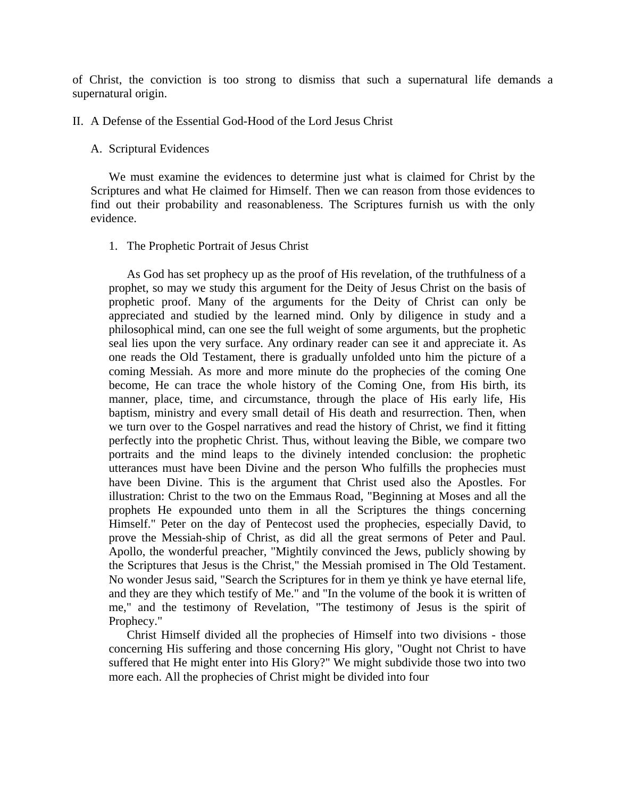of Christ, the conviction is too strong to dismiss that such a supernatural life demands a supernatural origin.

#### II. A Defense of the Essential God-Hood of the Lord Jesus Christ

### A. Scriptural Evidences

 We must examine the evidences to determine just what is claimed for Christ by the Scriptures and what He claimed for Himself. Then we can reason from those evidences to find out their probability and reasonableness. The Scriptures furnish us with the only evidence.

### 1. The Prophetic Portrait of Jesus Christ

 As God has set prophecy up as the proof of His revelation, of the truthfulness of a prophet, so may we study this argument for the Deity of Jesus Christ on the basis of prophetic proof. Many of the arguments for the Deity of Christ can only be appreciated and studied by the learned mind. Only by diligence in study and a philosophical mind, can one see the full weight of some arguments, but the prophetic seal lies upon the very surface. Any ordinary reader can see it and appreciate it. As one reads the Old Testament, there is gradually unfolded unto him the picture of a coming Messiah. As more and more minute do the prophecies of the coming One become, He can trace the whole history of the Coming One, from His birth, its manner, place, time, and circumstance, through the place of His early life, His baptism, ministry and every small detail of His death and resurrection. Then, when we turn over to the Gospel narratives and read the history of Christ, we find it fitting perfectly into the prophetic Christ. Thus, without leaving the Bible, we compare two portraits and the mind leaps to the divinely intended conclusion: the prophetic utterances must have been Divine and the person Who fulfills the prophecies must have been Divine. This is the argument that Christ used also the Apostles. For illustration: Christ to the two on the Emmaus Road, "Beginning at Moses and all the prophets He expounded unto them in all the Scriptures the things concerning Himself." Peter on the day of Pentecost used the prophecies, especially David, to prove the Messiah-ship of Christ, as did all the great sermons of Peter and Paul. Apollo, the wonderful preacher, "Mightily convinced the Jews, publicly showing by the Scriptures that Jesus is the Christ," the Messiah promised in The Old Testament. No wonder Jesus said, "Search the Scriptures for in them ye think ye have eternal life, and they are they which testify of Me." and "In the volume of the book it is written of me," and the testimony of Revelation, "The testimony of Jesus is the spirit of Prophecy."

 Christ Himself divided all the prophecies of Himself into two divisions - those concerning His suffering and those concerning His glory, "Ought not Christ to have suffered that He might enter into His Glory?" We might subdivide those two into two more each. All the prophecies of Christ might be divided into four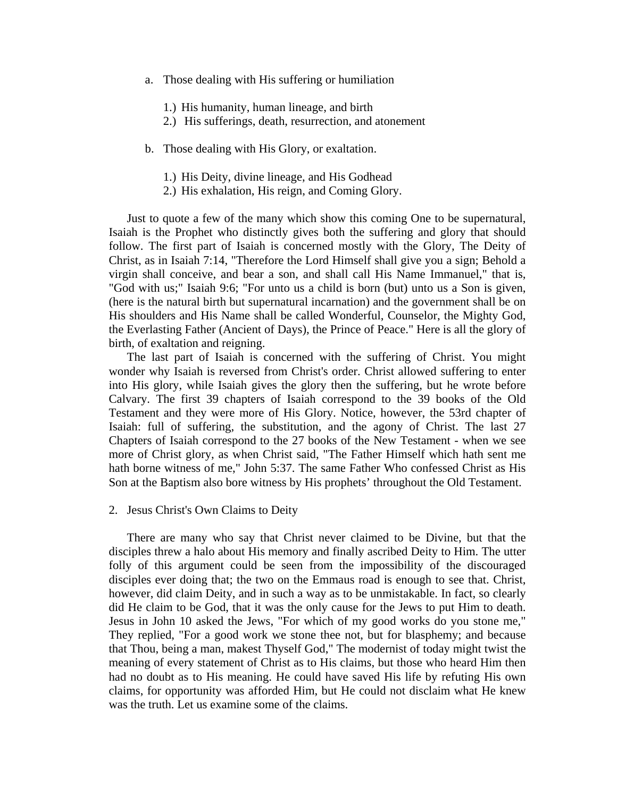- a. Those dealing with His suffering or humiliation
	- 1.) His humanity, human lineage, and birth
	- 2.) His sufferings, death, resurrection, and atonement
- b. Those dealing with His Glory, or exaltation.
	- 1.) His Deity, divine lineage, and His Godhead
	- 2.) His exhalation, His reign, and Coming Glory.

 Just to quote a few of the many which show this coming One to be supernatural, Isaiah is the Prophet who distinctly gives both the suffering and glory that should follow. The first part of Isaiah is concerned mostly with the Glory, The Deity of Christ, as in Isaiah 7:14, "Therefore the Lord Himself shall give you a sign; Behold a virgin shall conceive, and bear a son, and shall call His Name Immanuel," that is, "God with us;" Isaiah 9:6; "For unto us a child is born (but) unto us a Son is given, (here is the natural birth but supernatural incarnation) and the government shall be on His shoulders and His Name shall be called Wonderful, Counselor, the Mighty God, the Everlasting Father (Ancient of Days), the Prince of Peace." Here is all the glory of birth, of exaltation and reigning.

 The last part of Isaiah is concerned with the suffering of Christ. You might wonder why Isaiah is reversed from Christ's order. Christ allowed suffering to enter into His glory, while Isaiah gives the glory then the suffering, but he wrote before Calvary. The first 39 chapters of Isaiah correspond to the 39 books of the Old Testament and they were more of His Glory. Notice, however, the 53rd chapter of Isaiah: full of suffering, the substitution, and the agony of Christ. The last 27 Chapters of Isaiah correspond to the 27 books of the New Testament - when we see more of Christ glory, as when Christ said, "The Father Himself which hath sent me hath borne witness of me," John 5:37. The same Father Who confessed Christ as His Son at the Baptism also bore witness by His prophets' throughout the Old Testament.

#### 2. Jesus Christ's Own Claims to Deity

 There are many who say that Christ never claimed to be Divine, but that the disciples threw a halo about His memory and finally ascribed Deity to Him. The utter folly of this argument could be seen from the impossibility of the discouraged disciples ever doing that; the two on the Emmaus road is enough to see that. Christ, however, did claim Deity, and in such a way as to be unmistakable. In fact, so clearly did He claim to be God, that it was the only cause for the Jews to put Him to death. Jesus in John 10 asked the Jews, "For which of my good works do you stone me," They replied, "For a good work we stone thee not, but for blasphemy; and because that Thou, being a man, makest Thyself God," The modernist of today might twist the meaning of every statement of Christ as to His claims, but those who heard Him then had no doubt as to His meaning. He could have saved His life by refuting His own claims, for opportunity was afforded Him, but He could not disclaim what He knew was the truth. Let us examine some of the claims.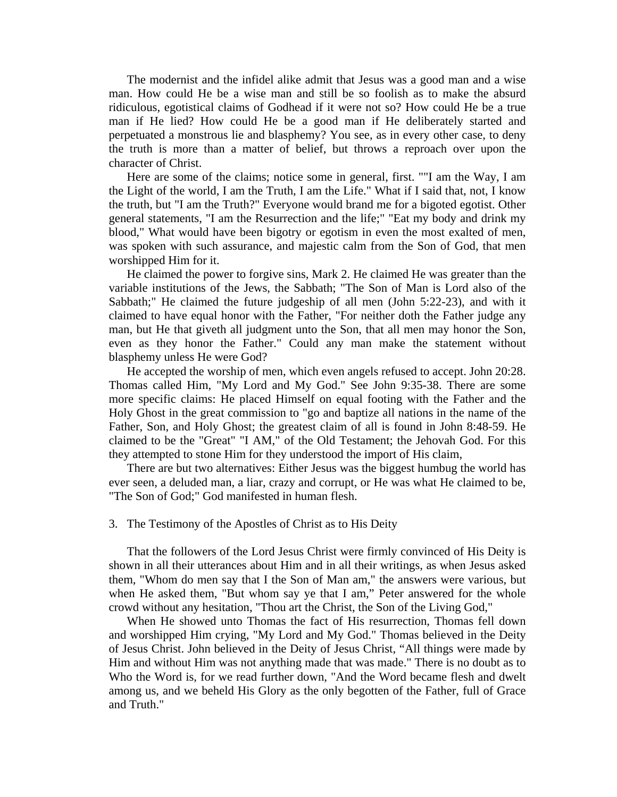The modernist and the infidel alike admit that Jesus was a good man and a wise man. How could He be a wise man and still be so foolish as to make the absurd ridiculous, egotistical claims of Godhead if it were not so? How could He be a true man if He lied? How could He be a good man if He deliberately started and perpetuated a monstrous lie and blasphemy? You see, as in every other case, to deny the truth is more than a matter of belief, but throws a reproach over upon the character of Christ.

 Here are some of the claims; notice some in general, first. ""I am the Way, I am the Light of the world, I am the Truth, I am the Life." What if I said that, not, I know the truth, but "I am the Truth?" Everyone would brand me for a bigoted egotist. Other general statements, "I am the Resurrection and the life;" "Eat my body and drink my blood," What would have been bigotry or egotism in even the most exalted of men, was spoken with such assurance, and majestic calm from the Son of God, that men worshipped Him for it.

 He claimed the power to forgive sins, Mark 2. He claimed He was greater than the variable institutions of the Jews, the Sabbath; "The Son of Man is Lord also of the Sabbath;" He claimed the future judgeship of all men (John 5:22-23), and with it claimed to have equal honor with the Father, "For neither doth the Father judge any man, but He that giveth all judgment unto the Son, that all men may honor the Son, even as they honor the Father." Could any man make the statement without blasphemy unless He were God?

 He accepted the worship of men, which even angels refused to accept. John 20:28. Thomas called Him, "My Lord and My God." See John 9:35-38. There are some more specific claims: He placed Himself on equal footing with the Father and the Holy Ghost in the great commission to "go and baptize all nations in the name of the Father, Son, and Holy Ghost; the greatest claim of all is found in John 8:48-59. He claimed to be the "Great" "I AM," of the Old Testament; the Jehovah God. For this they attempted to stone Him for they understood the import of His claim,

 There are but two alternatives: Either Jesus was the biggest humbug the world has ever seen, a deluded man, a liar, crazy and corrupt, or He was what He claimed to be, "The Son of God;" God manifested in human flesh.

#### 3. The Testimony of the Apostles of Christ as to His Deity

 That the followers of the Lord Jesus Christ were firmly convinced of His Deity is shown in all their utterances about Him and in all their writings, as when Jesus asked them, "Whom do men say that I the Son of Man am," the answers were various, but when He asked them, "But whom say ye that I am," Peter answered for the whole crowd without any hesitation, "Thou art the Christ, the Son of the Living God,"

 When He showed unto Thomas the fact of His resurrection, Thomas fell down and worshipped Him crying, "My Lord and My God." Thomas believed in the Deity of Jesus Christ. John believed in the Deity of Jesus Christ, "All things were made by Him and without Him was not anything made that was made." There is no doubt as to Who the Word is, for we read further down, "And the Word became flesh and dwelt among us, and we beheld His Glory as the only begotten of the Father, full of Grace and Truth."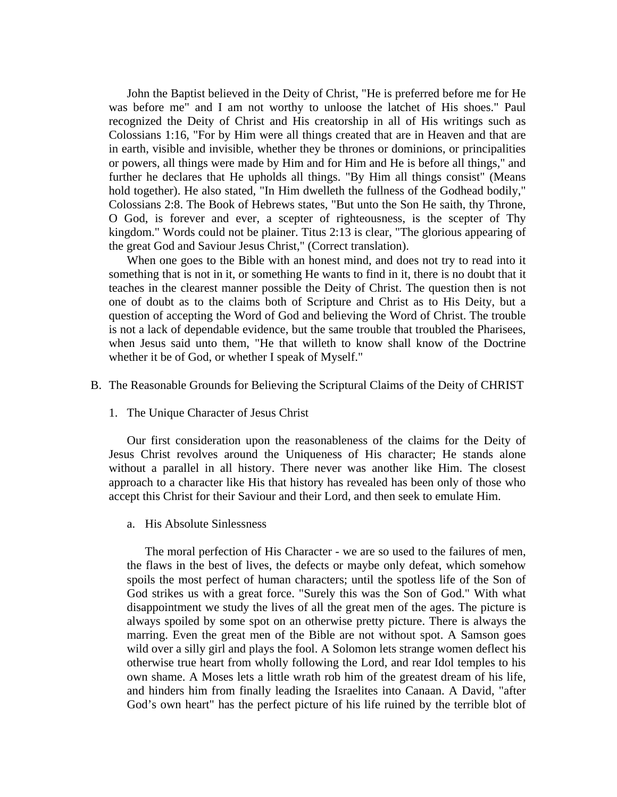John the Baptist believed in the Deity of Christ, "He is preferred before me for He was before me" and I am not worthy to unloose the latchet of His shoes." Paul recognized the Deity of Christ and His creatorship in all of His writings such as Colossians 1:16, "For by Him were all things created that are in Heaven and that are in earth, visible and invisible, whether they be thrones or dominions, or principalities or powers, all things were made by Him and for Him and He is before all things," and further he declares that He upholds all things. "By Him all things consist" (Means hold together). He also stated, "In Him dwelleth the fullness of the Godhead bodily," Colossians 2:8. The Book of Hebrews states, "But unto the Son He saith, thy Throne, O God, is forever and ever, a scepter of righteousness, is the scepter of Thy kingdom." Words could not be plainer. Titus 2:13 is clear, "The glorious appearing of the great God and Saviour Jesus Christ," (Correct translation).

 When one goes to the Bible with an honest mind, and does not try to read into it something that is not in it, or something He wants to find in it, there is no doubt that it teaches in the clearest manner possible the Deity of Christ. The question then is not one of doubt as to the claims both of Scripture and Christ as to His Deity, but a question of accepting the Word of God and believing the Word of Christ. The trouble is not a lack of dependable evidence, but the same trouble that troubled the Pharisees, when Jesus said unto them, "He that willeth to know shall know of the Doctrine whether it be of God, or whether I speak of Myself."

- B. The Reasonable Grounds for Believing the Scriptural Claims of the Deity of CHRIST
	- 1. The Unique Character of Jesus Christ

 Our first consideration upon the reasonableness of the claims for the Deity of Jesus Christ revolves around the Uniqueness of His character; He stands alone without a parallel in all history. There never was another like Him. The closest approach to a character like His that history has revealed has been only of those who accept this Christ for their Saviour and their Lord, and then seek to emulate Him.

a. His Absolute Sinlessness

 The moral perfection of His Character - we are so used to the failures of men, the flaws in the best of lives, the defects or maybe only defeat, which somehow spoils the most perfect of human characters; until the spotless life of the Son of God strikes us with a great force. "Surely this was the Son of God." With what disappointment we study the lives of all the great men of the ages. The picture is always spoiled by some spot on an otherwise pretty picture. There is always the marring. Even the great men of the Bible are not without spot. A Samson goes wild over a silly girl and plays the fool. A Solomon lets strange women deflect his otherwise true heart from wholly following the Lord, and rear Idol temples to his own shame. A Moses lets a little wrath rob him of the greatest dream of his life, and hinders him from finally leading the Israelites into Canaan. A David, "after God's own heart" has the perfect picture of his life ruined by the terrible blot of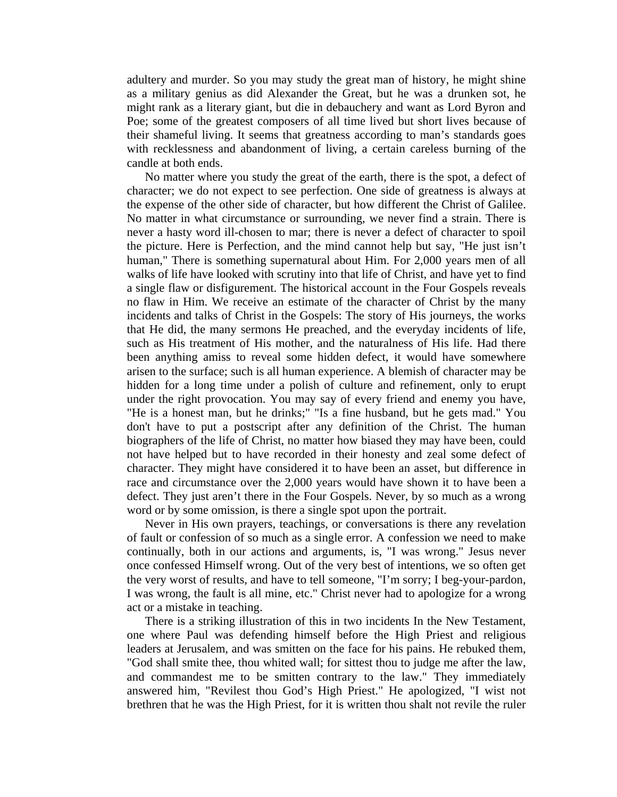adultery and murder. So you may study the great man of history, he might shine as a military genius as did Alexander the Great, but he was a drunken sot, he might rank as a literary giant, but die in debauchery and want as Lord Byron and Poe; some of the greatest composers of all time lived but short lives because of their shameful living. It seems that greatness according to man's standards goes with recklessness and abandonment of living, a certain careless burning of the candle at both ends.

 No matter where you study the great of the earth, there is the spot, a defect of character; we do not expect to see perfection. One side of greatness is always at the expense of the other side of character, but how different the Christ of Galilee. No matter in what circumstance or surrounding, we never find a strain. There is never a hasty word ill-chosen to mar; there is never a defect of character to spoil the picture. Here is Perfection, and the mind cannot help but say, "He just isn't human," There is something supernatural about Him. For 2,000 years men of all walks of life have looked with scrutiny into that life of Christ, and have yet to find a single flaw or disfigurement. The historical account in the Four Gospels reveals no flaw in Him. We receive an estimate of the character of Christ by the many incidents and talks of Christ in the Gospels: The story of His journeys, the works that He did, the many sermons He preached, and the everyday incidents of life, such as His treatment of His mother, and the naturalness of His life. Had there been anything amiss to reveal some hidden defect, it would have somewhere arisen to the surface; such is all human experience. A blemish of character may be hidden for a long time under a polish of culture and refinement, only to erupt under the right provocation. You may say of every friend and enemy you have, "He is a honest man, but he drinks;" "Is a fine husband, but he gets mad." You don't have to put a postscript after any definition of the Christ. The human biographers of the life of Christ, no matter how biased they may have been, could not have helped but to have recorded in their honesty and zeal some defect of character. They might have considered it to have been an asset, but difference in race and circumstance over the 2,000 years would have shown it to have been a defect. They just aren't there in the Four Gospels. Never, by so much as a wrong word or by some omission, is there a single spot upon the portrait.

 Never in His own prayers, teachings, or conversations is there any revelation of fault or confession of so much as a single error. A confession we need to make continually, both in our actions and arguments, is, "I was wrong." Jesus never once confessed Himself wrong. Out of the very best of intentions, we so often get the very worst of results, and have to tell someone, "I'm sorry; I beg-your-pardon, I was wrong, the fault is all mine, etc." Christ never had to apologize for a wrong act or a mistake in teaching.

 There is a striking illustration of this in two incidents In the New Testament, one where Paul was defending himself before the High Priest and religious leaders at Jerusalem, and was smitten on the face for his pains. He rebuked them, "God shall smite thee, thou whited wall; for sittest thou to judge me after the law, and commandest me to be smitten contrary to the law." They immediately answered him, "Revilest thou God's High Priest." He apologized, "I wist not brethren that he was the High Priest, for it is written thou shalt not revile the ruler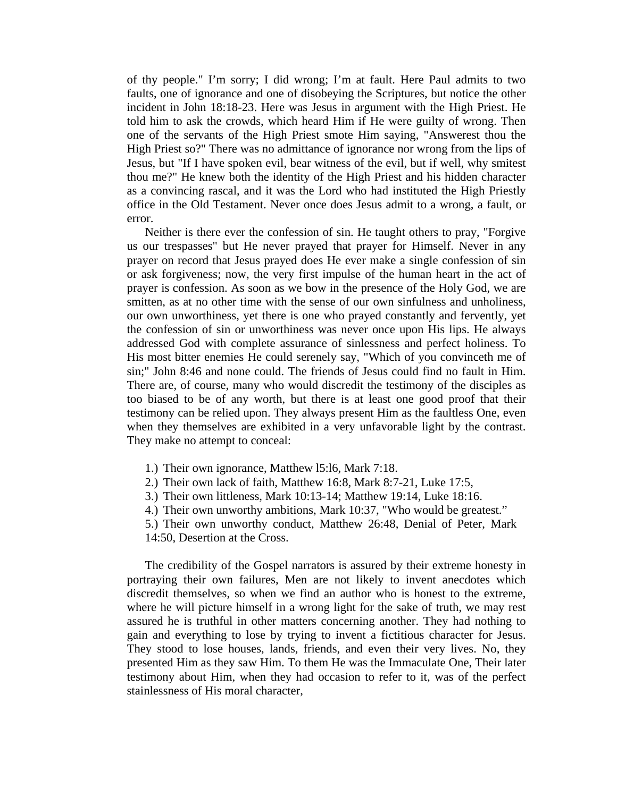of thy people." I'm sorry; I did wrong; I'm at fault. Here Paul admits to two faults, one of ignorance and one of disobeying the Scriptures, but notice the other incident in John 18:18-23. Here was Jesus in argument with the High Priest. He told him to ask the crowds, which heard Him if He were guilty of wrong. Then one of the servants of the High Priest smote Him saying, "Answerest thou the High Priest so?" There was no admittance of ignorance nor wrong from the lips of Jesus, but "If I have spoken evil, bear witness of the evil, but if well, why smitest thou me?" He knew both the identity of the High Priest and his hidden character as a convincing rascal, and it was the Lord who had instituted the High Priestly office in the Old Testament. Never once does Jesus admit to a wrong, a fault, or error.

 Neither is there ever the confession of sin. He taught others to pray, "Forgive us our trespasses" but He never prayed that prayer for Himself. Never in any prayer on record that Jesus prayed does He ever make a single confession of sin or ask forgiveness; now, the very first impulse of the human heart in the act of prayer is confession. As soon as we bow in the presence of the Holy God, we are smitten, as at no other time with the sense of our own sinfulness and unholiness, our own unworthiness, yet there is one who prayed constantly and fervently, yet the confession of sin or unworthiness was never once upon His lips. He always addressed God with complete assurance of sinlessness and perfect holiness. To His most bitter enemies He could serenely say, "Which of you convinceth me of sin;" John 8:46 and none could. The friends of Jesus could find no fault in Him. There are, of course, many who would discredit the testimony of the disciples as too biased to be of any worth, but there is at least one good proof that their testimony can be relied upon. They always present Him as the faultless One, even when they themselves are exhibited in a very unfavorable light by the contrast. They make no attempt to conceal:

- 1.) Their own ignorance, Matthew l5:l6, Mark 7:18.
- 2.) Their own lack of faith, Matthew 16:8, Mark 8:7-21, Luke 17:5,
- 3.) Their own littleness, Mark 10:13-14; Matthew 19:14, Luke 18:16.
- 4.) Their own unworthy ambitions, Mark 10:37, "Who would be greatest."
- 5.) Their own unworthy conduct, Matthew 26:48, Denial of Peter, Mark
- 14:50, Desertion at the Cross.

 The credibility of the Gospel narrators is assured by their extreme honesty in portraying their own failures, Men are not likely to invent anecdotes which discredit themselves, so when we find an author who is honest to the extreme, where he will picture himself in a wrong light for the sake of truth, we may rest assured he is truthful in other matters concerning another. They had nothing to gain and everything to lose by trying to invent a fictitious character for Jesus. They stood to lose houses, lands, friends, and even their very lives. No, they presented Him as they saw Him. To them He was the Immaculate One, Their later testimony about Him, when they had occasion to refer to it, was of the perfect stainlessness of His moral character,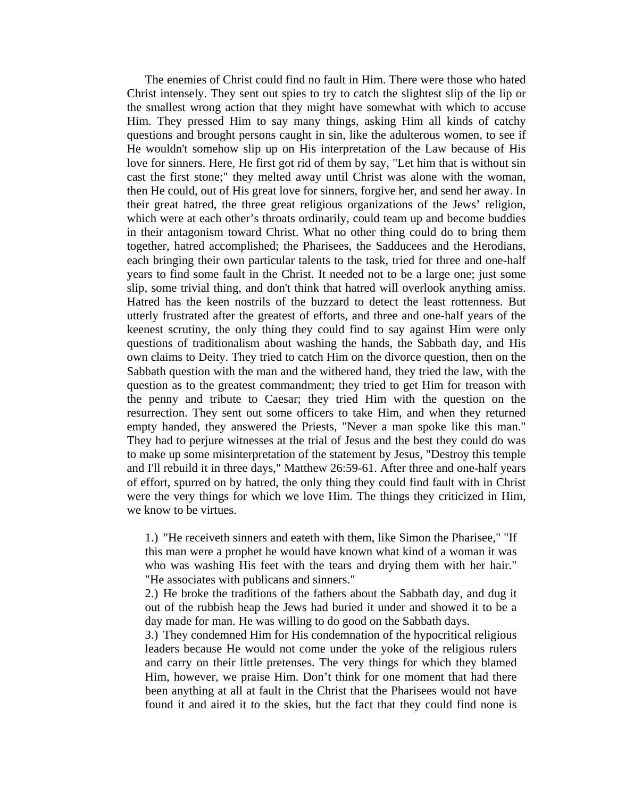The enemies of Christ could find no fault in Him. There were those who hated Christ intensely. They sent out spies to try to catch the slightest slip of the lip or the smallest wrong action that they might have somewhat with which to accuse Him. They pressed Him to say many things, asking Him all kinds of catchy questions and brought persons caught in sin, like the adulterous women, to see if He wouldn't somehow slip up on His interpretation of the Law because of His love for sinners. Here, He first got rid of them by say, "Let him that is without sin cast the first stone;" they melted away until Christ was alone with the woman, then He could, out of His great love for sinners, forgive her, and send her away. In their great hatred, the three great religious organizations of the Jews' religion, which were at each other's throats ordinarily, could team up and become buddies in their antagonism toward Christ. What no other thing could do to bring them together, hatred accomplished; the Pharisees, the Sadducees and the Herodians, each bringing their own particular talents to the task, tried for three and one-half years to find some fault in the Christ. It needed not to be a large one; just some slip, some trivial thing, and don't think that hatred will overlook anything amiss. Hatred has the keen nostrils of the buzzard to detect the least rottenness. But utterly frustrated after the greatest of efforts, and three and one-half years of the keenest scrutiny, the only thing they could find to say against Him were only questions of traditionalism about washing the hands, the Sabbath day, and His own claims to Deity. They tried to catch Him on the divorce question, then on the Sabbath question with the man and the withered hand, they tried the law, with the question as to the greatest commandment; they tried to get Him for treason with the penny and tribute to Caesar; they tried Him with the question on the resurrection. They sent out some officers to take Him, and when they returned empty handed, they answered the Priests, "Never a man spoke like this man." They had to perjure witnesses at the trial of Jesus and the best they could do was to make up some misinterpretation of the statement by Jesus, "Destroy this temple and I'll rebuild it in three days," Matthew 26:59-61. After three and one-half years of effort, spurred on by hatred, the only thing they could find fault with in Christ were the very things for which we love Him. The things they criticized in Him, we know to be virtues.

1.) "He receiveth sinners and eateth with them, like Simon the Pharisee," "If this man were a prophet he would have known what kind of a woman it was who was washing His feet with the tears and drying them with her hair." "He associates with publicans and sinners."

2.) He broke the traditions of the fathers about the Sabbath day, and dug it out of the rubbish heap the Jews had buried it under and showed it to be a day made for man. He was willing to do good on the Sabbath days.

3.) They condemned Him for His condemnation of the hypocritical religious leaders because He would not come under the yoke of the religious rulers and carry on their little pretenses. The very things for which they blamed Him, however, we praise Him. Don't think for one moment that had there been anything at all at fault in the Christ that the Pharisees would not have found it and aired it to the skies, but the fact that they could find none is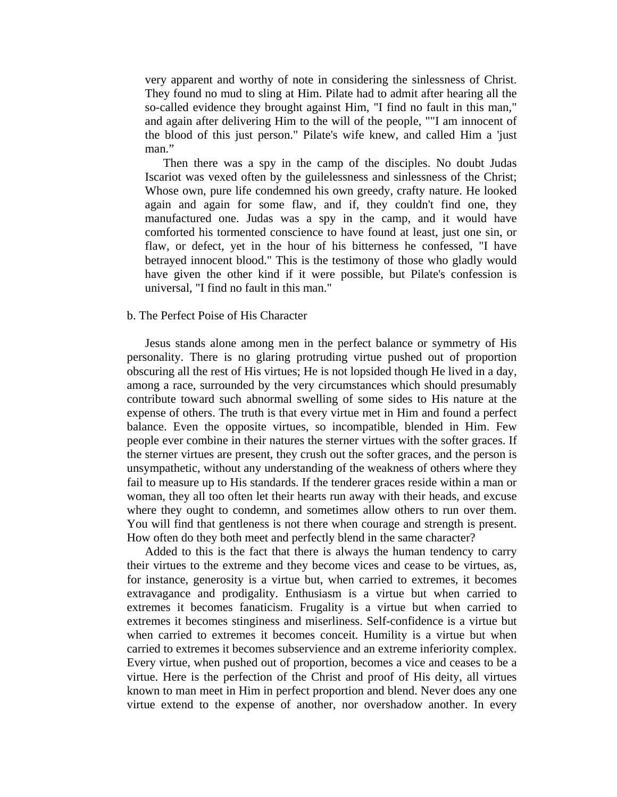very apparent and worthy of note in considering the sinlessness of Christ. They found no mud to sling at Him. Pilate had to admit after hearing all the so-called evidence they brought against Him, "I find no fault in this man," and again after delivering Him to the will of the people, ""I am innocent of the blood of this just person." Pilate's wife knew, and called Him a 'just man."

 Then there was a spy in the camp of the disciples. No doubt Judas Iscariot was vexed often by the guilelessness and sinlessness of the Christ; Whose own, pure life condemned his own greedy, crafty nature. He looked again and again for some flaw, and if, they couldn't find one, they manufactured one. Judas was a spy in the camp, and it would have comforted his tormented conscience to have found at least, just one sin, or flaw, or defect, yet in the hour of his bitterness he confessed, "I have betrayed innocent blood." This is the testimony of those who gladly would have given the other kind if it were possible, but Pilate's confession is universal, "I find no fault in this man."

#### b. The Perfect Poise of His Character

 Jesus stands alone among men in the perfect balance or symmetry of His personality. There is no glaring protruding virtue pushed out of proportion obscuring all the rest of His virtues; He is not lopsided though He lived in a day, among a race, surrounded by the very circumstances which should presumably contribute toward such abnormal swelling of some sides to His nature at the expense of others. The truth is that every virtue met in Him and found a perfect balance. Even the opposite virtues, so incompatible, blended in Him. Few people ever combine in their natures the sterner virtues with the softer graces. If the sterner virtues are present, they crush out the softer graces, and the person is unsympathetic, without any understanding of the weakness of others where they fail to measure up to His standards. If the tenderer graces reside within a man or woman, they all too often let their hearts run away with their heads, and excuse where they ought to condemn, and sometimes allow others to run over them. You will find that gentleness is not there when courage and strength is present. How often do they both meet and perfectly blend in the same character?

 Added to this is the fact that there is always the human tendency to carry their virtues to the extreme and they become vices and cease to be virtues, as, for instance, generosity is a virtue but, when carried to extremes, it becomes extravagance and prodigality. Enthusiasm is a virtue but when carried to extremes it becomes fanaticism. Frugality is a virtue but when carried to extremes it becomes stinginess and miserliness. Self-confidence is a virtue but when carried to extremes it becomes conceit. Humility is a virtue but when carried to extremes it becomes subservience and an extreme inferiority complex. Every virtue, when pushed out of proportion, becomes a vice and ceases to be a virtue. Here is the perfection of the Christ and proof of His deity, all virtues known to man meet in Him in perfect proportion and blend. Never does any one virtue extend to the expense of another, nor overshadow another. In every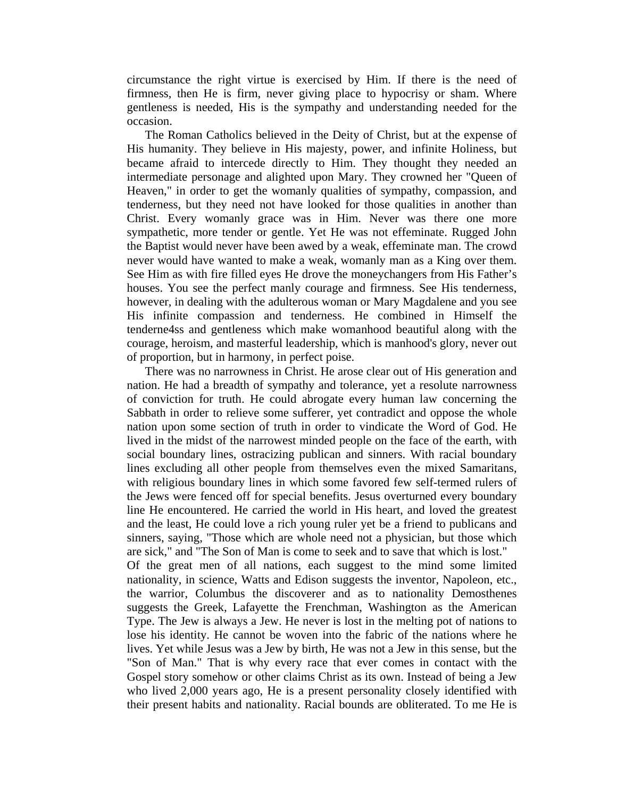circumstance the right virtue is exercised by Him. If there is the need of firmness, then He is firm, never giving place to hypocrisy or sham. Where gentleness is needed, His is the sympathy and understanding needed for the occasion.

 The Roman Catholics believed in the Deity of Christ, but at the expense of His humanity. They believe in His majesty, power, and infinite Holiness, but became afraid to intercede directly to Him. They thought they needed an intermediate personage and alighted upon Mary. They crowned her "Queen of Heaven," in order to get the womanly qualities of sympathy, compassion, and tenderness, but they need not have looked for those qualities in another than Christ. Every womanly grace was in Him. Never was there one more sympathetic, more tender or gentle. Yet He was not effeminate. Rugged John the Baptist would never have been awed by a weak, effeminate man. The crowd never would have wanted to make a weak, womanly man as a King over them. See Him as with fire filled eyes He drove the moneychangers from His Father's houses. You see the perfect manly courage and firmness. See His tenderness, however, in dealing with the adulterous woman or Mary Magdalene and you see His infinite compassion and tenderness. He combined in Himself the tenderne4ss and gentleness which make womanhood beautiful along with the courage, heroism, and masterful leadership, which is manhood's glory, never out of proportion, but in harmony, in perfect poise.

 There was no narrowness in Christ. He arose clear out of His generation and nation. He had a breadth of sympathy and tolerance, yet a resolute narrowness of conviction for truth. He could abrogate every human law concerning the Sabbath in order to relieve some sufferer, yet contradict and oppose the whole nation upon some section of truth in order to vindicate the Word of God. He lived in the midst of the narrowest minded people on the face of the earth, with social boundary lines, ostracizing publican and sinners. With racial boundary lines excluding all other people from themselves even the mixed Samaritans, with religious boundary lines in which some favored few self-termed rulers of the Jews were fenced off for special benefits. Jesus overturned every boundary line He encountered. He carried the world in His heart, and loved the greatest and the least, He could love a rich young ruler yet be a friend to publicans and sinners, saying, "Those which are whole need not a physician, but those which are sick," and "The Son of Man is come to seek and to save that which is lost." Of the great men of all nations, each suggest to the mind some limited nationality, in science, Watts and Edison suggests the inventor, Napoleon, etc., the warrior, Columbus the discoverer and as to nationality Demosthenes suggests the Greek, Lafayette the Frenchman, Washington as the American Type. The Jew is always a Jew. He never is lost in the melting pot of nations to lose his identity. He cannot be woven into the fabric of the nations where he lives. Yet while Jesus was a Jew by birth, He was not a Jew in this sense, but the "Son of Man." That is why every race that ever comes in contact with the Gospel story somehow or other claims Christ as its own. Instead of being a Jew who lived 2,000 years ago, He is a present personality closely identified with their present habits and nationality. Racial bounds are obliterated. To me He is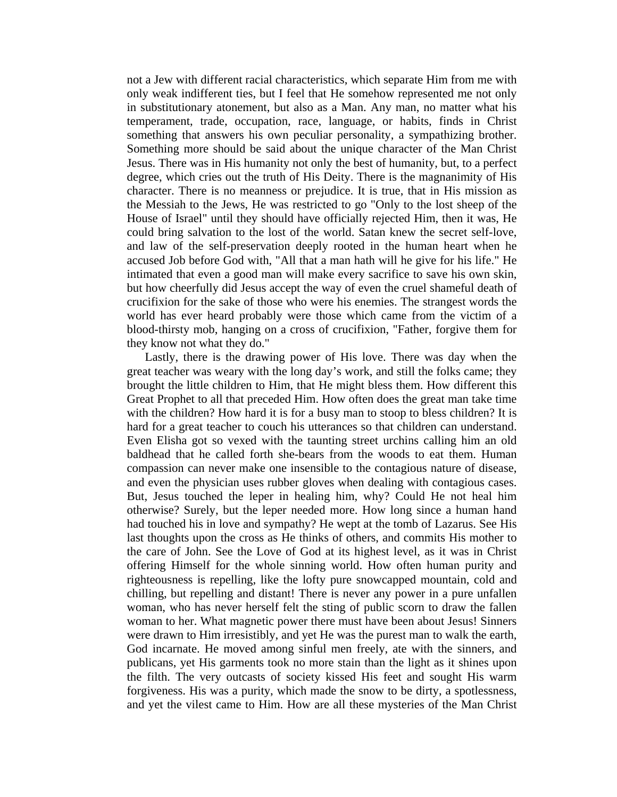not a Jew with different racial characteristics, which separate Him from me with only weak indifferent ties, but I feel that He somehow represented me not only in substitutionary atonement, but also as a Man. Any man, no matter what his temperament, trade, occupation, race, language, or habits, finds in Christ something that answers his own peculiar personality, a sympathizing brother. Something more should be said about the unique character of the Man Christ Jesus. There was in His humanity not only the best of humanity, but, to a perfect degree, which cries out the truth of His Deity. There is the magnanimity of His character. There is no meanness or prejudice. It is true, that in His mission as the Messiah to the Jews, He was restricted to go "Only to the lost sheep of the House of Israel" until they should have officially rejected Him, then it was, He could bring salvation to the lost of the world. Satan knew the secret self-love, and law of the self-preservation deeply rooted in the human heart when he accused Job before God with, "All that a man hath will he give for his life." He intimated that even a good man will make every sacrifice to save his own skin, but how cheerfully did Jesus accept the way of even the cruel shameful death of crucifixion for the sake of those who were his enemies. The strangest words the world has ever heard probably were those which came from the victim of a blood-thirsty mob, hanging on a cross of crucifixion, "Father, forgive them for they know not what they do."

 Lastly, there is the drawing power of His love. There was day when the great teacher was weary with the long day's work, and still the folks came; they brought the little children to Him, that He might bless them. How different this Great Prophet to all that preceded Him. How often does the great man take time with the children? How hard it is for a busy man to stoop to bless children? It is hard for a great teacher to couch his utterances so that children can understand. Even Elisha got so vexed with the taunting street urchins calling him an old baldhead that he called forth she-bears from the woods to eat them. Human compassion can never make one insensible to the contagious nature of disease, and even the physician uses rubber gloves when dealing with contagious cases. But, Jesus touched the leper in healing him, why? Could He not heal him otherwise? Surely, but the leper needed more. How long since a human hand had touched his in love and sympathy? He wept at the tomb of Lazarus. See His last thoughts upon the cross as He thinks of others, and commits His mother to the care of John. See the Love of God at its highest level, as it was in Christ offering Himself for the whole sinning world. How often human purity and righteousness is repelling, like the lofty pure snowcapped mountain, cold and chilling, but repelling and distant! There is never any power in a pure unfallen woman, who has never herself felt the sting of public scorn to draw the fallen woman to her. What magnetic power there must have been about Jesus! Sinners were drawn to Him irresistibly, and yet He was the purest man to walk the earth, God incarnate. He moved among sinful men freely, ate with the sinners, and publicans, yet His garments took no more stain than the light as it shines upon the filth. The very outcasts of society kissed His feet and sought His warm forgiveness. His was a purity, which made the snow to be dirty, a spotlessness, and yet the vilest came to Him. How are all these mysteries of the Man Christ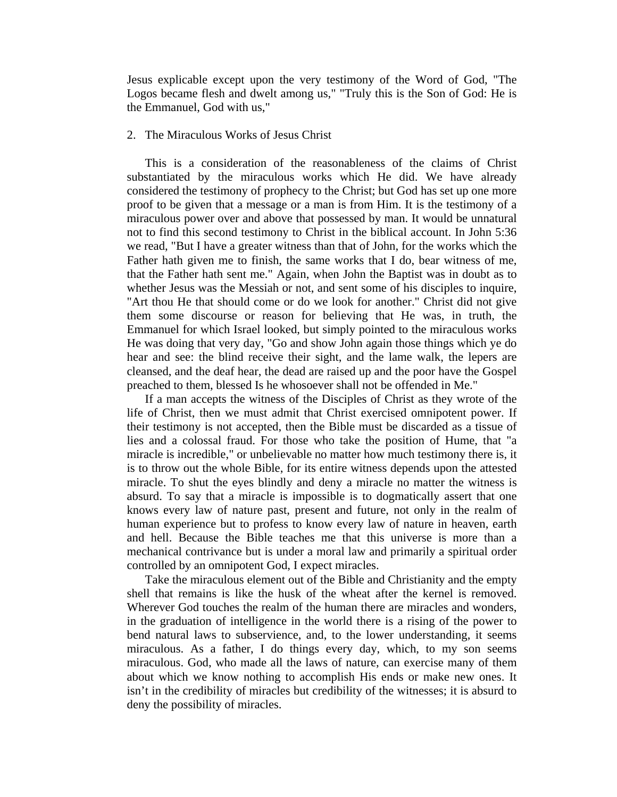Jesus explicable except upon the very testimony of the Word of God, "The Logos became flesh and dwelt among us," "Truly this is the Son of God: He is the Emmanuel, God with us,"

### 2. The Miraculous Works of Jesus Christ

 This is a consideration of the reasonableness of the claims of Christ substantiated by the miraculous works which He did. We have already considered the testimony of prophecy to the Christ; but God has set up one more proof to be given that a message or a man is from Him. It is the testimony of a miraculous power over and above that possessed by man. It would be unnatural not to find this second testimony to Christ in the biblical account. In John 5:36 we read, "But I have a greater witness than that of John, for the works which the Father hath given me to finish, the same works that I do, bear witness of me, that the Father hath sent me." Again, when John the Baptist was in doubt as to whether Jesus was the Messiah or not, and sent some of his disciples to inquire, "Art thou He that should come or do we look for another." Christ did not give them some discourse or reason for believing that He was, in truth, the Emmanuel for which Israel looked, but simply pointed to the miraculous works He was doing that very day, "Go and show John again those things which ye do hear and see: the blind receive their sight, and the lame walk, the lepers are cleansed, and the deaf hear, the dead are raised up and the poor have the Gospel preached to them, blessed Is he whosoever shall not be offended in Me."

 If a man accepts the witness of the Disciples of Christ as they wrote of the life of Christ, then we must admit that Christ exercised omnipotent power. If their testimony is not accepted, then the Bible must be discarded as a tissue of lies and a colossal fraud. For those who take the position of Hume, that "a miracle is incredible," or unbelievable no matter how much testimony there is, it is to throw out the whole Bible, for its entire witness depends upon the attested miracle. To shut the eyes blindly and deny a miracle no matter the witness is absurd. To say that a miracle is impossible is to dogmatically assert that one knows every law of nature past, present and future, not only in the realm of human experience but to profess to know every law of nature in heaven, earth and hell. Because the Bible teaches me that this universe is more than a mechanical contrivance but is under a moral law and primarily a spiritual order controlled by an omnipotent God, I expect miracles.

 Take the miraculous element out of the Bible and Christianity and the empty shell that remains is like the husk of the wheat after the kernel is removed. Wherever God touches the realm of the human there are miracles and wonders, in the graduation of intelligence in the world there is a rising of the power to bend natural laws to subservience, and, to the lower understanding, it seems miraculous. As a father, I do things every day, which, to my son seems miraculous. God, who made all the laws of nature, can exercise many of them about which we know nothing to accomplish His ends or make new ones. It isn't in the credibility of miracles but credibility of the witnesses; it is absurd to deny the possibility of miracles.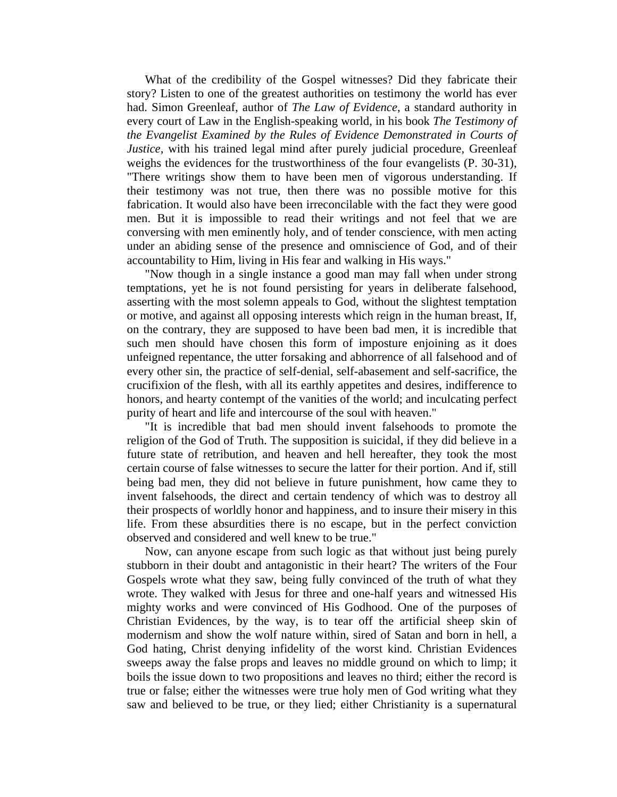What of the credibility of the Gospel witnesses? Did they fabricate their story? Listen to one of the greatest authorities on testimony the world has ever had. Simon Greenleaf, author of *The Law of Evidence*, a standard authority in every court of Law in the English-speaking world, in his book *The Testimony of the Evangelist Examined by the Rules of Evidence Demonstrated in Courts of Justice,* with his trained legal mind after purely judicial procedure, Greenleaf weighs the evidences for the trustworthiness of the four evangelists (P. 30-31), "There writings show them to have been men of vigorous understanding. If their testimony was not true, then there was no possible motive for this fabrication. It would also have been irreconcilable with the fact they were good men. But it is impossible to read their writings and not feel that we are conversing with men eminently holy, and of tender conscience, with men acting under an abiding sense of the presence and omniscience of God, and of their accountability to Him, living in His fear and walking in His ways."

 "Now though in a single instance a good man may fall when under strong temptations, yet he is not found persisting for years in deliberate falsehood, asserting with the most solemn appeals to God, without the slightest temptation or motive, and against all opposing interests which reign in the human breast, If, on the contrary, they are supposed to have been bad men, it is incredible that such men should have chosen this form of imposture enjoining as it does unfeigned repentance, the utter forsaking and abhorrence of all falsehood and of every other sin, the practice of self-denial, self-abasement and self-sacrifice, the crucifixion of the flesh, with all its earthly appetites and desires, indifference to honors, and hearty contempt of the vanities of the world; and inculcating perfect purity of heart and life and intercourse of the soul with heaven."

 "It is incredible that bad men should invent falsehoods to promote the religion of the God of Truth. The supposition is suicidal, if they did believe in a future state of retribution, and heaven and hell hereafter, they took the most certain course of false witnesses to secure the latter for their portion. And if, still being bad men, they did not believe in future punishment, how came they to invent falsehoods, the direct and certain tendency of which was to destroy all their prospects of worldly honor and happiness, and to insure their misery in this life. From these absurdities there is no escape, but in the perfect conviction observed and considered and well knew to be true."

 Now, can anyone escape from such logic as that without just being purely stubborn in their doubt and antagonistic in their heart? The writers of the Four Gospels wrote what they saw, being fully convinced of the truth of what they wrote. They walked with Jesus for three and one-half years and witnessed His mighty works and were convinced of His Godhood. One of the purposes of Christian Evidences, by the way, is to tear off the artificial sheep skin of modernism and show the wolf nature within, sired of Satan and born in hell, a God hating, Christ denying infidelity of the worst kind. Christian Evidences sweeps away the false props and leaves no middle ground on which to limp; it boils the issue down to two propositions and leaves no third; either the record is true or false; either the witnesses were true holy men of God writing what they saw and believed to be true, or they lied; either Christianity is a supernatural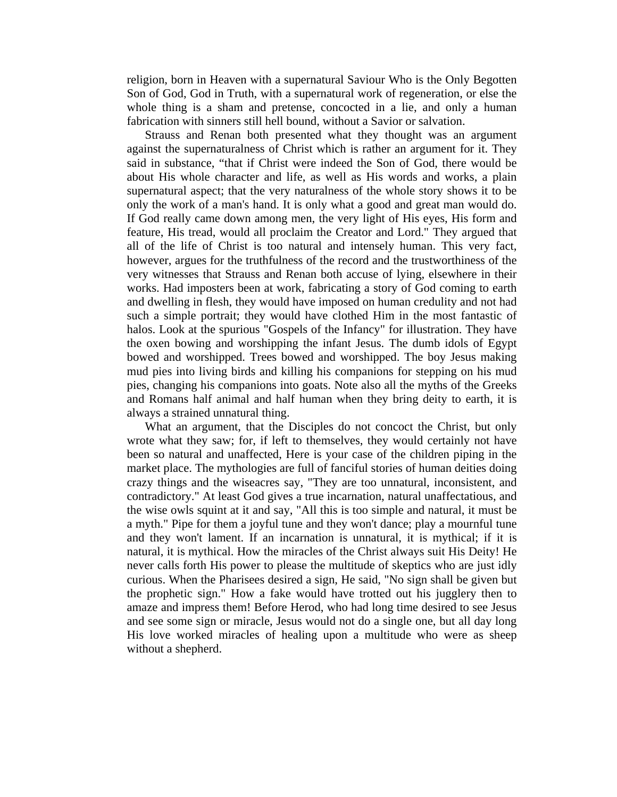religion, born in Heaven with a supernatural Saviour Who is the Only Begotten Son of God, God in Truth, with a supernatural work of regeneration, or else the whole thing is a sham and pretense, concocted in a lie, and only a human fabrication with sinners still hell bound, without a Savior or salvation.

 Strauss and Renan both presented what they thought was an argument against the supernaturalness of Christ which is rather an argument for it. They said in substance, "that if Christ were indeed the Son of God, there would be about His whole character and life, as well as His words and works, a plain supernatural aspect; that the very naturalness of the whole story shows it to be only the work of a man's hand. It is only what a good and great man would do. If God really came down among men, the very light of His eyes, His form and feature, His tread, would all proclaim the Creator and Lord." They argued that all of the life of Christ is too natural and intensely human. This very fact, however, argues for the truthfulness of the record and the trustworthiness of the very witnesses that Strauss and Renan both accuse of lying, elsewhere in their works. Had imposters been at work, fabricating a story of God coming to earth and dwelling in flesh, they would have imposed on human credulity and not had such a simple portrait; they would have clothed Him in the most fantastic of halos. Look at the spurious "Gospels of the Infancy" for illustration. They have the oxen bowing and worshipping the infant Jesus. The dumb idols of Egypt bowed and worshipped. Trees bowed and worshipped. The boy Jesus making mud pies into living birds and killing his companions for stepping on his mud pies, changing his companions into goats. Note also all the myths of the Greeks and Romans half animal and half human when they bring deity to earth, it is always a strained unnatural thing.

 What an argument, that the Disciples do not concoct the Christ, but only wrote what they saw; for, if left to themselves, they would certainly not have been so natural and unaffected, Here is your case of the children piping in the market place. The mythologies are full of fanciful stories of human deities doing crazy things and the wiseacres say, "They are too unnatural, inconsistent, and contradictory." At least God gives a true incarnation, natural unaffectatious, and the wise owls squint at it and say, "All this is too simple and natural, it must be a myth." Pipe for them a joyful tune and they won't dance; play a mournful tune and they won't lament. If an incarnation is unnatural, it is mythical; if it is natural, it is mythical. How the miracles of the Christ always suit His Deity! He never calls forth His power to please the multitude of skeptics who are just idly curious. When the Pharisees desired a sign, He said, "No sign shall be given but the prophetic sign." How a fake would have trotted out his jugglery then to amaze and impress them! Before Herod, who had long time desired to see Jesus and see some sign or miracle, Jesus would not do a single one, but all day long His love worked miracles of healing upon a multitude who were as sheep without a shepherd.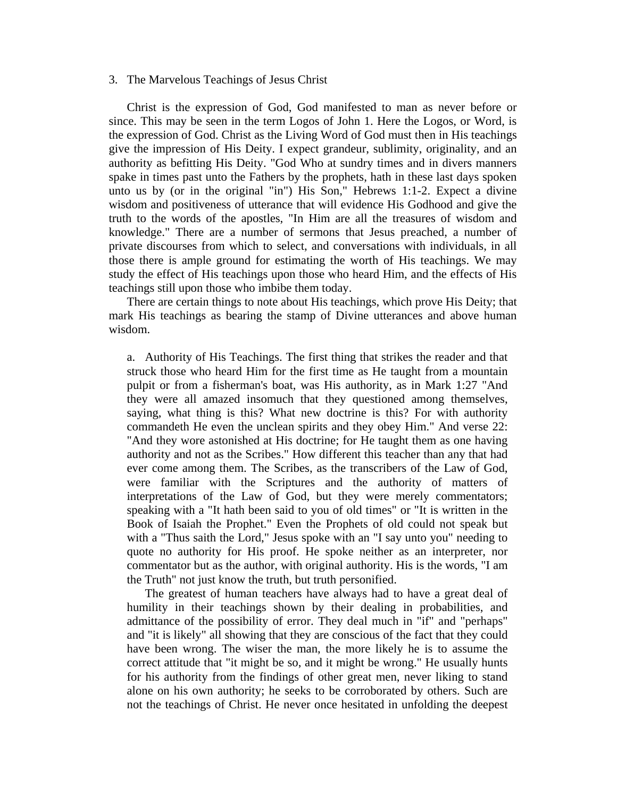#### 3. The Marvelous Teachings of Jesus Christ

 Christ is the expression of God, God manifested to man as never before or since. This may be seen in the term Logos of John 1. Here the Logos, or Word, is the expression of God. Christ as the Living Word of God must then in His teachings give the impression of His Deity. I expect grandeur, sublimity, originality, and an authority as befitting His Deity. "God Who at sundry times and in divers manners spake in times past unto the Fathers by the prophets, hath in these last days spoken unto us by (or in the original "in") His Son," Hebrews 1:1-2. Expect a divine wisdom and positiveness of utterance that will evidence His Godhood and give the truth to the words of the apostles, "In Him are all the treasures of wisdom and knowledge." There are a number of sermons that Jesus preached, a number of private discourses from which to select, and conversations with individuals, in all those there is ample ground for estimating the worth of His teachings. We may study the effect of His teachings upon those who heard Him, and the effects of His teachings still upon those who imbibe them today.

 There are certain things to note about His teachings, which prove His Deity; that mark His teachings as bearing the stamp of Divine utterances and above human wisdom.

a. Authority of His Teachings. The first thing that strikes the reader and that struck those who heard Him for the first time as He taught from a mountain pulpit or from a fisherman's boat, was His authority, as in Mark 1:27 "And they were all amazed insomuch that they questioned among themselves, saying, what thing is this? What new doctrine is this? For with authority commandeth He even the unclean spirits and they obey Him." And verse 22: "And they wore astonished at His doctrine; for He taught them as one having authority and not as the Scribes." How different this teacher than any that had ever come among them. The Scribes, as the transcribers of the Law of God, were familiar with the Scriptures and the authority of matters of interpretations of the Law of God, but they were merely commentators; speaking with a "It hath been said to you of old times" or "It is written in the Book of Isaiah the Prophet." Even the Prophets of old could not speak but with a "Thus saith the Lord," Jesus spoke with an "I say unto you" needing to quote no authority for His proof. He spoke neither as an interpreter, nor commentator but as the author, with original authority. His is the words, "I am the Truth" not just know the truth, but truth personified.

 The greatest of human teachers have always had to have a great deal of humility in their teachings shown by their dealing in probabilities, and admittance of the possibility of error. They deal much in "if" and "perhaps" and "it is likely" all showing that they are conscious of the fact that they could have been wrong. The wiser the man, the more likely he is to assume the correct attitude that "it might be so, and it might be wrong." He usually hunts for his authority from the findings of other great men, never liking to stand alone on his own authority; he seeks to be corroborated by others. Such are not the teachings of Christ. He never once hesitated in unfolding the deepest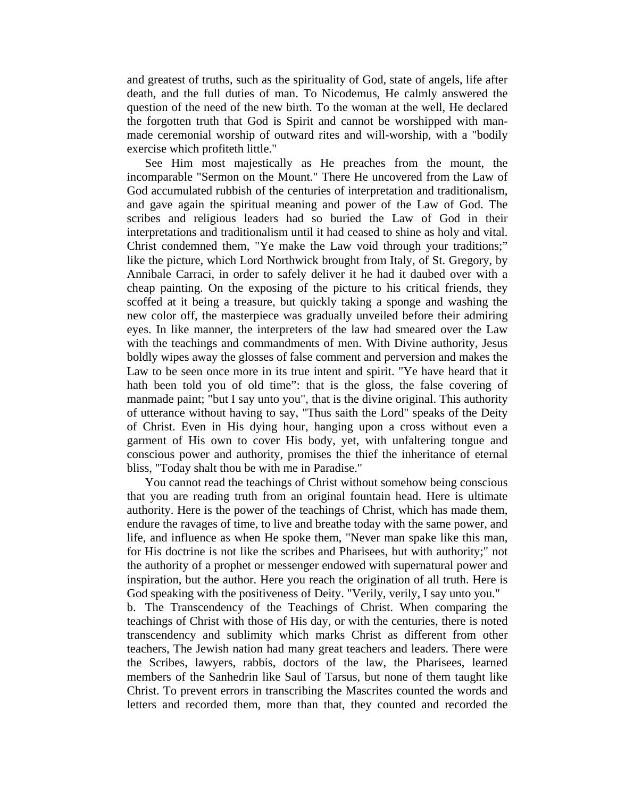and greatest of truths, such as the spirituality of God, state of angels, life after death, and the full duties of man. To Nicodemus, He calmly answered the question of the need of the new birth. To the woman at the well, He declared the forgotten truth that God is Spirit and cannot be worshipped with manmade ceremonial worship of outward rites and will-worship, with a "bodily exercise which profiteth little."

 See Him most majestically as He preaches from the mount, the incomparable "Sermon on the Mount." There He uncovered from the Law of God accumulated rubbish of the centuries of interpretation and traditionalism, and gave again the spiritual meaning and power of the Law of God. The scribes and religious leaders had so buried the Law of God in their interpretations and traditionalism until it had ceased to shine as holy and vital. Christ condemned them, "Ye make the Law void through your traditions;" like the picture, which Lord Northwick brought from Italy, of St. Gregory, by Annibale Carraci, in order to safely deliver it he had it daubed over with a cheap painting. On the exposing of the picture to his critical friends, they scoffed at it being a treasure, but quickly taking a sponge and washing the new color off, the masterpiece was gradually unveiled before their admiring eyes. In like manner, the interpreters of the law had smeared over the Law with the teachings and commandments of men. With Divine authority, Jesus boldly wipes away the glosses of false comment and perversion and makes the Law to be seen once more in its true intent and spirit. "Ye have heard that it hath been told you of old time": that is the gloss, the false covering of manmade paint; "but I say unto you", that is the divine original. This authority of utterance without having to say, "Thus saith the Lord" speaks of the Deity of Christ. Even in His dying hour, hanging upon a cross without even a garment of His own to cover His body, yet, with unfaltering tongue and conscious power and authority, promises the thief the inheritance of eternal bliss, "Today shalt thou be with me in Paradise."

 You cannot read the teachings of Christ without somehow being conscious that you are reading truth from an original fountain head. Here is ultimate authority. Here is the power of the teachings of Christ, which has made them, endure the ravages of time, to live and breathe today with the same power, and life, and influence as when He spoke them, "Never man spake like this man, for His doctrine is not like the scribes and Pharisees, but with authority;" not the authority of a prophet or messenger endowed with supernatural power and inspiration, but the author. Here you reach the origination of all truth. Here is God speaking with the positiveness of Deity. "Verily, verily, I say unto you."

b. The Transcendency of the Teachings of Christ. When comparing the teachings of Christ with those of His day, or with the centuries, there is noted transcendency and sublimity which marks Christ as different from other teachers, The Jewish nation had many great teachers and leaders. There were the Scribes, lawyers, rabbis, doctors of the law, the Pharisees, learned members of the Sanhedrin like Saul of Tarsus, but none of them taught like Christ. To prevent errors in transcribing the Mascrites counted the words and letters and recorded them, more than that, they counted and recorded the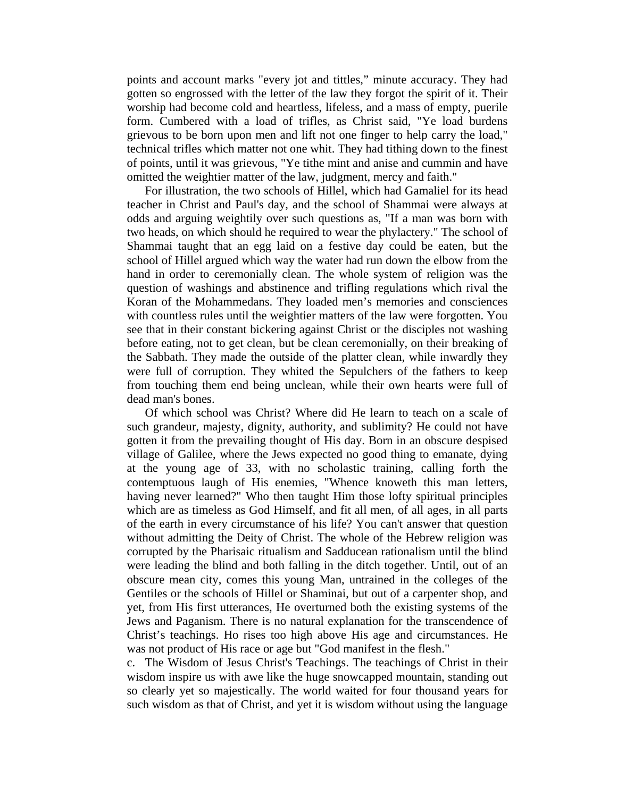points and account marks "every jot and tittles," minute accuracy. They had gotten so engrossed with the letter of the law they forgot the spirit of it. Their worship had become cold and heartless, lifeless, and a mass of empty, puerile form. Cumbered with a load of trifles, as Christ said, "Ye load burdens grievous to be born upon men and lift not one finger to help carry the load," technical trifles which matter not one whit. They had tithing down to the finest of points, until it was grievous, "Ye tithe mint and anise and cummin and have omitted the weightier matter of the law, judgment, mercy and faith."

 For illustration, the two schools of Hillel, which had Gamaliel for its head teacher in Christ and Paul's day, and the school of Shammai were always at odds and arguing weightily over such questions as, "If a man was born with two heads, on which should he required to wear the phylactery." The school of Shammai taught that an egg laid on a festive day could be eaten, but the school of Hillel argued which way the water had run down the elbow from the hand in order to ceremonially clean. The whole system of religion was the question of washings and abstinence and trifling regulations which rival the Koran of the Mohammedans. They loaded men's memories and consciences with countless rules until the weightier matters of the law were forgotten. You see that in their constant bickering against Christ or the disciples not washing before eating, not to get clean, but be clean ceremonially, on their breaking of the Sabbath. They made the outside of the platter clean, while inwardly they were full of corruption. They whited the Sepulchers of the fathers to keep from touching them end being unclean, while their own hearts were full of dead man's bones.

 Of which school was Christ? Where did He learn to teach on a scale of such grandeur, majesty, dignity, authority, and sublimity? He could not have gotten it from the prevailing thought of His day. Born in an obscure despised village of Galilee, where the Jews expected no good thing to emanate, dying at the young age of 33, with no scholastic training, calling forth the contemptuous laugh of His enemies, "Whence knoweth this man letters, having never learned?" Who then taught Him those lofty spiritual principles which are as timeless as God Himself, and fit all men, of all ages, in all parts of the earth in every circumstance of his life? You can't answer that question without admitting the Deity of Christ. The whole of the Hebrew religion was corrupted by the Pharisaic ritualism and Sadducean rationalism until the blind were leading the blind and both falling in the ditch together. Until, out of an obscure mean city, comes this young Man, untrained in the colleges of the Gentiles or the schools of Hillel or Shaminai, but out of a carpenter shop, and yet, from His first utterances, He overturned both the existing systems of the Jews and Paganism. There is no natural explanation for the transcendence of Christ's teachings. Ho rises too high above His age and circumstances. He was not product of His race or age but "God manifest in the flesh."

c. The Wisdom of Jesus Christ's Teachings. The teachings of Christ in their wisdom inspire us with awe like the huge snowcapped mountain, standing out so clearly yet so majestically. The world waited for four thousand years for such wisdom as that of Christ, and yet it is wisdom without using the language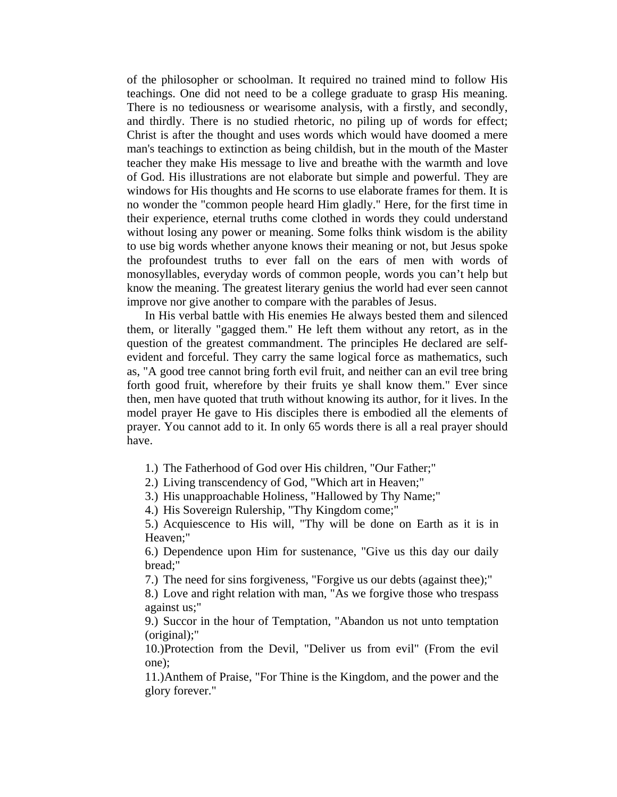of the philosopher or schoolman. It required no trained mind to follow His teachings. One did not need to be a college graduate to grasp His meaning. There is no tediousness or wearisome analysis, with a firstly, and secondly, and thirdly. There is no studied rhetoric, no piling up of words for effect; Christ is after the thought and uses words which would have doomed a mere man's teachings to extinction as being childish, but in the mouth of the Master teacher they make His message to live and breathe with the warmth and love of God. His illustrations are not elaborate but simple and powerful. They are windows for His thoughts and He scorns to use elaborate frames for them. It is no wonder the "common people heard Him gladly." Here, for the first time in their experience, eternal truths come clothed in words they could understand without losing any power or meaning. Some folks think wisdom is the ability to use big words whether anyone knows their meaning or not, but Jesus spoke the profoundest truths to ever fall on the ears of men with words of monosyllables, everyday words of common people, words you can't help but know the meaning. The greatest literary genius the world had ever seen cannot improve nor give another to compare with the parables of Jesus.

 In His verbal battle with His enemies He always bested them and silenced them, or literally "gagged them." He left them without any retort, as in the question of the greatest commandment. The principles He declared are selfevident and forceful. They carry the same logical force as mathematics, such as, "A good tree cannot bring forth evil fruit, and neither can an evil tree bring forth good fruit, wherefore by their fruits ye shall know them." Ever since then, men have quoted that truth without knowing its author, for it lives. In the model prayer He gave to His disciples there is embodied all the elements of prayer. You cannot add to it. In only 65 words there is all a real prayer should have.

1.) The Fatherhood of God over His children, "Our Father;"

2.) Living transcendency of God, "Which art in Heaven;"

3.) His unapproachable Holiness, "Hallowed by Thy Name;"

4.) His Sovereign Rulership, "Thy Kingdom come;"

5.) Acquiescence to His will, "Thy will be done on Earth as it is in Heaven;"

6.) Dependence upon Him for sustenance, "Give us this day our daily bread;"

7.) The need for sins forgiveness, "Forgive us our debts (against thee);"

8.) Love and right relation with man, "As we forgive those who trespass against us;"

9.) Succor in the hour of Temptation, "Abandon us not unto temptation (original);"

10.)Protection from the Devil, "Deliver us from evil" (From the evil one);

11.)Anthem of Praise, "For Thine is the Kingdom, and the power and the glory forever."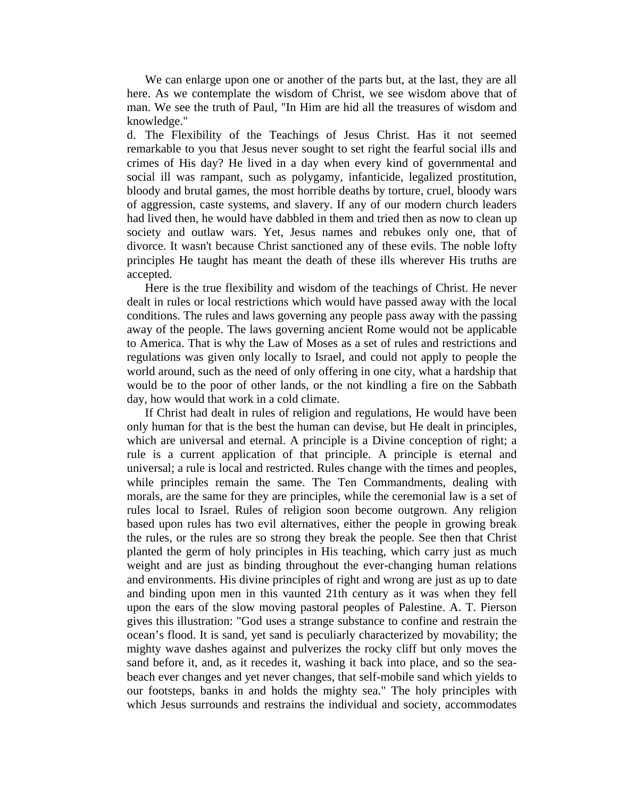We can enlarge upon one or another of the parts but, at the last, they are all here. As we contemplate the wisdom of Christ, we see wisdom above that of man. We see the truth of Paul, "In Him are hid all the treasures of wisdom and knowledge."

d. The Flexibility of the Teachings of Jesus Christ. Has it not seemed remarkable to you that Jesus never sought to set right the fearful social ills and crimes of His day? He lived in a day when every kind of governmental and social ill was rampant, such as polygamy, infanticide, legalized prostitution, bloody and brutal games, the most horrible deaths by torture, cruel, bloody wars of aggression, caste systems, and slavery. If any of our modern church leaders had lived then, he would have dabbled in them and tried then as now to clean up society and outlaw wars. Yet, Jesus names and rebukes only one, that of divorce. It wasn't because Christ sanctioned any of these evils. The noble lofty principles He taught has meant the death of these ills wherever His truths are accepted.

 Here is the true flexibility and wisdom of the teachings of Christ. He never dealt in rules or local restrictions which would have passed away with the local conditions. The rules and laws governing any people pass away with the passing away of the people. The laws governing ancient Rome would not be applicable to America. That is why the Law of Moses as a set of rules and restrictions and regulations was given only locally to Israel, and could not apply to people the world around, such as the need of only offering in one city, what a hardship that would be to the poor of other lands, or the not kindling a fire on the Sabbath day, how would that work in a cold climate.

 If Christ had dealt in rules of religion and regulations, He would have been only human for that is the best the human can devise, but He dealt in principles, which are universal and eternal. A principle is a Divine conception of right; a rule is a current application of that principle. A principle is eternal and universal; a rule is local and restricted. Rules change with the times and peoples, while principles remain the same. The Ten Commandments, dealing with morals, are the same for they are principles, while the ceremonial law is a set of rules local to Israel. Rules of religion soon become outgrown. Any religion based upon rules has two evil alternatives, either the people in growing break the rules, or the rules are so strong they break the people. See then that Christ planted the germ of holy principles in His teaching, which carry just as much weight and are just as binding throughout the ever-changing human relations and environments. His divine principles of right and wrong are just as up to date and binding upon men in this vaunted 21th century as it was when they fell upon the ears of the slow moving pastoral peoples of Palestine. A. T. Pierson gives this illustration: "God uses a strange substance to confine and restrain the ocean's flood. It is sand, yet sand is peculiarly characterized by movability; the mighty wave dashes against and pulverizes the rocky cliff but only moves the sand before it, and, as it recedes it, washing it back into place, and so the seabeach ever changes and yet never changes, that self-mobile sand which yields to our footsteps, banks in and holds the mighty sea." The holy principles with which Jesus surrounds and restrains the individual and society, accommodates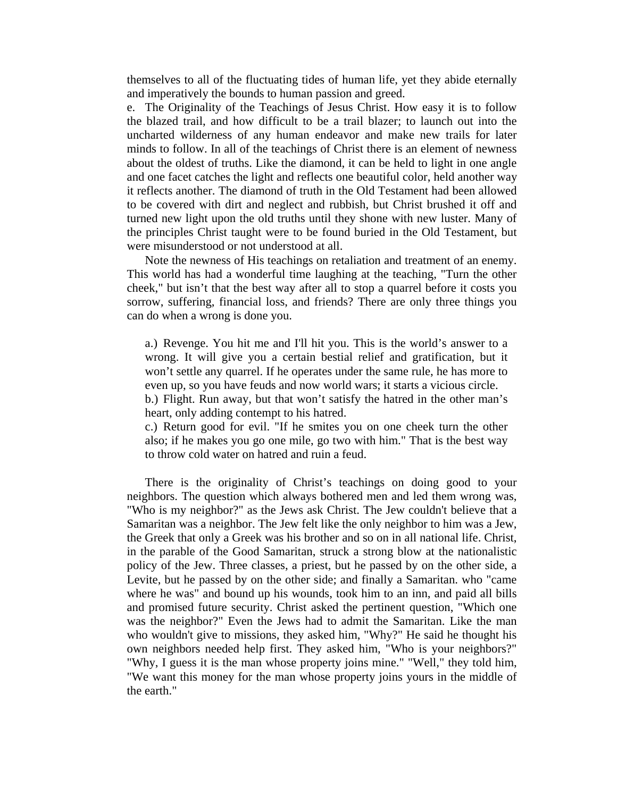themselves to all of the fluctuating tides of human life, yet they abide eternally and imperatively the bounds to human passion and greed.

e. The Originality of the Teachings of Jesus Christ. How easy it is to follow the blazed trail, and how difficult to be a trail blazer; to launch out into the uncharted wilderness of any human endeavor and make new trails for later minds to follow. In all of the teachings of Christ there is an element of newness about the oldest of truths. Like the diamond, it can be held to light in one angle and one facet catches the light and reflects one beautiful color, held another way it reflects another. The diamond of truth in the Old Testament had been allowed to be covered with dirt and neglect and rubbish, but Christ brushed it off and turned new light upon the old truths until they shone with new luster. Many of the principles Christ taught were to be found buried in the Old Testament, but were misunderstood or not understood at all.

 Note the newness of His teachings on retaliation and treatment of an enemy. This world has had a wonderful time laughing at the teaching, "Turn the other cheek," but isn't that the best way after all to stop a quarrel before it costs you sorrow, suffering, financial loss, and friends? There are only three things you can do when a wrong is done you.

a.) Revenge. You hit me and I'll hit you. This is the world's answer to a wrong. It will give you a certain bestial relief and gratification, but it won't settle any quarrel. If he operates under the same rule, he has more to even up, so you have feuds and now world wars; it starts a vicious circle. b.) Flight. Run away, but that won't satisfy the hatred in the other man's

heart, only adding contempt to his hatred.

c.) Return good for evil. "If he smites you on one cheek turn the other also; if he makes you go one mile, go two with him." That is the best way to throw cold water on hatred and ruin a feud.

 There is the originality of Christ's teachings on doing good to your neighbors. The question which always bothered men and led them wrong was, "Who is my neighbor?" as the Jews ask Christ. The Jew couldn't believe that a Samaritan was a neighbor. The Jew felt like the only neighbor to him was a Jew, the Greek that only a Greek was his brother and so on in all national life. Christ, in the parable of the Good Samaritan, struck a strong blow at the nationalistic policy of the Jew. Three classes, a priest, but he passed by on the other side, a Levite, but he passed by on the other side; and finally a Samaritan. who "came where he was" and bound up his wounds, took him to an inn, and paid all bills and promised future security. Christ asked the pertinent question, "Which one was the neighbor?" Even the Jews had to admit the Samaritan. Like the man who wouldn't give to missions, they asked him, "Why?" He said he thought his own neighbors needed help first. They asked him, "Who is your neighbors?" "Why, I guess it is the man whose property joins mine." "Well," they told him, "We want this money for the man whose property joins yours in the middle of the earth."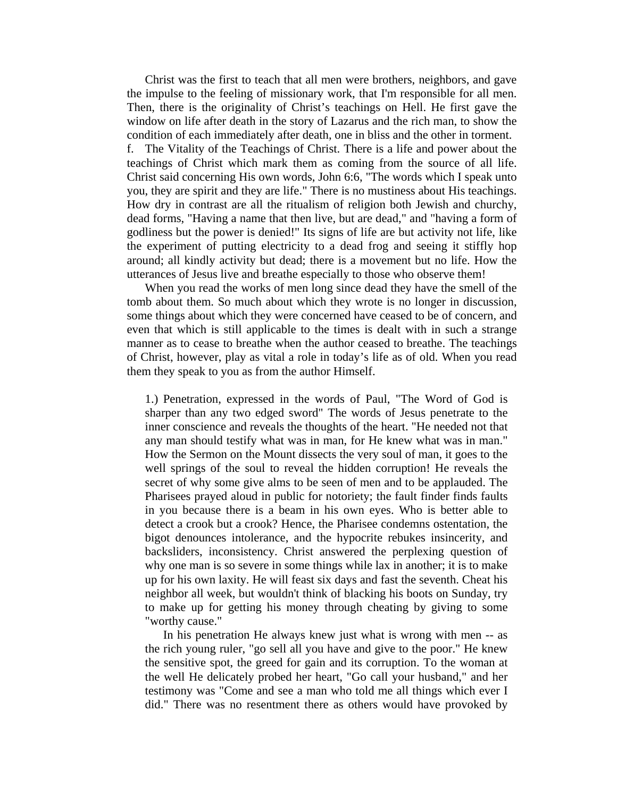Christ was the first to teach that all men were brothers, neighbors, and gave the impulse to the feeling of missionary work, that I'm responsible for all men. Then, there is the originality of Christ's teachings on Hell. He first gave the window on life after death in the story of Lazarus and the rich man, to show the condition of each immediately after death, one in bliss and the other in torment.

f. The Vitality of the Teachings of Christ. There is a life and power about the teachings of Christ which mark them as coming from the source of all life. Christ said concerning His own words, John 6:6, "The words which I speak unto you, they are spirit and they are life." There is no mustiness about His teachings. How dry in contrast are all the ritualism of religion both Jewish and churchy, dead forms, "Having a name that then live, but are dead," and "having a form of godliness but the power is denied!" Its signs of life are but activity not life, like the experiment of putting electricity to a dead frog and seeing it stiffly hop around; all kindly activity but dead; there is a movement but no life. How the utterances of Jesus live and breathe especially to those who observe them!

 When you read the works of men long since dead they have the smell of the tomb about them. So much about which they wrote is no longer in discussion, some things about which they were concerned have ceased to be of concern, and even that which is still applicable to the times is dealt with in such a strange manner as to cease to breathe when the author ceased to breathe. The teachings of Christ, however, play as vital a role in today's life as of old. When you read them they speak to you as from the author Himself.

1.) Penetration, expressed in the words of Paul, "The Word of God is sharper than any two edged sword" The words of Jesus penetrate to the inner conscience and reveals the thoughts of the heart. "He needed not that any man should testify what was in man, for He knew what was in man." How the Sermon on the Mount dissects the very soul of man, it goes to the well springs of the soul to reveal the hidden corruption! He reveals the secret of why some give alms to be seen of men and to be applauded. The Pharisees prayed aloud in public for notoriety; the fault finder finds faults in you because there is a beam in his own eyes. Who is better able to detect a crook but a crook? Hence, the Pharisee condemns ostentation, the bigot denounces intolerance, and the hypocrite rebukes insincerity, and backsliders, inconsistency. Christ answered the perplexing question of why one man is so severe in some things while lax in another; it is to make up for his own laxity. He will feast six days and fast the seventh. Cheat his neighbor all week, but wouldn't think of blacking his boots on Sunday, try to make up for getting his money through cheating by giving to some "worthy cause."

 In his penetration He always knew just what is wrong with men -- as the rich young ruler, "go sell all you have and give to the poor." He knew the sensitive spot, the greed for gain and its corruption. To the woman at the well He delicately probed her heart, "Go call your husband," and her testimony was "Come and see a man who told me all things which ever I did." There was no resentment there as others would have provoked by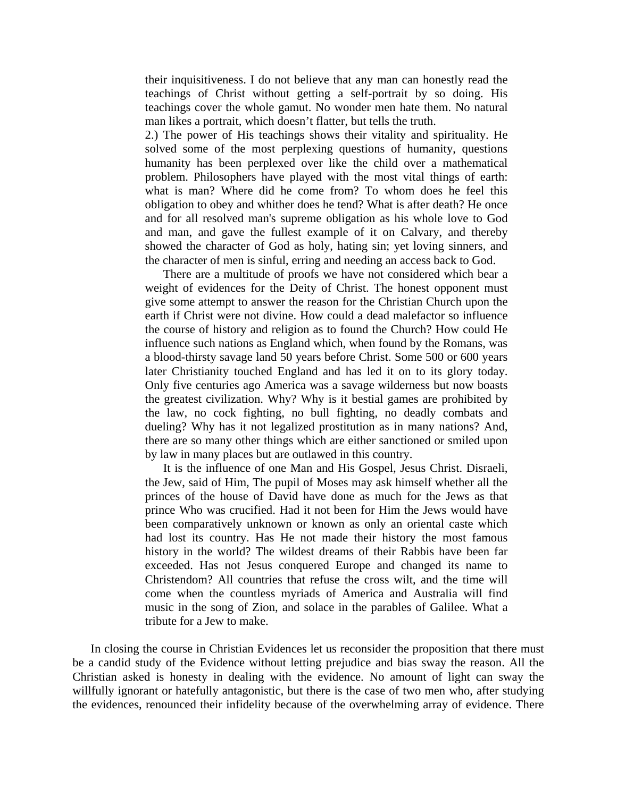their inquisitiveness. I do not believe that any man can honestly read the teachings of Christ without getting a self-portrait by so doing. His teachings cover the whole gamut. No wonder men hate them. No natural man likes a portrait, which doesn't flatter, but tells the truth.

2.) The power of His teachings shows their vitality and spirituality. He solved some of the most perplexing questions of humanity, questions humanity has been perplexed over like the child over a mathematical problem. Philosophers have played with the most vital things of earth: what is man? Where did he come from? To whom does he feel this obligation to obey and whither does he tend? What is after death? He once and for all resolved man's supreme obligation as his whole love to God and man, and gave the fullest example of it on Calvary, and thereby showed the character of God as holy, hating sin; yet loving sinners, and the character of men is sinful, erring and needing an access back to God.

 There are a multitude of proofs we have not considered which bear a weight of evidences for the Deity of Christ. The honest opponent must give some attempt to answer the reason for the Christian Church upon the earth if Christ were not divine. How could a dead malefactor so influence the course of history and religion as to found the Church? How could He influence such nations as England which, when found by the Romans, was a blood-thirsty savage land 50 years before Christ. Some 500 or 600 years later Christianity touched England and has led it on to its glory today. Only five centuries ago America was a savage wilderness but now boasts the greatest civilization. Why? Why is it bestial games are prohibited by the law, no cock fighting, no bull fighting, no deadly combats and dueling? Why has it not legalized prostitution as in many nations? And, there are so many other things which are either sanctioned or smiled upon by law in many places but are outlawed in this country.

 It is the influence of one Man and His Gospel, Jesus Christ. Disraeli, the Jew, said of Him, The pupil of Moses may ask himself whether all the princes of the house of David have done as much for the Jews as that prince Who was crucified. Had it not been for Him the Jews would have been comparatively unknown or known as only an oriental caste which had lost its country. Has He not made their history the most famous history in the world? The wildest dreams of their Rabbis have been far exceeded. Has not Jesus conquered Europe and changed its name to Christendom? All countries that refuse the cross wilt, and the time will come when the countless myriads of America and Australia will find music in the song of Zion, and solace in the parables of Galilee. What a tribute for a Jew to make.

 In closing the course in Christian Evidences let us reconsider the proposition that there must be a candid study of the Evidence without letting prejudice and bias sway the reason. All the Christian asked is honesty in dealing with the evidence. No amount of light can sway the willfully ignorant or hatefully antagonistic, but there is the case of two men who, after studying the evidences, renounced their infidelity because of the overwhelming array of evidence. There